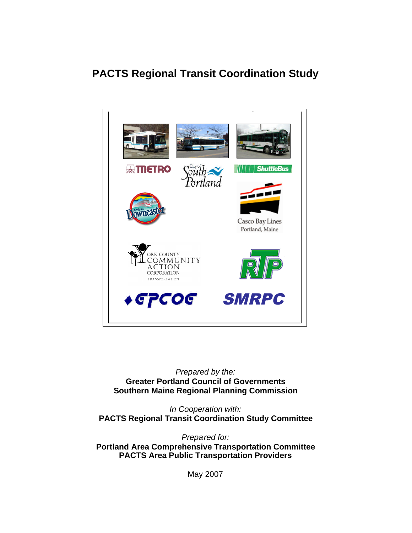# **PACTS Regional Transit Coordination Study**



*Prepared by the:* **Greater Portland Council of Governments Southern Maine Regional Planning Commission**

*In Cooperation with:* **PACTS Regional Transit Coordination Study Committee**

*Prepared for:* **Portland Area Comprehensive Transportation Committee PACTS Area Public Transportation Providers**

May 2007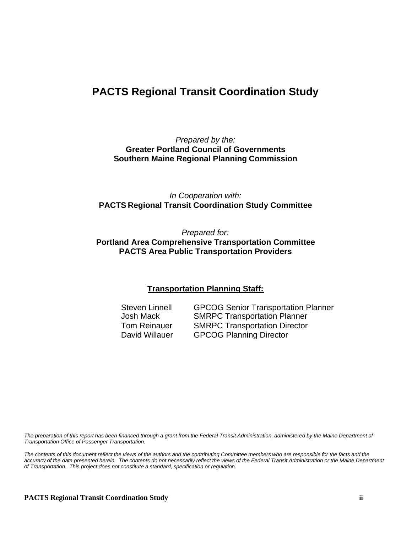# **PACTS Regional Transit Coordination Study**

*Prepared by the:* **Greater Portland Council of Governments Southern Maine Regional Planning Commission**

*In Cooperation with:* **PACTS Regional Transit Coordination Study Committee**

*Prepared for:* **Portland Area Comprehensive Transportation Committee PACTS Area Public Transportation Providers**

### **Transportation Planning Staff:**

Steven Linnell GPCOG Senior Transportation Planner Josh Mack SMRPC Transportation Planner Tom Reinauer SMRPC Transportation Director David Willauer GPCOG Planning Director

*The preparation of this report has been financed through a grant from the Federal Transit Administration, administered by the Maine Department of Transportation Office of Passenger Transportation.*

*The contents of this document reflect the views of the authors and the contributing Committee members who are responsible for the facts and the accuracy of the data presented herein. The contents do not necessarily reflect the views of the Federal Transit Administration or the Maine Department of Transportation. This project does not constitute a standard, specification or regulation.*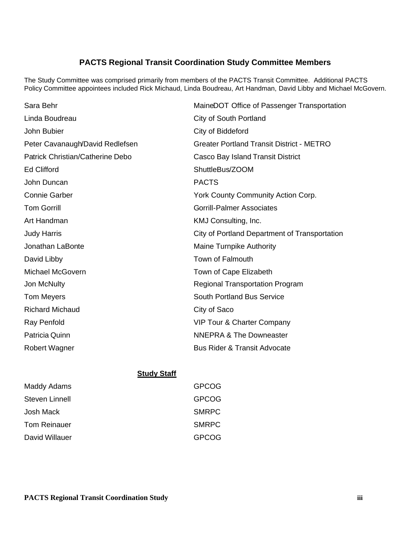# **PACTS Regional Transit Coordination Study Committee Members**

The Study Committee was comprised primarily from members of the PACTS Transit Committee. Additional PACTS Policy Committee appointees included Rick Michaud, Linda Boudreau, Art Handman, David Libby and Michael McGovern.

| Sara Behr                        | MaineDOT Office of Passenger Transportation      |
|----------------------------------|--------------------------------------------------|
| Linda Boudreau                   | <b>City of South Portland</b>                    |
| John Bubier                      | City of Biddeford                                |
| Peter Cavanaugh/David Redlefsen  | <b>Greater Portland Transit District - METRO</b> |
| Patrick Christian/Catherine Debo | Casco Bay Island Transit District                |
| <b>Ed Clifford</b>               | ShuttleBus/ZOOM                                  |
| John Duncan                      | <b>PACTS</b>                                     |
| <b>Connie Garber</b>             | York County Community Action Corp.               |
| <b>Tom Gorrill</b>               | <b>Gorrill-Palmer Associates</b>                 |
| Art Handman                      | KMJ Consulting, Inc.                             |
| <b>Judy Harris</b>               | City of Portland Department of Transportation    |
| Jonathan LaBonte                 | <b>Maine Turnpike Authority</b>                  |
| David Libby                      | <b>Town of Falmouth</b>                          |
| <b>Michael McGovern</b>          | Town of Cape Elizabeth                           |
| Jon McNulty                      | <b>Regional Transportation Program</b>           |
| Tom Meyers                       | <b>South Portland Bus Service</b>                |
| <b>Richard Michaud</b>           | City of Saco                                     |
| Ray Penfold                      | VIP Tour & Charter Company                       |
| Patricia Quinn                   | <b>NNEPRA &amp; The Downeaster</b>               |
| <b>Robert Wagner</b>             | <b>Bus Rider &amp; Transit Advocate</b>          |

#### **Study Staff**

| Maddy Adams    | <b>GPCOG</b> |
|----------------|--------------|
| Steven Linnell | <b>GPCOG</b> |
| Josh Mack      | <b>SMRPC</b> |
| Tom Reinauer   | <b>SMRPC</b> |
| David Willauer | GPCOG        |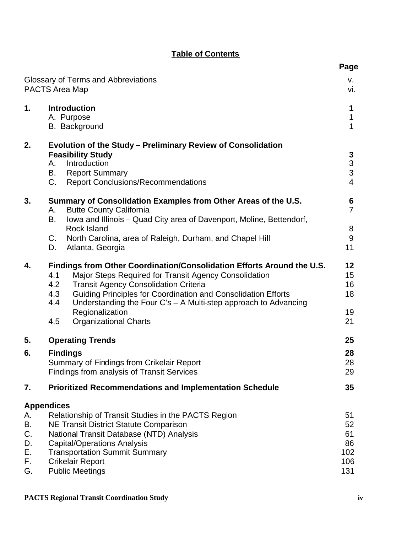| <b>Table of Contents</b> |  |  |
|--------------------------|--|--|
|                          |  |  |

|                                        | Glossary of Terms and Abbreviations<br>PACTS Area Map                                                                                                                                                                                                                                                                                                                                                     | v.<br>vi.                                             |
|----------------------------------------|-----------------------------------------------------------------------------------------------------------------------------------------------------------------------------------------------------------------------------------------------------------------------------------------------------------------------------------------------------------------------------------------------------------|-------------------------------------------------------|
| 1.                                     | <b>Introduction</b><br>A. Purpose<br><b>B.</b> Background                                                                                                                                                                                                                                                                                                                                                 | 1<br>$\mathbf{1}$<br>$\mathbf{1}$                     |
| 2.                                     | Evolution of the Study – Preliminary Review of Consolidation<br><b>Feasibility Study</b><br>Introduction<br>А.<br><b>Report Summary</b><br>В.<br>C.<br><b>Report Conclusions/Recommendations</b>                                                                                                                                                                                                          | $\mathbf{3}$<br>$\frac{3}{3}$<br>$\overline{4}$       |
| 3.                                     | Summary of Consolidation Examples from Other Areas of the U.S.<br><b>Butte County California</b><br>А.<br>В.<br>Iowa and Illinois – Quad City area of Davenport, Moline, Bettendorf,<br><b>Rock Island</b><br>C.<br>North Carolina, area of Raleigh, Durham, and Chapel Hill<br>Atlanta, Georgia<br>D.                                                                                                    | $6\phantom{1}6$<br>$\overline{7}$<br>8<br>$9\,$<br>11 |
| 4.                                     | Findings from Other Coordination/Consolidation Efforts Around the U.S.<br>4.1<br>Major Steps Required for Transit Agency Consolidation<br>4.2<br><b>Transit Agency Consolidation Criteria</b><br>4.3<br>Guiding Principles for Coordination and Consolidation Efforts<br>4.4<br>Understanding the Four C's - A Multi-step approach to Advancing<br>Regionalization<br><b>Organizational Charts</b><br>4.5 | 12<br>15<br>16<br>18<br>19<br>21                      |
| 5.                                     | <b>Operating Trends</b>                                                                                                                                                                                                                                                                                                                                                                                   | 25                                                    |
| 6.                                     | <b>Findings</b><br>Summary of Findings from Crikelair Report<br><b>Findings from analysis of Transit Services</b>                                                                                                                                                                                                                                                                                         | 28<br>28<br>29                                        |
| 7.                                     | <b>Prioritized Recommendations and Implementation Schedule</b>                                                                                                                                                                                                                                                                                                                                            | 35                                                    |
| А.<br>В.<br>C.<br>D.<br>Е.<br>F.<br>G. | <b>Appendices</b><br>Relationship of Transit Studies in the PACTS Region<br><b>NE Transit District Statute Comparison</b><br>National Transit Database (NTD) Analysis<br><b>Capital/Operations Analysis</b><br><b>Transportation Summit Summary</b><br><b>Crikelair Report</b><br><b>Public Meetings</b>                                                                                                  | 51<br>52<br>61<br>86<br>102<br>106<br>131             |

**Page**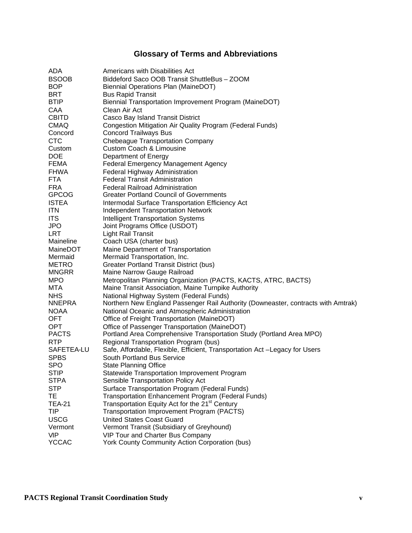# **Glossary of Terms and Abbreviations**

| ADA               | Americans with Disabilities Act                                                                                              |
|-------------------|------------------------------------------------------------------------------------------------------------------------------|
| <b>BSOOB</b>      | Biddeford Saco OOB Transit ShuttleBus - ZOOM                                                                                 |
| <b>BOP</b>        | Biennial Operations Plan (MaineDOT)                                                                                          |
| BRT               | <b>Bus Rapid Transit</b>                                                                                                     |
| <b>BTIP</b>       | Biennial Transportation Improvement Program (MaineDOT)                                                                       |
| CAA               | Clean Air Act                                                                                                                |
| <b>CBITD</b>      | Casco Bay Island Transit District                                                                                            |
| <b>CMAQ</b>       | Congestion Mitigation Air Quality Program (Federal Funds)                                                                    |
| Concord           | <b>Concord Trailways Bus</b>                                                                                                 |
| <b>CTC</b>        | <b>Chebeague Transportation Company</b>                                                                                      |
| Custom            | <b>Custom Coach &amp; Limousine</b>                                                                                          |
| <b>DOE</b>        | Department of Energy                                                                                                         |
| <b>FEMA</b>       | Federal Emergency Management Agency                                                                                          |
| <b>FHWA</b>       | Federal Highway Administration                                                                                               |
| <b>FTA</b>        | <b>Federal Transit Administration</b>                                                                                        |
| <b>FRA</b>        | <b>Federal Railroad Administration</b>                                                                                       |
| <b>GPCOG</b>      | <b>Greater Portland Council of Governments</b>                                                                               |
| <b>ISTEA</b>      | Intermodal Surface Transportation Efficiency Act                                                                             |
| <b>ITN</b>        | <b>Independent Transportation Network</b>                                                                                    |
| <b>ITS</b>        | <b>Intelligent Transportation Systems</b>                                                                                    |
| <b>JPO</b>        | Joint Programs Office (USDOT)                                                                                                |
| <b>LRT</b>        | <b>Light Rail Transit</b>                                                                                                    |
| Maineline         | Coach USA (charter bus)                                                                                                      |
| MaineDOT          | Maine Department of Transportation                                                                                           |
| Mermaid           | Mermaid Transportation, Inc.                                                                                                 |
| <b>METRO</b>      | Greater Portland Transit District (bus)                                                                                      |
| <b>MNGRR</b>      | Maine Narrow Gauge Railroad                                                                                                  |
| <b>MPO</b>        | Metropolitan Planning Organization (PACTS, KACTS, ATRC, BACTS)                                                               |
| MTA<br><b>NHS</b> | Maine Transit Association, Maine Turnpike Authority                                                                          |
| <b>NNEPRA</b>     | National Highway System (Federal Funds)<br>Northern New England Passenger Rail Authority (Downeaster, contracts with Amtrak) |
| <b>NOAA</b>       | National Oceanic and Atmospheric Administration                                                                              |
| OFT.              | Office of Freight Transportation (MaineDOT)                                                                                  |
| OPT.              | Office of Passenger Transportation (MaineDOT)                                                                                |
| <b>PACTS</b>      | Portland Area Comprehensive Transportation Study (Portland Area MPO)                                                         |
| <b>RTP</b>        | Regional Transportation Program (bus)                                                                                        |
| SAFETEA-LU        | Safe, Affordable, Flexible, Efficient, Transportation Act -Legacy for Users                                                  |
| <b>SPBS</b>       | South Portland Bus Service                                                                                                   |
| <b>SPO</b>        | State Planning Office                                                                                                        |
| <b>STIP</b>       | Statewide Transportation Improvement Program                                                                                 |
| <b>STPA</b>       | Sensible Transportation Policy Act                                                                                           |
| <b>STP</b>        | Surface Transportation Program (Federal Funds)                                                                               |
| ТE                | Transportation Enhancement Program (Federal Funds)                                                                           |
| <b>TEA-21</b>     | Transportation Equity Act for the 21 <sup>st</sup> Century                                                                   |
| TIP               | Transportation Improvement Program (PACTS)                                                                                   |
| <b>USCG</b>       | <b>United States Coast Guard</b>                                                                                             |
| Vermont           | Vermont Transit (Subsidiary of Greyhound)                                                                                    |
| <b>VIP</b>        | VIP Tour and Charter Bus Company                                                                                             |
| <b>YCCAC</b>      | York County Community Action Corporation (bus)                                                                               |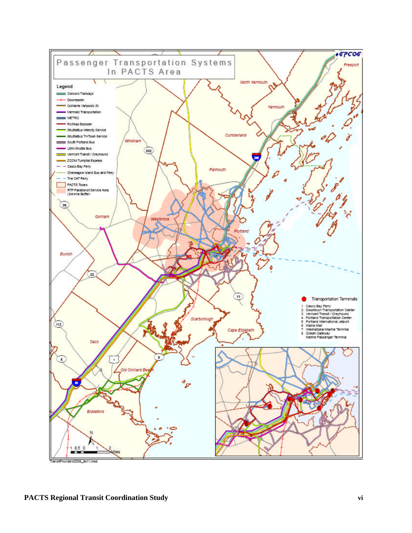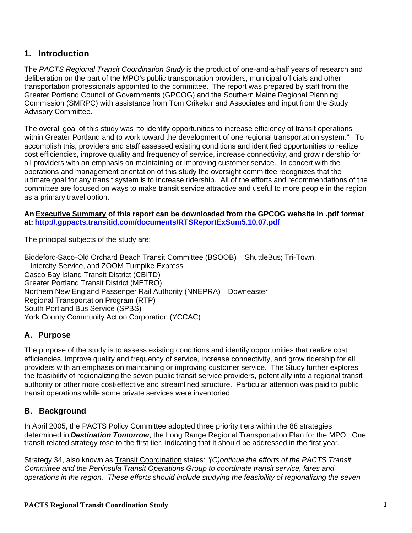# **1. Introduction**

The *PACTS Regional Transit Coordination Study* is the product of one-and-a-half years of research and deliberation on the part of the MPO's public transportation providers, municipal officials and other transportation professionals appointed to the committee. The report was prepared by staff from the Greater Portland Council of Governments (GPCOG) and the Southern Maine Regional Planning Commission (SMRPC) with assistance from Tom Crikelair and Associates and input from the Study Advisory Committee.

The overall goal of this study was "to identify opportunities to increase efficiency of transit operations within Greater Portland and to work toward the development of one regional transportation system." To accomplish this, providers and staff assessed existing conditions and identified opportunities to realize cost efficiencies, improve quality and frequency of service, increase connectivity, and grow ridership for all providers with an emphasis on maintaining or improving customer service. In concert with the operations and management orientation of this study the oversight committee recognizes that the ultimate goal for any transit system is to increase ridership. All of the efforts and recommendations of the committee are focused on ways to make transit service attractive and useful to more people in the region as a primary travel option.

**An Executive Summary of this report can be downloaded from the GPCOG website in .pdf format at: http://.gppacts.transitid.com/documents/RTSReportExSum5.10.07.pdf**

The principal subjects of the study are:

Biddeford-Saco-Old Orchard Beach Transit Committee (BSOOB) – ShuttleBus; Tri-Town, Intercity Service, and ZOOM Turnpike Express Casco Bay Island Transit District (CBITD) Greater Portland Transit District (METRO) Northern New England Passenger Rail Authority (NNEPRA) – Downeaster Regional Transportation Program (RTP) South Portland Bus Service (SPBS) York County Community Action Corporation (YCCAC)

# **A. Purpose**

The purpose of the study is to assess existing conditions and identify opportunities that realize cost efficiencies, improve quality and frequency of service, increase connectivity, and grow ridership for all providers with an emphasis on maintaining or improving customer service. The Study further explores the feasibility of regionalizing the seven public transit service providers, potentially into a regional transit authority or other more cost-effective and streamlined structure. Particular attention was paid to public transit operations while some private services were inventoried.

# **B. Background**

In April 2005, the PACTS Policy Committee adopted three priority tiers within the 88 strategies determined in *Destination Tomorrow*, the Long Range Regional Transportation Plan for the MPO. One transit related strategy rose to the first tier, indicating that it should be addressed in the first year.

Strategy 34, also known as Transit Coordination states: *"(C)ontinue the efforts of the PACTS Transit Committee and the Peninsula Transit Operations Group to coordinate transit service, fares and operations in the region. These efforts should include studying the feasibility of regionalizing the seven*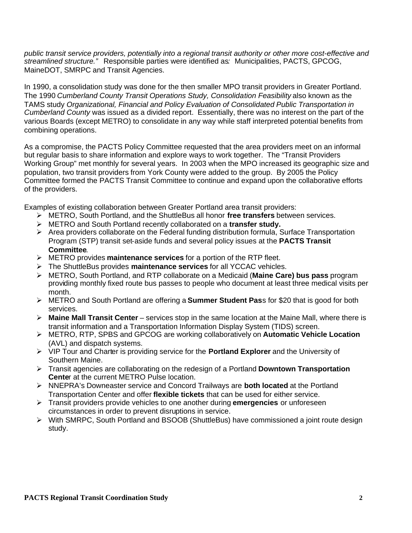*public transit service providers, potentially into a regional transit authority or other more cost-effective and streamlined structure."* Responsible parties were identified as*:* Municipalities, PACTS, GPCOG, MaineDOT, SMRPC and Transit Agencies.

In 1990, a consolidation study was done for the then smaller MPO transit providers in Greater Portland. The 1990 *Cumberland County Transit Operations Study, Consolidation Feasibility* also known as the TAMS study *Organizational, Financial and Policy Evaluation of Consolidated Public Transportation in Cumberland County* was issued as a divided report. Essentially, there was no interest on the part of the various Boards (except METRO) to consolidate in any way while staff interpreted potential benefits from combining operations.

As a compromise, the PACTS Policy Committee requested that the area providers meet on an informal but regular basis to share information and explore ways to work together. The "Transit Providers Working Group" met monthly for several years. In 2003 when the MPO increased its geographic size and population, two transit providers from York County were added to the group. By 2005 the Policy Committee formed the PACTS Transit Committee to continue and expand upon the collaborative efforts of the providers.

Examples of existing collaboration between Greater Portland area transit providers:

- METRO, South Portland, and the ShuttleBus all honor **free transfers** between services.
- METRO and South Portland recently collaborated on a **transfer study.**
- $\triangleright$  Area providers collaborate on the Federal funding distribution formula, Surface Transportation Program (STP) transit set-aside funds and several policy issues at the **PACTS Transit Committee**.
- METRO provides **maintenance services** for a portion of the RTP fleet.
- The ShuttleBus provides **maintenance services** for all YCCAC vehicles.
- METRO, South Portland, and RTP collaborate on a Medicaid (**Maine Care) bus pass** program providing monthly fixed route bus passes to people who document at least three medical visits per month.
- METRO and South Portland are offering a **Summer Student Pas**s for \$20 that is good for both services.
- **Maine Mall Transit Center** services stop in the same location at the Maine Mall, where there is transit information and a Transportation Information Display System (TIDS) screen.
- METRO, RTP, SPBS and GPCOG are working collaboratively on **Automatic Vehicle Location** (AVL) and dispatch systems.
- VIP Tour and Charter is providing service for the **Portland Explorer** and the University of Southern Maine.
- Transit agencies are collaborating on the redesign of a Portland **Downtown Transportation Cente**r at the current METRO Pulse location.
- NNEPRA's Downeaster service and Concord Trailways are **both located** at the Portland Transportation Center and offer **flexible tickets** that can be used for either service.
- Transit providers provide vehicles to one another during **emergencies** or unforeseen circumstances in order to prevent disruptions in service.
- $\triangleright$  With SMRPC, South Portland and BSOOB (ShuttleBus) have commissioned a joint route design study.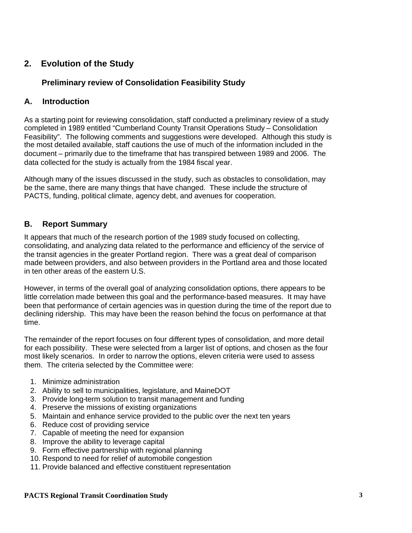# **2. Evolution of the Study**

## **Preliminary review of Consolidation Feasibility Study**

## **A. Introduction**

As a starting point for reviewing consolidation, staff conducted a preliminary review of a study completed in 1989 entitled "Cumberland County Transit Operations Study – Consolidation Feasibility". The following comments and suggestions were developed. Although this study is the most detailed available, staff cautions the use of much of the information included in the document – primarily due to the timeframe that has transpired between 1989 and 2006. The data collected for the study is actually from the 1984 fiscal year.

Although many of the issues discussed in the study, such as obstacles to consolidation, may be the same, there are many things that have changed. These include the structure of PACTS, funding, political climate, agency debt, and avenues for cooperation.

## **B. Report Summary**

It appears that much of the research portion of the 1989 study focused on collecting, consolidating, and analyzing data related to the performance and efficiency of the service of the transit agencies in the greater Portland region. There was a great deal of comparison made between providers, and also between providers in the Portland area and those located in ten other areas of the eastern U.S.

However, in terms of the overall goal of analyzing consolidation options, there appears to be little correlation made between this goal and the performance-based measures. It may have been that performance of certain agencies was in question during the time of the report due to declining ridership. This may have been the reason behind the focus on performance at that time.

The remainder of the report focuses on four different types of consolidation, and more detail for each possibility. These were selected from a larger list of options, and chosen as the four most likely scenarios. In order to narrow the options, eleven criteria were used to assess them. The criteria selected by the Committee were:

- 1. Minimize administration
- 2. Ability to sell to municipalities, legislature, and MaineDOT
- 3. Provide long-term solution to transit management and funding
- 4. Preserve the missions of existing organizations
- 5. Maintain and enhance service provided to the public over the next ten years
- 6. Reduce cost of providing service
- 7. Capable of meeting the need for expansion
- 8. Improve the ability to leverage capital
- 9. Form effective partnership with regional planning
- 10. Respond to need for relief of automobile congestion
- 11. Provide balanced and effective constituent representation

#### **PACTS Regional Transit Coordination Study 3**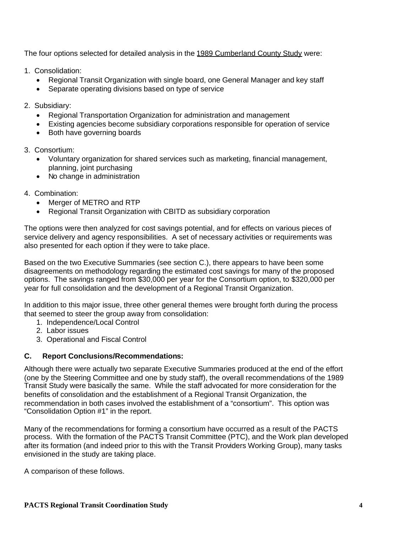The four options selected for detailed analysis in the 1989 Cumberland County Study were:

- 1. Consolidation:
	- Regional Transit Organization with single board, one General Manager and key staff
	- Separate operating divisions based on type of service
- 2. Subsidiary:
	- Regional Transportation Organization for administration and management
	- Existing agencies become subsidiary corporations responsible for operation of service
	- Both have governing boards
- 3. Consortium:
	- Voluntary organization for shared services such as marketing, financial management, planning, joint purchasing
	- No change in administration
- 4. Combination:
	- Merger of METRO and RTP
	- Regional Transit Organization with CBITD as subsidiary corporation

The options were then analyzed for cost savings potential, and for effects on various pieces of service delivery and agency responsibilities. A set of necessary activities or requirements was also presented for each option if they were to take place.

Based on the two Executive Summaries (see section C.), there appears to have been some disagreements on methodology regarding the estimated cost savings for many of the proposed options. The savings ranged from \$30,000 per year for the Consortium option, to \$320,000 per year for full consolidation and the development of a Regional Transit Organization.

In addition to this major issue, three other general themes were brought forth during the process that seemed to steer the group away from consolidation:

- 1. Independence/Local Control
- 2. Labor issues
- 3. Operational and Fiscal Control

### **C. Report Conclusions/Recommendations:**

Although there were actually two separate Executive Summaries produced at the end of the effort (one by the Steering Committee and one by study staff), the overall recommendations of the 1989 Transit Study were basically the same. While the staff advocated for more consideration for the benefits of consolidation and the establishment of a Regional Transit Organization, the recommendation in both cases involved the establishment of a "consortium". This option was "Consolidation Option #1" in the report.

Many of the recommendations for forming a consortium have occurred as a result of the PACTS process. With the formation of the PACTS Transit Committee (PTC), and the Work plan developed after its formation (and indeed prior to this with the Transit Providers Working Group), many tasks envisioned in the study are taking place.

A comparison of these follows.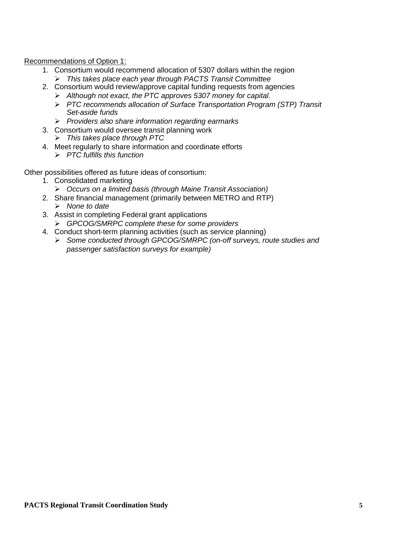Recommendations of Option 1:

- 1. Consortium would recommend allocation of 5307 dollars within the region *This takes place each year through PACTS Transit Committee*
- 2. Consortium would review/approve capital funding requests from agencies
	- *Although not exact, the PTC approves 5307 money for capital.*
	- *PTC recommends allocation of Surface Transportation Program (STP) Transit Set-aside funds*
	- *Providers also share information regarding earmarks*
- 3. Consortium would oversee transit planning work
	- *This takes place through PTC*
- 4. Meet regularly to share information and coordinate efforts
	- *PTC fulfills this function*

Other possibilities offered as future ideas of consortium:

- 1. Consolidated marketing
	- *Occurs on a limited basis (through Maine Transit Association)*
- 2. Share financial management (primarily between METRO and RTP) *None to date*
- 3. Assist in completing Federal grant applications *GPCOG/SMRPC complete these for some providers*
- 4. Conduct short-term planning activities (such as service planning)
	- *Some conducted through GPCOG/SMRPC (on-off surveys, route studies and passenger satisfaction surveys for example)*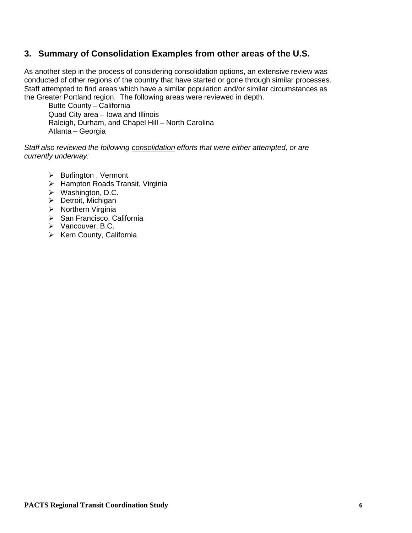# **3. Summary of Consolidation Examples from other areas of the U.S.**

As another step in the process of considering consolidation options, an extensive review was conducted of other regions of the country that have started or gone through similar processes. Staff attempted to find areas which have a similar population and/or similar circumstances as the Greater Portland region. The following areas were reviewed in depth.

Butte County – California Quad City area – Iowa and Illinois Raleigh, Durham, and Chapel Hill – North Carolina Atlanta – Georgia

*Staff also reviewed the following consolidation efforts that were either attempted, or are currently underway:*

- $\triangleright$  Burlington, Vermont
- $\triangleright$  Hampton Roads Transit, Virginia
- $\triangleright$  Washington, D.C.
- $\triangleright$  Detroit, Michigan
- $\triangleright$  Northern Virginia
- $\triangleright$  San Francisco, California
- ▶ Vancouver, B.C.
- $\triangleright$  Kern County, California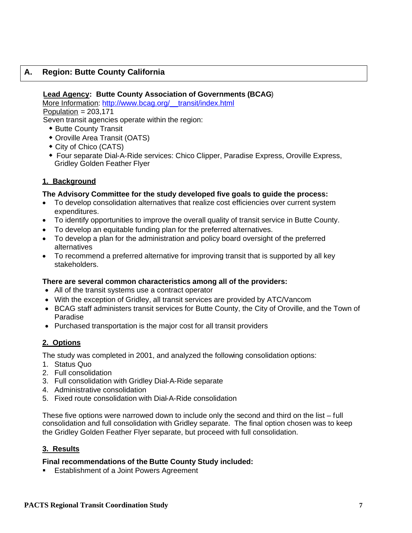## **A. Region: Butte County California**

#### **Lead Agency: Butte County Association of Governments (BCAG**)

More Information: http://www.bcag.org/ transit/index.html

Population  $= 203,171$ 

Seven transit agencies operate within the region:

- **\* Butte County Transit**
- Oroville Area Transit (OATS)
- City of Chico (CATS)
- Four separate Dial-A-Ride services: Chico Clipper, Paradise Express, Oroville Express, Gridley Golden Feather Flyer

## **1. Background**

#### **The Advisory Committee for the study developed five goals to guide the process:**

- To develop consolidation alternatives that realize cost efficiencies over current system expenditures.
- To identify opportunities to improve the overall quality of transit service in Butte County.
- To develop an equitable funding plan for the preferred alternatives.
- To develop a plan for the administration and policy board oversight of the preferred alternatives
- To recommend a preferred alternative for improving transit that is supported by all key stakeholders.

#### **There are several common characteristics among all of the providers:**

- All of the transit systems use a contract operator
- With the exception of Gridley, all transit services are provided by ATC/Vancom
- BCAG staff administers transit services for Butte County, the City of Oroville, and the Town of Paradise
- Purchased transportation is the major cost for all transit providers

## **2. Options**

The study was completed in 2001, and analyzed the following consolidation options:

- 1. Status Quo
- 2. Full consolidation
- 3. Full consolidation with Gridley Dial-A-Ride separate
- 4. Administrative consolidation
- 5. Fixed route consolidation with Dial-A-Ride consolidation

These five options were narrowed down to include only the second and third on the list – full consolidation and full consolidation with Gridley separate. The final option chosen was to keep the Gridley Golden Feather Flyer separate, but proceed with full consolidation.

### **3. Results**

#### **Final recommendations of the Butte County Study included:**

**Establishment of a Joint Powers Agreement**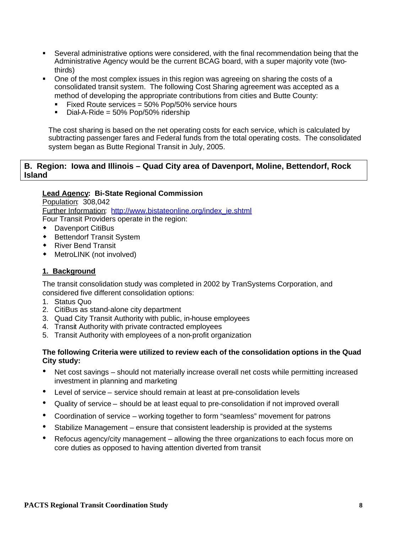- Several administrative options were considered, with the final recommendation being that the Administrative Agency would be the current BCAG board, with a super majority vote (twothirds)
- One of the most complex issues in this region was agreeing on sharing the costs of a consolidated transit system. The following Cost Sharing agreement was accepted as a method of developing the appropriate contributions from cities and Butte County:
	- **Fixed Route services = 50% Pop/50% service hours**
	- $\blacksquare$  Dial-A-Ride = 50% Pop/50% ridership

The cost sharing is based on the net operating costs for each service, which is calculated by subtracting passenger fares and Federal funds from the total operating costs. The consolidated system began as Butte Regional Transit in July, 2005.

#### **B. Region: Iowa and Illinois – Quad City area of Davenport, Moline, Bettendorf, Rock Island**

### **Lead Agency: Bi-State Regional Commission**

Population: 308,042 Further Information: http://www.bistateonline.org/index\_ie.shtml Four Transit Providers operate in the region:

- Davenport CitiBus
- **+** Bettendorf Transit System
- ◆ River Bend Transit
- MetroLINK (not involved)

### **1. Background**

The transit consolidation study was completed in 2002 by TranSystems Corporation, and considered five different consolidation options:

- 1. Status Quo
- 2. CitiBus as stand-alone city department
- 3. Quad City Transit Authority with public, in-house employees
- 4. Transit Authority with private contracted employees
- 5. Transit Authority with employees of a non-profit organization

#### **The following Criteria were utilized to review each of the consolidation options in the Quad City study:**

- Net cost savings should not materially increase overall net costs while permitting increased investment in planning and marketing
- Level of service service should remain at least at pre-consolidation levels
- Quality of service should be at least equal to pre-consolidation if not improved overall
- Coordination of service working together to form "seamless" movement for patrons
- Stabilize Management ensure that consistent leadership is provided at the systems
- Refocus agency/city management allowing the three organizations to each focus more on core duties as opposed to having attention diverted from transit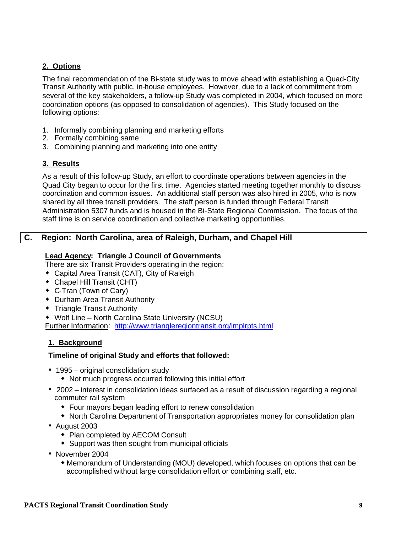## **2. Options**

The final recommendation of the Bi-state study was to move ahead with establishing a Quad-City Transit Authority with public, in-house employees. However, due to a lack of commitment from several of the key stakeholders, a follow-up Study was completed in 2004, which focused on more coordination options (as opposed to consolidation of agencies). This Study focused on the following options:

- 1. Informally combining planning and marketing efforts
- 2. Formally combining same
- 3. Combining planning and marketing into one entity

## **3. Results**

As a result of this follow-up Study, an effort to coordinate operations between agencies in the Quad City began to occur for the first time. Agencies started meeting together monthly to discuss coordination and common issues. An additional staff person was also hired in 2005, who is now shared by all three transit providers. The staff person is funded through Federal Transit Administration 5307 funds and is housed in the Bi-State Regional Commission. The focus of the staff time is on service coordination and collective marketing opportunities.

## **C. Region: North Carolina, area of Raleigh, Durham, and Chapel Hill**

### **Lead Agency: Triangle J Council of Governments**

There are six Transit Providers operating in the region:

- Capital Area Transit (CAT), City of Raleigh
- Chapel Hill Transit (CHT)
- C-Tran (Town of Cary)
- Durham Area Transit Authority
- **Triangle Transit Authority**
- Wolf Line North Carolina State University (NCSU)

Further Information: http://www.triangleregiontransit.org/implrpts.html

## **1. Background**

### **Timeline of original Study and efforts that followed:**

- 1995 original consolidation study
	- Not much progress occurred following this initial effort
- 2002 interest in consolidation ideas surfaced as a result of discussion regarding a regional commuter rail system
	- Four mayors began leading effort to renew consolidation
	- North Carolina Department of Transportation appropriates money for consolidation plan
- August 2003
	- Plan completed by AECOM Consult
	- Support was then sought from municipal officials
- November 2004
	- Memorandum of Understanding (MOU) developed, which focuses on options that can be accomplished without large consolidation effort or combining staff, etc.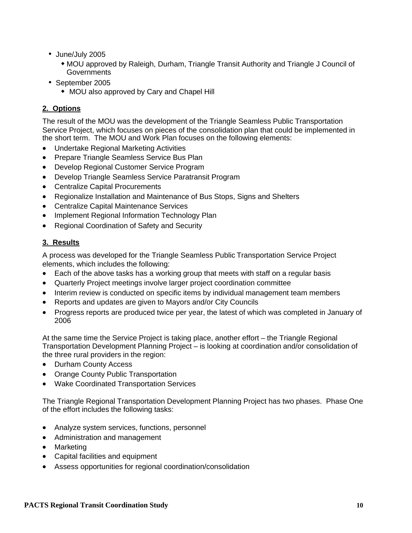- June/July 2005
	- MOU approved by Raleigh, Durham, Triangle Transit Authority and Triangle J Council of **Governments**
- September 2005
	- MOU also approved by Cary and Chapel Hill

## **2. Options**

The result of the MOU was the development of the Triangle Seamless Public Transportation Service Project, which focuses on pieces of the consolidation plan that could be implemented in the short term. The MOU and Work Plan focuses on the following elements:

- Undertake Regional Marketing Activities
- Prepare Triangle Seamless Service Bus Plan
- Develop Regional Customer Service Program
- Develop Triangle Seamless Service Paratransit Program
- Centralize Capital Procurements
- Regionalize Installation and Maintenance of Bus Stops, Signs and Shelters
- Centralize Capital Maintenance Services
- Implement Regional Information Technology Plan
- Regional Coordination of Safety and Security

## **3. Results**

A process was developed for the Triangle Seamless Public Transportation Service Project elements, which includes the following:

- Each of the above tasks has a working group that meets with staff on a regular basis
- Quarterly Project meetings involve larger project coordination committee
- Interim review is conducted on specific items by individual management team members
- Reports and updates are given to Mayors and/or City Councils
- Progress reports are produced twice per year, the latest of which was completed in January of 2006

At the same time the Service Project is taking place, another effort – the Triangle Regional Transportation Development Planning Project – is looking at coordination and/or consolidation of the three rural providers in the region:

- Durham County Access
- Orange County Public Transportation
- Wake Coordinated Transportation Services

The Triangle Regional Transportation Development Planning Project has two phases. Phase One of the effort includes the following tasks:

- Analyze system services, functions, personnel
- Administration and management
- Marketing
- Capital facilities and equipment
- Assess opportunities for regional coordination/consolidation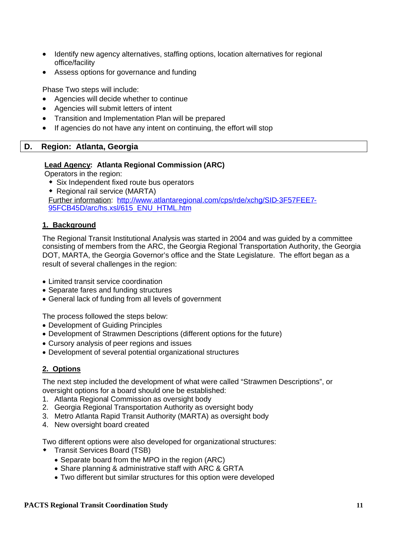- Identify new agency alternatives, staffing options, location alternatives for regional office/facility
- Assess options for governance and funding

Phase Two steps will include:

- Agencies will decide whether to continue
- Agencies will submit letters of intent
- Transition and Implementation Plan will be prepared
- If agencies do not have any intent on continuing, the effort will stop

## **D. Region: Atlanta, Georgia**

## **Lead Agency: Atlanta Regional Commission (ARC)**

Operators in the region:

- Six Independent fixed route bus operators
- Regional rail service (MARTA) Further information: http://www.atlantaregional.com/cps/rde/xchg/SID-3F57FEE7- 95FCB45D/arc/hs.xsl/615\_ENU\_HTML.htm

## **1. Background**

The Regional Transit Institutional Analysis was started in 2004 and was guided by a committee consisting of members from the ARC, the Georgia Regional Transportation Authority, the Georgia DOT, MARTA, the Georgia Governor's office and the State Legislature. The effort began as a result of several challenges in the region:

- Limited transit service coordination
- Separate fares and funding structures
- General lack of funding from all levels of government

The process followed the steps below:

- Development of Guiding Principles
- Development of Strawmen Descriptions (different options for the future)
- Cursory analysis of peer regions and issues
- Development of several potential organizational structures

## **2. Options**

The next step included the development of what were called "Strawmen Descriptions", or oversight options for a board should one be established:

- 1. Atlanta Regional Commission as oversight body
- 2. Georgia Regional Transportation Authority as oversight body
- 3. Metro Atlanta Rapid Transit Authority (MARTA) as oversight body
- 4. New oversight board created

Two different options were also developed for organizational structures:

- **\*** Transit Services Board (TSB)
	- Separate board from the MPO in the region (ARC)
	- Share planning & administrative staff with ARC & GRTA
	- Two different but similar structures for this option were developed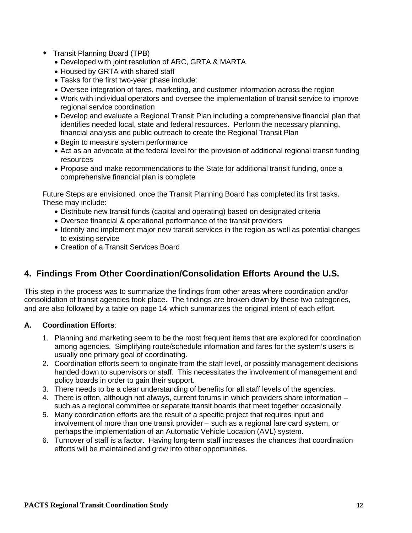- Transit Planning Board (TPB)
	- Developed with joint resolution of ARC, GRTA & MARTA
	- Housed by GRTA with shared staff
	- Tasks for the first two-year phase include:
	- Oversee integration of fares, marketing, and customer information across the region
	- Work with individual operators and oversee the implementation of transit service to improve regional service coordination
	- Develop and evaluate a Regional Transit Plan including a comprehensive financial plan that identifies needed local, state and federal resources. Perform the necessary planning, financial analysis and public outreach to create the Regional Transit Plan
	- Begin to measure system performance
	- Act as an advocate at the federal level for the provision of additional regional transit funding resources
	- Propose and make recommendations to the State for additional transit funding, once a comprehensive financial plan is complete

Future Steps are envisioned, once the Transit Planning Board has completed its first tasks. These may include:

- Distribute new transit funds (capital and operating) based on designated criteria
- Oversee financial & operational performance of the transit providers
- Identify and implement major new transit services in the region as well as potential changes to existing service
- Creation of a Transit Services Board

# **4. Findings From Other Coordination/Consolidation Efforts Around the U.S.**

This step in the process was to summarize the findings from other areas where coordination and/or consolidation of transit agencies took place. The findings are broken down by these two categories, and are also followed by a table on page 14 which summarizes the original intent of each effort.

### **A. Coordination Efforts**:

- 1. Planning and marketing seem to be the most frequent items that are explored for coordination among agencies. Simplifying route/schedule information and fares for the system's users is usually one primary goal of coordinating.
- 2. Coordination efforts seem to originate from the staff level, or possibly management decisions handed down to supervisors or staff. This necessitates the involvement of management and policy boards in order to gain their support.
- 3. There needs to be a clear understanding of benefits for all staff levels of the agencies.
- 4. There is often, although not always, current forums in which providers share information such as a regional committee or separate transit boards that meet together occasionally.
- 5. Many coordination efforts are the result of a specific project that requires input and involvement of more than one transit provider – such as a regional fare card system, or perhaps the implementation of an Automatic Vehicle Location (AVL) system.
- 6. Turnover of staff is a factor. Having long-term staff increases the chances that coordination efforts will be maintained and grow into other opportunities.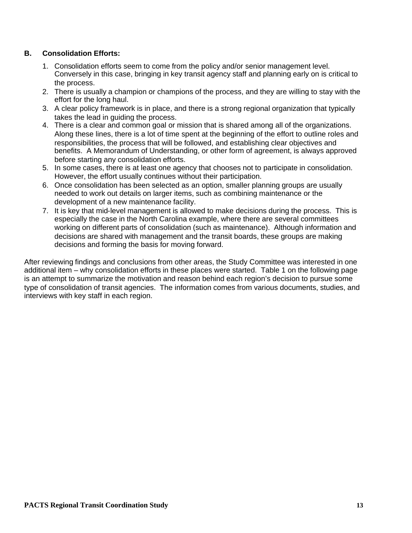## **B. Consolidation Efforts:**

- 1. Consolidation efforts seem to come from the policy and/or senior management level. Conversely in this case, bringing in key transit agency staff and planning early on is critical to the process.
- 2. There is usually a champion or champions of the process, and they are willing to stay with the effort for the long haul.
- 3. A clear policy framework is in place, and there is a strong regional organization that typically takes the lead in guiding the process.
- 4. There is a clear and common goal or mission that is shared among all of the organizations. Along these lines, there is a lot of time spent at the beginning of the effort to outline roles and responsibilities, the process that will be followed, and establishing clear objectives and benefits. A Memorandum of Understanding, or other form of agreement, is always approved before starting any consolidation efforts.
- 5. In some cases, there is at least one agency that chooses not to participate in consolidation. However, the effort usually continues without their participation.
- 6. Once consolidation has been selected as an option, smaller planning groups are usually needed to work out details on larger items, such as combining maintenance or the development of a new maintenance facility.
- 7. It is key that mid-level management is allowed to make decisions during the process. This is especially the case in the North Carolina example, where there are several committees working on different parts of consolidation (such as maintenance). Although information and decisions are shared with management and the transit boards, these groups are making decisions and forming the basis for moving forward.

After reviewing findings and conclusions from other areas, the Study Committee was interested in one additional item – why consolidation efforts in these places were started. Table 1 on the following page is an attempt to summarize the motivation and reason behind each region's decision to pursue some type of consolidation of transit agencies. The information comes from various documents, studies, and interviews with key staff in each region.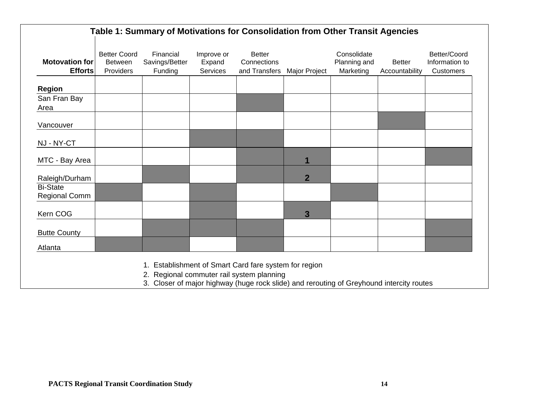| <b>Motovation for</b><br><b>Efforts</b> | <b>Better Coord</b><br>Between<br>Providers | Financial<br>Savings/Better<br>Funding | Improve or<br>Expand<br>Services | <b>Better</b><br>Connections<br>and Transfers | Major Project  | Consolidate<br>Planning and<br>Marketing | <b>Better</b><br>Accountability | Better/Coord<br>Information to<br>Customers |
|-----------------------------------------|---------------------------------------------|----------------------------------------|----------------------------------|-----------------------------------------------|----------------|------------------------------------------|---------------------------------|---------------------------------------------|
| <b>Region</b>                           |                                             |                                        |                                  |                                               |                |                                          |                                 |                                             |
| San Fran Bay<br>Area                    |                                             |                                        |                                  |                                               |                |                                          |                                 |                                             |
| Vancouver                               |                                             |                                        |                                  |                                               |                |                                          |                                 |                                             |
| NJ - NY-CT                              |                                             |                                        |                                  |                                               |                |                                          |                                 |                                             |
| MTC - Bay Area                          |                                             |                                        |                                  |                                               | 1              |                                          |                                 |                                             |
| Raleigh/Durham                          |                                             |                                        |                                  |                                               | $\overline{2}$ |                                          |                                 |                                             |
| <b>Bi-State</b><br><b>Regional Comm</b> |                                             |                                        |                                  |                                               |                |                                          |                                 |                                             |
| Kern COG                                |                                             |                                        |                                  |                                               | 3              |                                          |                                 |                                             |
| <b>Butte County</b>                     |                                             |                                        |                                  |                                               |                |                                          |                                 |                                             |
| Atlanta                                 |                                             |                                        |                                  |                                               |                |                                          |                                 |                                             |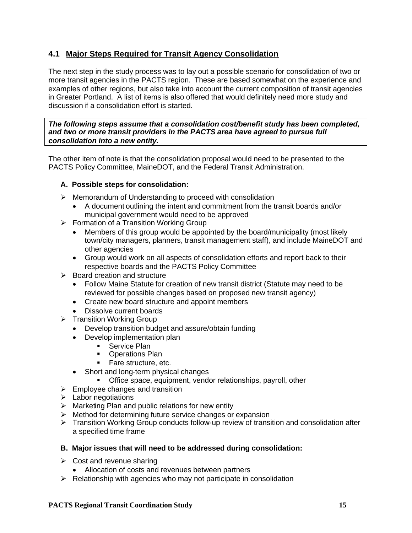# **4.1 Major Steps Required for Transit Agency Consolidation**

The next step in the study process was to lay out a possible scenario for consolidation of two or more transit agencies in the PACTS region. These are based somewhat on the experience and examples of other regions, but also take into account the current composition of transit agencies in Greater Portland. A list of items is also offered that would definitely need more study and discussion if a consolidation effort is started.

*The following steps assume that a consolidation cost/benefit study has been completed, and two or more transit providers in the PACTS area have agreed to pursue full consolidation into a new entity.*

The other item of note is that the consolidation proposal would need to be presented to the PACTS Policy Committee, MaineDOT, and the Federal Transit Administration.

### **A. Possible steps for consolidation:**

- Memorandum of Understanding to proceed with consolidation
	- A document outlining the intent and commitment from the transit boards and/or municipal government would need to be approved
- $\triangleright$  Formation of a Transition Working Group
	- Members of this group would be appointed by the board/municipality (most likely town/city managers, planners, transit management staff), and include MaineDOT and other agencies
	- Group would work on all aspects of consolidation efforts and report back to their respective boards and the PACTS Policy Committee
- $\triangleright$  Board creation and structure
	- Follow Maine Statute for creation of new transit district (Statute may need to be reviewed for possible changes based on proposed new transit agency)
	- Create new board structure and appoint members
	- **Dissolve current boards**
- $\triangleright$  Transition Working Group
	- Develop transition budget and assure/obtain funding
	- Develop implementation plan
		- **Service Plan**
		- **•** Operations Plan
		- **Fare structure, etc.**
	- Short and long-term physical changes
		- **•** Office space, equipment, vendor relationships, payroll, other
- $\triangleright$  Employee changes and transition
- $\blacktriangleright$  Labor negotiations
- $\triangleright$  Marketing Plan and public relations for new entity
- $\triangleright$  Method for determining future service changes or expansion
- Transition Working Group conducts follow-up review of transition and consolidation after a specified time frame

#### **B. Major issues that will need to be addressed during consolidation:**

- $\triangleright$  Cost and revenue sharing
	- Allocation of costs and revenues between partners
- $\triangleright$  Relationship with agencies who may not participate in consolidation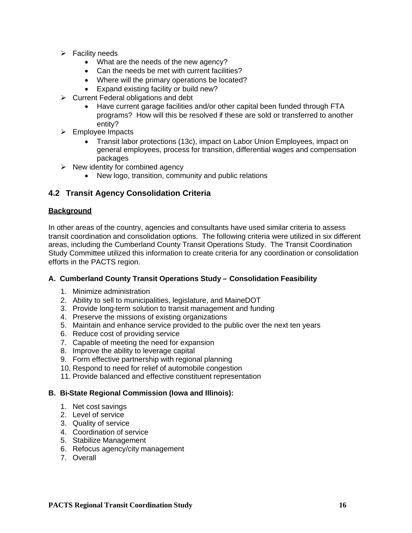- $\triangleright$  Facility needs
	- What are the needs of the new agency?
	- Can the needs be met with current facilities?
	- Where will the primary operations be located?
	- Expand existing facility or build new?
- $\triangleright$  Current Federal obligations and debt
	- Have current garage facilities and/or other capital been funded through FTA programs? How will this be resolved if these are sold or transferred to another entity?
- $\triangleright$  Employee Impacts
	- Transit labor protections (13c), impact on Labor Union Employees, impact on general employees, process for transition, differential wages and compensation packages
- $\triangleright$  New identity for combined agency
	- New logo, transition, community and public relations

# **4.2 Transit Agency Consolidation Criteria**

## **Background**

In other areas of the country, agencies and consultants have used similar criteria to assess transit coordination and consolidation options. The following criteria were utilized in six different areas, including the Cumberland County Transit Operations Study. The Transit Coordination Study Committee utilized this information to create criteria for any coordination or consolidation efforts in the PACTS region.

### **A. Cumberland County Transit Operations Study – Consolidation Feasibility**

- 1. Minimize administration
- 2. Ability to sell to municipalities, legislature, and MaineDOT
- 3. Provide long-term solution to transit management and funding
- 4. Preserve the missions of existing organizations
- 5. Maintain and enhance service provided to the public over the next ten years
- 6. Reduce cost of providing service
- 7. Capable of meeting the need for expansion
- 8. Improve the ability to leverage capital
- 9. Form effective partnership with regional planning
- 10. Respond to need for relief of automobile congestion
- 11. Provide balanced and effective constituent representation

### **B. Bi-State Regional Commission (Iowa and Illinois):**

- 1. Net cost savings
- 2. Level of service
- 3. Quality of service
- 4. Coordination of service
- 5. Stabilize Management
- 6. Refocus agency/city management
- 7. Overall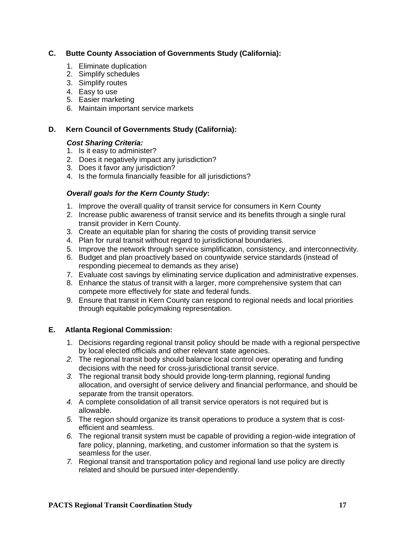## **C. Butte County Association of Governments Study (California):**

- 1. Eliminate duplication
- 2. Simplify schedules
- 3. Simplify routes
- 4. Easy to use
- 5. Easier marketing
- 6. Maintain important service markets

## **D. Kern Council of Governments Study (California):**

### *Cost Sharing Criteria:*

- 1. Is it easy to administer?
- 2. Does it negatively impact any jurisdiction?
- 3. Does it favor any jurisdiction?
- 4. Is the formula financially feasible for all jurisdictions?

## *Overall goals for the Kern County Study***:**

- 1. Improve the overall quality of transit service for consumers in Kern County
- 2. Increase public awareness of transit service and its benefits through a single rural transit provider in Kern County.
- 3. Create an equitable plan for sharing the costs of providing transit service
- 4. Plan for rural transit without regard to jurisdictional boundaries.
- 5. Improve the network through service simplification, consistency, and interconnectivity.
- 6. Budget and plan proactively based on countywide service standards (instead of responding piecemeal to demands as they arise)
- 7. Evaluate cost savings by eliminating service duplication and administrative expenses.
- 8. Enhance the status of transit with a larger, more comprehensive system that can compete more effectively for state and federal funds.
- 9. Ensure that transit in Kern County can respond to regional needs and local priorities through equitable policymaking representation.

## **E. Atlanta Regional Commission:**

- 1. Decisions regarding regional transit policy should be made with a regional perspective by local elected officials and other relevant state agencies.
- *2.* The regional transit body should balance local control over operating and funding decisions with the need for cross-jurisdictional transit service.
- *3.* The regional transit body should provide long-term planning, regional funding allocation, and oversight of service delivery and financial performance, and should be separate from the transit operators.
- *4.* A complete consolidation of all transit service operators is not required but is allowable.
- *5.* The region should organize its transit operations to produce a system that is costefficient and seamless.
- *6.* The regional transit system must be capable of providing a region-wide integration of fare policy, planning, marketing, and customer information so that the system is seamless for the user.
- *7.* Regional transit and transportation policy and regional land use policy are directly related and should be pursued inter-dependently.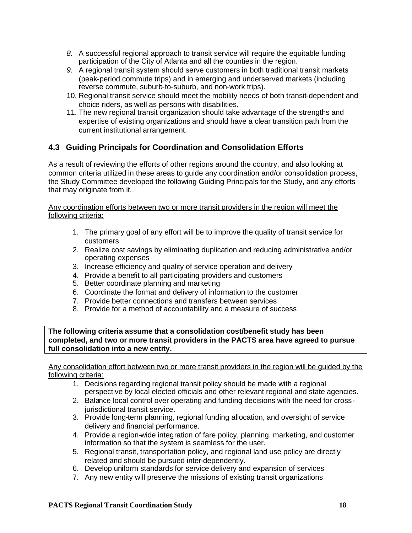- *8.* A successful regional approach to transit service will require the equitable funding participation of the City of Atlanta and all the counties in the region.
- *9.* A regional transit system should serve customers in both traditional transit markets (peak-period commute trips) and in emerging and underserved markets (including reverse commute, suburb-to-suburb, and non-work trips).
- 10. Regional transit service should meet the mobility needs of both transit-dependent and choice riders, as well as persons with disabilities.
- 11. The new regional transit organization should take advantage of the strengths and expertise of existing organizations and should have a clear transition path from the current institutional arrangement.

# **4.3 Guiding Principals for Coordination and Consolidation Efforts**

As a result of reviewing the efforts of other regions around the country, and also looking at common criteria utilized in these areas to guide any coordination and/or consolidation process, the Study Committee developed the following Guiding Principals for the Study, and any efforts that may originate from it.

#### Any coordination efforts between two or more transit providers in the region will meet the following criteria:

- 1. The primary goal of any effort will be to improve the quality of transit service for customers
- 2. Realize cost savings by eliminating duplication and reducing administrative and/or operating expenses
- 3. Increase efficiency and quality of service operation and delivery
- 4. Provide a benefit to all participating providers and customers
- 5. Better coordinate planning and marketing
- 6. Coordinate the format and delivery of information to the customer
- 7. Provide better connections and transfers between services
- 8. Provide for a method of accountability and a measure of success

**The following criteria assume that a consolidation cost/benefit study has been completed, and two or more transit providers in the PACTS area have agreed to pursue full consolidation into a new entity.**

Any consolidation effort between two or more transit providers in the region will be guided by the following criteria:

- 1. Decisions regarding regional transit policy should be made with a regional perspective by local elected officials and other relevant regional and state agencies.
- 2. Balance local control over operating and funding decisions with the need for crossjurisdictional transit service.
- 3. Provide long-term planning, regional funding allocation, and oversight of service delivery and financial performance.
- 4. Provide a region-wide integration of fare policy, planning, marketing, and customer information so that the system is seamless for the user.
- 5. Regional transit, transportation policy, and regional land use policy are directly related and should be pursued inter-dependently.
- 6. Develop uniform standards for service delivery and expansion of services
- 7. Any new entity will preserve the missions of existing transit organizations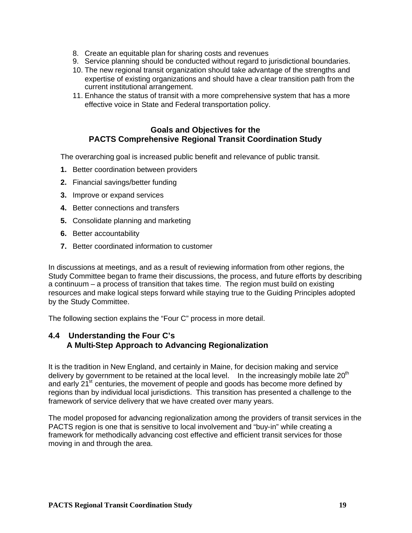- 8. Create an equitable plan for sharing costs and revenues
- 9. Service planning should be conducted without regard to jurisdictional boundaries.
- 10. The new regional transit organization should take advantage of the strengths and expertise of existing organizations and should have a clear transition path from the current institutional arrangement.
- 11. Enhance the status of transit with a more comprehensive system that has a more effective voice in State and Federal transportation policy.

## **Goals and Objectives for the PACTS Comprehensive Regional Transit Coordination Study**

The overarching goal is increased public benefit and relevance of public transit.

- **1.** Better coordination between providers
- **2.** Financial savings/better funding
- **3.** Improve or expand services
- **4.** Better connections and transfers
- **5.** Consolidate planning and marketing
- **6.** Better accountability
- **7.** Better coordinated information to customer

In discussions at meetings, and as a result of reviewing information from other regions, the Study Committee began to frame their discussions, the process, and future efforts by describing a continuum – a process of transition that takes time. The region must build on existing resources and make logical steps forward while staying true to the Guiding Principles adopted by the Study Committee.

The following section explains the "Four C" process in more detail.

## **4.4 Understanding the Four C's A Multi-Step Approach to Advancing Regionalization**

It is the tradition in New England, and certainly in Maine, for decision making and service delivery by government to be retained at the local level. In the increasingly mobile late  $20<sup>th</sup>$ and early  $21^{st}$  centuries, the movement of people and goods has become more defined by regions than by individual local jurisdictions. This transition has presented a challenge to the framework of service delivery that we have created over many years.

The model proposed for advancing regionalization among the providers of transit services in the PACTS region is one that is sensitive to local involvement and "buy-in" while creating a framework for methodically advancing cost effective and efficient transit services for those moving in and through the area.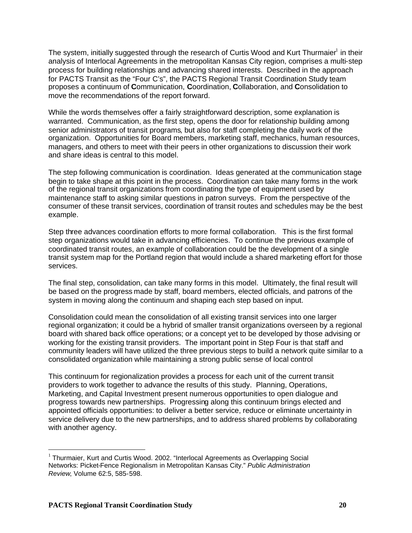The system, initially suggested through the research of Curtis Wood and Kurt Thurmaier $^{\text{I}}$  in their analysis of Interlocal Agreements in the metropolitan Kansas City region, comprises a multi-step process for building relationships and advancing shared interests. Described in the approach for PACTS Transit as the "Four C's", the PACTS Regional Transit Coordination Study team proposes a continuum of **C**ommunication, **C**oordination, **C**ollaboration, and **C**onsolidation to move the recommendations of the report forward.

While the words themselves offer a fairly straightforward description, some explanation is warranted. Communication, as the first step, opens the door for relationship building among senior administrators of transit programs, but also for staff completing the daily work of the organization. Opportunities for Board members, marketing staff, mechanics, human resources, managers, and others to meet with their peers in other organizations to discussion their work and share ideas is central to this model.

The step following communication is coordination. Ideas generated at the communication stage begin to take shape at this point in the process. Coordination can take many forms in the work of the regional transit organizations from coordinating the type of equipment used by maintenance staff to asking similar questions in patron surveys. From the perspective of the consumer of these transit services, coordination of transit routes and schedules may be the best example.

Step three advances coordination efforts to more formal collaboration. This is the first formal step organizations would take in advancing efficiencies. To continue the previous example of coordinated transit routes, an example of collaboration could be the development of a single transit system map for the Portland region that would include a shared marketing effort for those services.

The final step, consolidation, can take many forms in this model. Ultimately, the final result will be based on the progress made by staff, board members, elected officials, and patrons of the system in moving along the continuum and shaping each step based on input.

Consolidation could mean the consolidation of all existing transit services into one larger regional organization; it could be a hybrid of smaller transit organizations overseen by a regional board with shared back office operations; or a concept yet to be developed by those advising or working for the existing transit providers. The important point in Step Four is that staff and community leaders will have utilized the three previous steps to build a network quite similar to a consolidated organization while maintaining a strong public sense of local control

This continuum for regionalization provides a process for each unit of the current transit providers to work together to advance the results of this study. Planning, Operations, Marketing, and Capital Investment present numerous opportunities to open dialogue and progress towards new partnerships. Progressing along this continuum brings elected and appointed officials opportunities: to deliver a better service, reduce or eliminate uncertainty in service delivery due to the new partnerships, and to address shared problems by collaborating with another agency.

 $1$  Thurmaier, Kurt and Curtis Wood. 2002. "Interlocal Agreements as Overlapping Social Networks: Picket-Fence Regionalism in Metropolitan Kansas City." *Public Administration Review*, Volume 62:5, 585-598.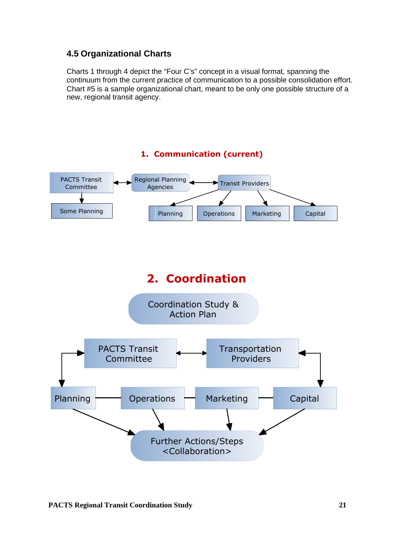# **4.5 Organizational Charts**

Charts 1 through 4 depict the "Four C's" concept in a visual format, spanning the continuum from the current practice of communication to a possible consolidation effort. Chart #5 is a sample organizational chart, meant to be only one possible structure of a new, regional transit agency.

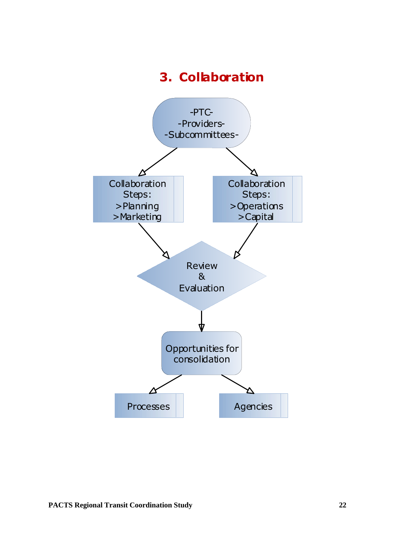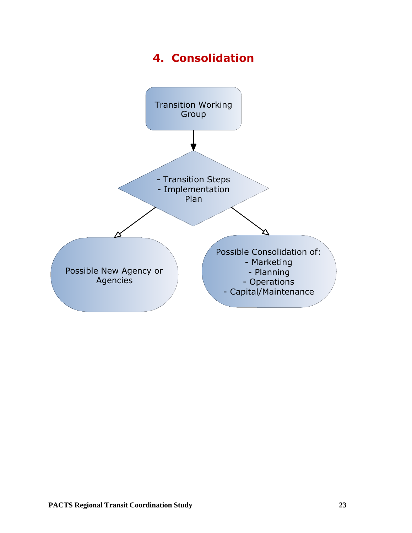# **4. Consolidation**

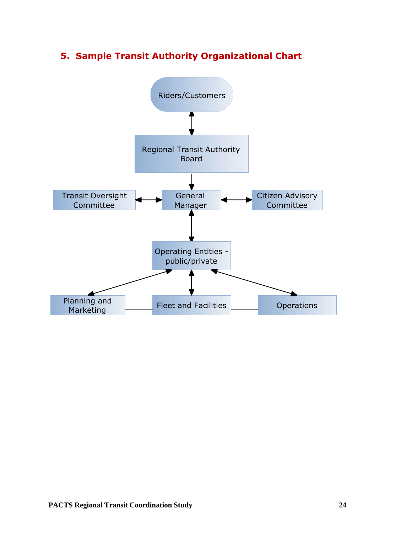# **5. Sample Transit Authority Organizational Chart**

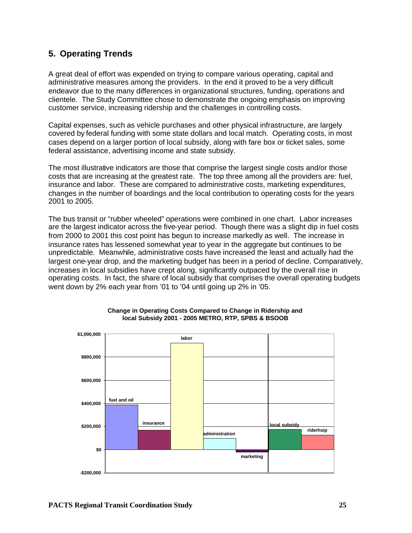# **5. Operating Trends**

A great deal of effort was expended on trying to compare various operating, capital and administrative measures among the providers. In the end it proved to be a very difficult endeavor due to the many differences in organizational structures, funding, operations and clientele. The Study Committee chose to demonstrate the ongoing emphasis on improving customer service, increasing ridership and the challenges in controlling costs.

Capital expenses, such as vehicle purchases and other physical infrastructure, are largely covered by federal funding with some state dollars and local match. Operating costs, in most cases depend on a larger portion of local subsidy, along with fare box or ticket sales, some federal assistance, advertising income and state subsidy.

The most illustrative indicators are those that comprise the largest single costs and/or those costs that are increasing at the greatest rate. The top three among all the providers are: fuel, insurance and labor. These are compared to administrative costs, marketing expenditures, changes in the number of boardings and the local contribution to operating costs for the years 2001 to 2005.

The bus transit or "rubber wheeled" operations were combined in one chart. Labor increases are the largest indicator across the five-year period. Though there was a slight dip in fuel costs from 2000 to 2001 this cost point has begun to increase markedly as well. The increase in insurance rates has lessened somewhat year to year in the aggregate but continues to be unpredictable. Meanwhile, administrative costs have increased the least and actually had the largest one-year drop, and the marketing budget has been in a period of decline. Comparatively, increases in local subsidies have crept along, significantly outpaced by the overall rise in operating costs. In fact, the share of local subsidy that comprises the overall operating budgets went down by 2% each year from '01 to '04 until going up 2% in '05.



#### **Change in Operating Costs Compared to Change in Ridership and local Subsidy 2001 - 2005 METRO, RTP, SPBS & BSOOB**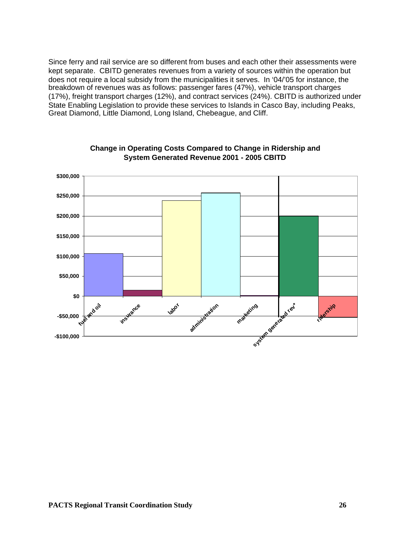Since ferry and rail service are so different from buses and each other their assessments were kept separate. CBITD generates revenues from a variety of sources within the operation but does not require a local subsidy from the municipalities it serves. In '04/'05 for instance, the breakdown of revenues was as follows: passenger fares (47%), vehicle transport charges (17%), freight transport charges (12%), and contract services (24%). CBITD is authorized under State Enabling Legislation to provide these services to Islands in Casco Bay, including Peaks, Great Diamond, Little Diamond, Long Island, Chebeague, and Cliff.



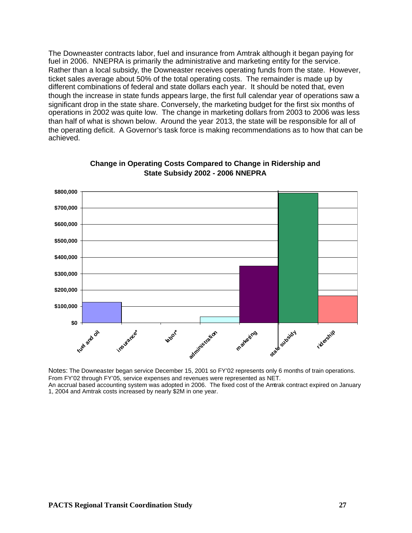The Downeaster contracts labor, fuel and insurance from Amtrak although it began paying for fuel in 2006. NNEPRA is primarily the administrative and marketing entity for the service. Rather than a local subsidy, the Downeaster receives operating funds from the state. However, ticket sales average about 50% of the total operating costs. The remainder is made up by different combinations of federal and state dollars each year. It should be noted that, even though the increase in state funds appears large, the first full calendar year of operations saw a significant drop in the state share. Conversely, the marketing budget for the first six months of operations in 2002 was quite low. The change in marketing dollars from 2003 to 2006 was less than half of what is shown below. Around the year 2013, the state will be responsible for all of the operating deficit. A Governor's task force is making recommendations as to how that can be achieved.



#### **Change in Operating Costs Compared to Change in Ridership and State Subsidy 2002 - 2006 NNEPRA**

Notes: The Downeaster began service December 15, 2001 so FY'02 represents only 6 months of train operations. From FY'02 through FY'05, service expenses and revenues were represented as NET. An accrual based accounting system was adopted in 2006. The fixed cost of the Amtrak contract expired on January 1, 2004 and Amtrak costs increased by nearly \$2M in one year.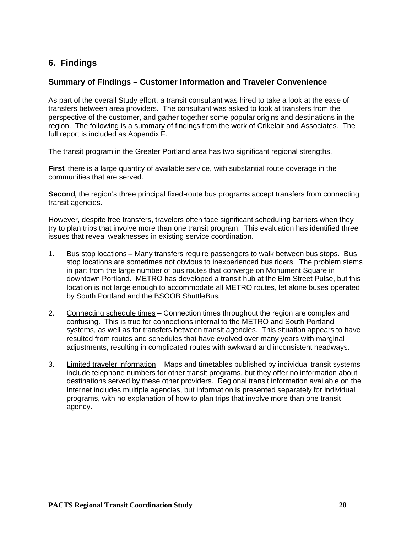# **6. Findings**

## **Summary of Findings – Customer Information and Traveler Convenience**

As part of the overall Study effort, a transit consultant was hired to take a look at the ease of transfers between area providers. The consultant was asked to look at transfers from the perspective of the customer, and gather together some popular origins and destinations in the region. The following is a summary of findings from the work of Crikelair and Associates. The full report is included as Appendix F.

The transit program in the Greater Portland area has two significant regional strengths.

**First**, there is a large quantity of available service, with substantial route coverage in the communities that are served.

**Second**, the region's three principal fixed-route bus programs accept transfers from connecting transit agencies.

However, despite free transfers, travelers often face significant scheduling barriers when they try to plan trips that involve more than one transit program. This evaluation has identified three issues that reveal weaknesses in existing service coordination.

- 1. Bus stop locations Many transfers require passengers to walk between bus stops. Bus stop locations are sometimes not obvious to inexperienced bus riders. The problem stems in part from the large number of bus routes that converge on Monument Square in downtown Portland. METRO has developed a transit hub at the Elm Street Pulse, but this location is not large enough to accommodate all METRO routes, let alone buses operated by South Portland and the BSOOB ShuttleBus.
- 2. Connecting schedule times Connection times throughout the region are complex and confusing. This is true for connections internal to the METRO and South Portland systems, as well as for transfers between transit agencies. This situation appears to have resulted from routes and schedules that have evolved over many years with marginal adjustments, resulting in complicated routes with awkward and inconsistent headways.
- 3. Limited traveler information Maps and timetables published by individual transit systems include telephone numbers for other transit programs, but they offer no information about destinations served by these other providers. Regional transit information available on the Internet includes multiple agencies, but information is presented separately for individual programs, with no explanation of how to plan trips that involve more than one transit agency.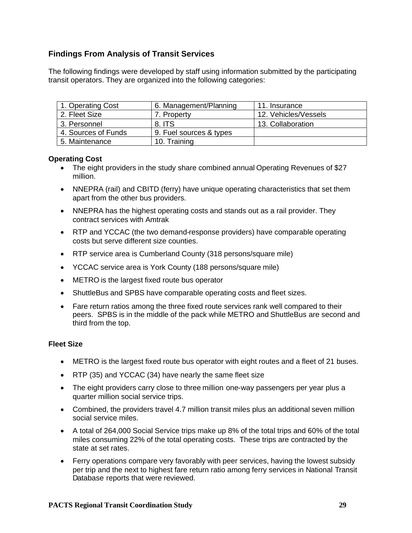# **Findings From Analysis of Transit Services**

The following findings were developed by staff using information submitted by the participating transit operators. They are organized into the following categories:

| 1. Operating Cost   | 6. Management/Planning  | 11. Insurance        |
|---------------------|-------------------------|----------------------|
| 2. Fleet Size       | 7. Property             | 12. Vehicles/Vessels |
| 3. Personnel        | 8. ITS                  | 13. Collaboration    |
| 4. Sources of Funds | 9. Fuel sources & types |                      |
| 5. Maintenance      | 10. Training            |                      |

#### **Operating Cost**

- The eight providers in the study share combined annual Operating Revenues of \$27 million.
- NNEPRA (rail) and CBITD (ferry) have unique operating characteristics that set them apart from the other bus providers.
- NNEPRA has the highest operating costs and stands out as a rail provider. They contract services with Amtrak
- RTP and YCCAC (the two demand-response providers) have comparable operating costs but serve different size counties.
- RTP service area is Cumberland County (318 persons/square mile)
- YCCAC service area is York County (188 persons/square mile)
- METRO is the largest fixed route bus operator
- ShuttleBus and SPBS have comparable operating costs and fleet sizes.
- Fare return ratios among the three fixed route services rank well compared to their peers. SPBS is in the middle of the pack while METRO and ShuttleBus are second and third from the top.

#### **Fleet Size**

- METRO is the largest fixed route bus operator with eight routes and a fleet of 21 buses.
- RTP (35) and YCCAC (34) have nearly the same fleet size
- The eight providers carry close to three million one-way passengers per year plus a quarter million social service trips.
- Combined, the providers travel 4.7 million transit miles plus an additional seven million social service miles.
- A total of 264,000 Social Service trips make up 8% of the total trips and 60% of the total miles consuming 22% of the total operating costs. These trips are contracted by the state at set rates.
- Ferry operations compare very favorably with peer services, having the lowest subsidy per trip and the next to highest fare return ratio among ferry services in National Transit Database reports that were reviewed.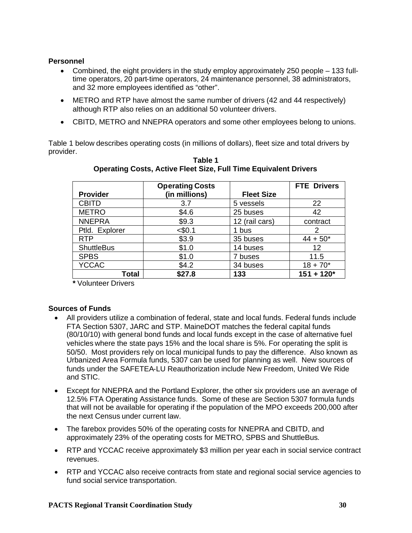### **Personnel**

- Combined, the eight providers in the study employ approximately 250 people 133 fulltime operators, 20 part-time operators, 24 maintenance personnel, 38 administrators, and 32 more employees identified as "other".
- METRO and RTP have almost the same number of drivers (42 and 44 respectively) although RTP also relies on an additional 50 volunteer drivers.
- CBITD, METRO and NNEPRA operators and some other employees belong to unions.

Table 1 below describes operating costs (in millions of dollars), fleet size and total drivers by provider.

|                   | <b>Operating Costs</b> |                   | <b>FTE Drivers</b> |
|-------------------|------------------------|-------------------|--------------------|
| <b>Provider</b>   | (in millions)          | <b>Fleet Size</b> |                    |
| <b>CBITD</b>      | 3.7                    | 5 vessels         | 22                 |
| <b>METRO</b>      | \$4.6                  | 25 buses          | 42                 |
| <b>NNEPRA</b>     | \$9.3                  | 12 (rail cars)    | contract           |
| Ptld. Explorer    | $<$ \$0.1              | 1 bus             |                    |
| <b>RTP</b>        | \$3.9                  | 35 buses          | $44 + 50*$         |
| <b>ShuttleBus</b> | \$1.0                  | 14 buses          | 12                 |
| <b>SPBS</b>       | \$1.0                  | 7 buses           | 11.5               |
| <b>YCCAC</b>      | \$4.2                  | 34 buses          | $18 + 70*$         |
| Total             | \$27.8                 | 133               | $151 + 120*$       |

**Table 1 Operating Costs, Active Fleet Size, Full Time Equivalent Drivers**

**\*** Volunteer Drivers

### **Sources of Funds**

- All providers utilize a combination of federal, state and local funds. Federal funds include FTA Section 5307, JARC and STP. MaineDOT matches the federal capital funds (80/10/10) with general bond funds and local funds except in the case of alternative fuel vehicles where the state pays 15% and the local share is 5%. For operating the split is 50/50. Most providers rely on local municipal funds to pay the difference. Also known as Urbanized Area Formula funds, 5307 can be used for planning as well. New sources of funds under the SAFETEA-LU Reauthorization include New Freedom, United We Ride and STIC.
- Except for NNEPRA and the Portland Explorer, the other six providers use an average of 12.5% FTA Operating Assistance funds. Some of these are Section 5307 formula funds that will not be available for operating if the population of the MPO exceeds 200,000 after the next Census under current law.
- The farebox provides 50% of the operating costs for NNEPRA and CBITD, and approximately 23% of the operating costs for METRO, SPBS and ShuttleBus.
- RTP and YCCAC receive approximately \$3 million per year each in social service contract revenues.
- RTP and YCCAC also receive contracts from state and regional social service agencies to fund social service transportation.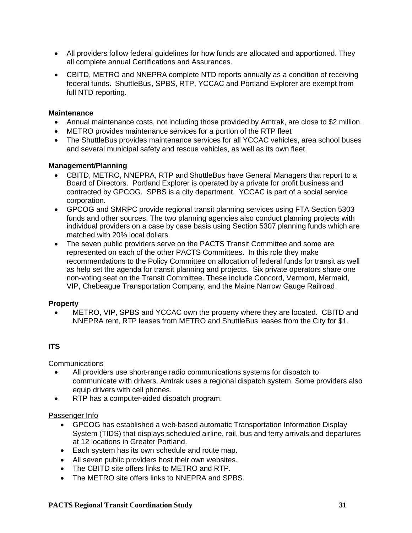- All providers follow federal guidelines for how funds are allocated and apportioned. They all complete annual Certifications and Assurances.
- CBITD, METRO and NNEPRA complete NTD reports annually as a condition of receiving federal funds. ShuttleBus, SPBS, RTP, YCCAC and Portland Explorer are exempt from full NTD reporting.

#### **Maintenance**

- Annual maintenance costs, not including those provided by Amtrak, are close to \$2 million.
- METRO provides maintenance services for a portion of the RTP fleet
- The ShuttleBus provides maintenance services for all YCCAC vehicles, area school buses and several municipal safety and rescue vehicles, as well as its own fleet.

#### **Management/Planning**

- CBITD, METRO, NNEPRA, RTP and ShuttleBus have General Managers that report to a Board of Directors. Portland Explorer is operated by a private for profit business and contracted by GPCOG. SPBS is a city department. YCCAC is part of a social service corporation.
- GPCOG and SMRPC provide regional transit planning services using FTA Section 5303 funds and other sources. The two planning agencies also conduct planning projects with individual providers on a case by case basis using Section 5307 planning funds which are matched with 20% local dollars.
- The seven public providers serve on the PACTS Transit Committee and some are represented on each of the other PACTS Committees. In this role they make recommendations to the Policy Committee on allocation of federal funds for transit as well as help set the agenda for transit planning and projects. Six private operators share one non-voting seat on the Transit Committee. These include Concord, Vermont, Mermaid, VIP, Chebeague Transportation Company, and the Maine Narrow Gauge Railroad.

### **Property**

 METRO, VIP, SPBS and YCCAC own the property where they are located. CBITD and NNEPRA rent, RTP leases from METRO and ShuttleBus leases from the City for \$1.

### **ITS**

### **Communications**

- All providers use short-range radio communications systems for dispatch to communicate with drivers. Amtrak uses a regional dispatch system. Some providers also equip drivers with cell phones.
- RTP has a computer-aided dispatch program.

#### Passenger Info

- GPCOG has established a web-based automatic Transportation Information Display System (TIDS) that displays scheduled airline, rail, bus and ferry arrivals and departures at 12 locations in Greater Portland.
- Each system has its own schedule and route map.
- All seven public providers host their own websites.
- The CBITD site offers links to METRO and RTP.
- The METRO site offers links to NNEPRA and SPBS.

#### **PACTS Regional Transit Coordination Study 31**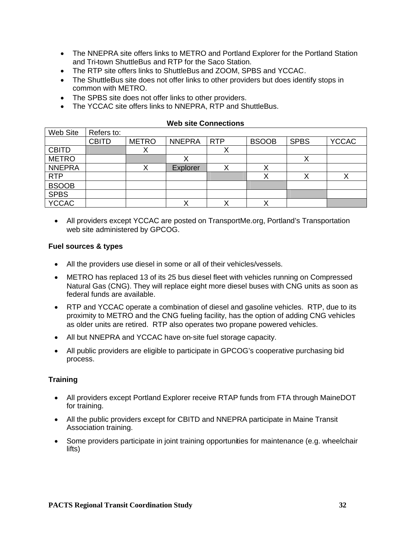- The NNEPRA site offers links to METRO and Portland Explorer for the Portland Station and Tri-town ShuttleBus and RTP for the Saco Station.
- The RTP site offers links to ShuttleBus and ZOOM, SPBS and YCCAC.
- The ShuttleBus site does not offer links to other providers but does identify stops in common with METRO.
- The SPBS site does not offer links to other providers.
- The YCCAC site offers links to NNEPRA, RTP and ShuttleBus.

| Web Site      | Refers to:   |              |               |            |              |             |              |
|---------------|--------------|--------------|---------------|------------|--------------|-------------|--------------|
|               | <b>CBITD</b> | <b>METRO</b> | <b>NNEPRA</b> | <b>RTP</b> | <b>BSOOB</b> | <b>SPBS</b> | <b>YCCAC</b> |
| <b>CBITD</b>  |              |              |               |            |              |             |              |
| <b>METRO</b>  |              |              |               |            |              |             |              |
| <b>NNEPRA</b> |              |              | Explorer      | Λ          |              |             |              |
| <b>RTP</b>    |              |              |               |            |              | ↗           |              |
| <b>BSOOB</b>  |              |              |               |            |              |             |              |
| <b>SPBS</b>   |              |              |               |            |              |             |              |
| <b>YCCAC</b>  |              |              |               |            |              |             |              |

#### **Web site Connections**

 All providers except YCCAC are posted on TransportMe.org, Portland's Transportation web site administered by GPCOG.

#### **Fuel sources & types**

- All the providers use diesel in some or all of their vehicles/vessels.
- METRO has replaced 13 of its 25 bus diesel fleet with vehicles running on Compressed Natural Gas (CNG). They will replace eight more diesel buses with CNG units as soon as federal funds are available.
- RTP and YCCAC operate a combination of diesel and gasoline vehicles. RTP, due to its proximity to METRO and the CNG fueling facility, has the option of adding CNG vehicles as older units are retired. RTP also operates two propane powered vehicles.
- All but NNEPRA and YCCAC have on-site fuel storage capacity.
- All public providers are eligible to participate in GPCOG's cooperative purchasing bid process.

### **Training**

- All providers except Portland Explorer receive RTAP funds from FTA through MaineDOT for training.
- All the public providers except for CBITD and NNEPRA participate in Maine Transit Association training.
- Some providers participate in joint training opportunities for maintenance (e.g. wheelchair lifts)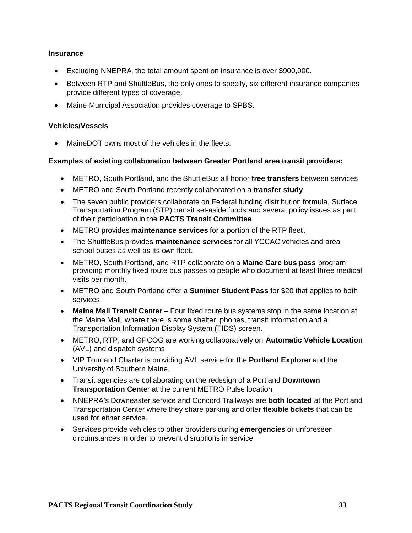#### **Insurance**

- Excluding NNEPRA, the total amount spent on insurance is over \$900,000.
- Between RTP and ShuttleBus, the only ones to specify, six different insurance companies provide different types of coverage.
- Maine Municipal Association provides coverage to SPBS.

#### **Vehicles/Vessels**

• MaineDOT owns most of the vehicles in the fleets.

#### **Examples of existing collaboration between Greater Portland area transit providers:**

- METRO, South Portland, and the ShuttleBus all honor **free transfers** between services
- METRO and South Portland recently collaborated on a **transfer study**
- The seven public providers collaborate on Federal funding distribution formula, Surface Transportation Program (STP) transit set-aside funds and several policy issues as part of their participation in the **PACTS Transit Committee**.
- METRO provides **maintenance services** for a portion of the RTP fleet.
- The ShuttleBus provides **maintenance services** for all YCCAC vehicles and area school buses as well as its own fleet.
- METRO, South Portland, and RTP collaborate on a **Maine Care bus pass** program providing monthly fixed route bus passes to people who document at least three medical visits per month.
- METRO and South Portland offer a **Summer Student Pass** for \$20 that applies to both services.
- **Maine Mall Transit Center** Four fixed route bus systems stop in the same location at the Maine Mall, where there is some shelter, phones, transit information and a Transportation Information Display System (TIDS) screen.
- METRO, RTP, and GPCOG are working collaboratively on **Automatic Vehicle Location** (AVL) and dispatch systems
- VIP Tour and Charter is providing AVL service for the **Portland Explorer** and the University of Southern Maine.
- Transit agencies are collaborating on the redesign of a Portland **Downtown Transportation Cente**r at the current METRO Pulse location
- NNEPRA's Downeaster service and Concord Trailways are **both located** at the Portland Transportation Center where they share parking and offer **flexible tickets** that can be used for either service.
- Services provide vehicles to other providers during **emergencies** or unforeseen circumstances in order to prevent disruptions in service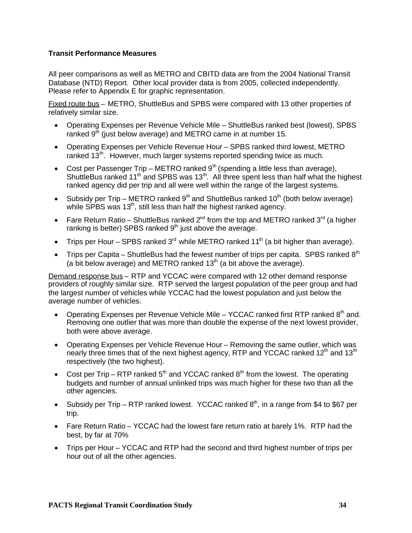### **Transit Performance Measures**

All peer comparisons as well as METRO and CBITD data are from the 2004 National Transit Database (NTD) Report. Other local provider data is from 2005, collected independently. Please refer to Appendix E for graphic representation.

Fixed route bus – METRO, ShuttleBus and SPBS were compared with 13 other properties of relatively similar size.

- Operating Expenses per Revenue Vehicle Mile ShuttleBus ranked best (lowest), SPBS ranked  $9<sup>th</sup>$  (just below average) and METRO came in at number 15.
- Operating Expenses per Vehicle Revenue Hour SPBS ranked third lowest, METRO ranked  $13<sup>th</sup>$ . However, much larger systems reported spending twice as much.
- Cost per Passenger Trip METRO ranked  $9<sup>th</sup>$  (spending a little less than average), ShuttleBus ranked 11<sup>th</sup> and SPBS was 13<sup>th</sup>. All three spent less than half what the highest ranked agency did per trip and all were well within the range of the largest systems.
- Subsidy per Trip METRO ranked  $9<sup>th</sup>$  and ShuttleBus ranked 10<sup>th</sup> (both below average) while SPBS was 13<sup>th</sup>, still less than half the highest ranked agency.
- Fare Return Ratio ShuttleBus ranked  $2^{nd}$  from the top and METRO ranked 3<sup>rd</sup> (a higher ranking is better) SPBS ranked 9<sup>th</sup> just above the average.
- Trips per Hour SPBS ranked  $3<sup>rd</sup>$  while METRO ranked 11<sup>th</sup> (a bit higher than average).
- Trips per Capita ShuttleBus had the fewest number of trips per capita. SPBS ranked  $8<sup>th</sup>$ (a bit below average) and METRO ranked  $13<sup>th</sup>$  (a bit above the average).

Demand response bus – RTP and YCCAC were compared with 12 other demand response providers of roughly similar size. RTP served the largest population of the peer group and had the largest number of vehicles while YCCAC had the lowest population and just below the average number of vehicles.

- Operating Expenses per Revenue Vehicle Mile YCCAC ranked first RTP ranked  $8<sup>th</sup>$  and. Removing one outlier that was more than double the expense of the next lowest provider, both were above average.
- Operating Expenses per Vehicle Revenue Hour Removing the same outlier, which was nearly three times that of the next highest agency, RTP and YCCAC ranked 12<sup>th</sup> and 13<sup>th</sup> respectively (the two highest).
- Cost per Trip RTP ranked  $5<sup>th</sup>$  and YCCAC ranked  $8<sup>th</sup>$  from the lowest. The operating budgets and number of annual unlinked trips was much higher for these two than all the other agencies.
- Subsidy per Trip RTP ranked lowest. YCCAC ranked  $8<sup>th</sup>$ , in a range from \$4 to \$67 per trip.
- Fare Return Ratio YCCAC had the lowest fare return ratio at barely 1%. RTP had the best, by far at 70%
- Trips per Hour YCCAC and RTP had the second and third highest number of trips per hour out of all the other agencies.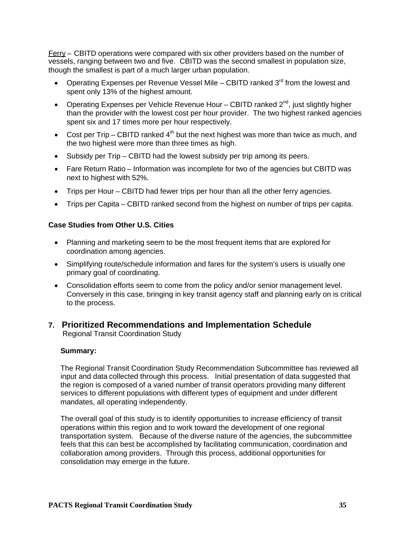Ferry – CBITD operations were compared with six other providers based on the number of vessels, ranging between two and five. CBITD was the second smallest in population size, though the smallest is part of a much larger urban population.

- Operating Expenses per Revenue Vessel Mile CBITD ranked  $3<sup>rd</sup>$  from the lowest and spent only 13% of the highest amount.
- Operating Expenses per Vehicle Revenue Hour CBITD ranked  $2^{nd}$ , just slightly higher than the provider with the lowest cost per hour provider. The two highest ranked agencies spent six and 17 times more per hour respectively.
- Cost per Trip CBITD ranked  $4<sup>th</sup>$  but the next highest was more than twice as much, and the two highest were more than three times as high.
- Subsidy per Trip CBITD had the lowest subsidy per trip among its peers.
- Fare Return Ratio Information was incomplete for two of the agencies but CBITD was next to highest with 52%.
- Trips per Hour CBITD had fewer trips per hour than all the other ferry agencies.
- Trips per Capita CBITD ranked second from the highest on number of trips per capita.

### **Case Studies from Other U.S. Cities**

- Planning and marketing seem to be the most frequent items that are explored for coordination among agencies.
- Simplifying route/schedule information and fares for the system's users is usually one primary goal of coordinating.
- Consolidation efforts seem to come from the policy and/or senior management level. Conversely in this case, bringing in key transit agency staff and planning early on is critical to the process.

### **7. Prioritized Recommendations and Implementation Schedule**

Regional Transit Coordination Study

### **Summary:**

The Regional Transit Coordination Study Recommendation Subcommittee has reviewed all input and data collected through this process. Initial presentation of data suggested that the region is composed of a varied number of transit operators providing many different services to different populations with different types of equipment and under different mandates, all operating independently.

The overall goal of this study is to identify opportunities to increase efficiency of transit operations within this region and to work toward the development of one regional transportation system. Because of the diverse nature of the agencies, the subcommittee feels that this can best be accomplished by facilitating communication, coordination and collaboration among providers. Through this process, additional opportunities for consolidation may emerge in the future.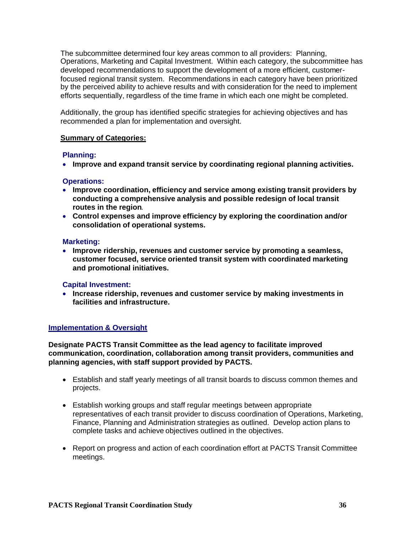The subcommittee determined four key areas common to all providers: Planning, Operations, Marketing and Capital Investment. Within each category, the subcommittee has developed recommendations to support the development of a more efficient, customerfocused regional transit system. Recommendations in each category have been prioritized by the perceived ability to achieve results and with consideration for the need to implement efforts sequentially, regardless of the time frame in which each one might be completed.

Additionally, the group has identified specific strategies for achieving objectives and has recommended a plan for implementation and oversight.

#### **Summary of Categories:**

#### **Planning:**

**Improve and expand transit service by coordinating regional planning activities.**

#### **Operations:**

- **Improve coordination, efficiency and service among existing transit providers by conducting a comprehensive analysis and possible redesign of local transit routes in the region**.
- **Control expenses and improve efficiency by exploring the coordination and/or consolidation of operational systems.**

#### **Marketing:**

 **Improve ridership, revenues and customer service by promoting a seamless, customer focused, service oriented transit system with coordinated marketing and promotional initiatives.**

#### **Capital Investment:**

 **Increase ridership, revenues and customer service by making investments in facilities and infrastructure.**

#### **Implementation & Oversight**

**Designate PACTS Transit Committee as the lead agency to facilitate improved communication, coordination, collaboration among transit providers, communities and planning agencies, with staff support provided by PACTS.**

- Establish and staff yearly meetings of all transit boards to discuss common themes and projects.
- Establish working groups and staff regular meetings between appropriate representatives of each transit provider to discuss coordination of Operations, Marketing, Finance, Planning and Administration strategies as outlined. Develop action plans to complete tasks and achieve objectives outlined in the objectives.
- Report on progress and action of each coordination effort at PACTS Transit Committee meetings.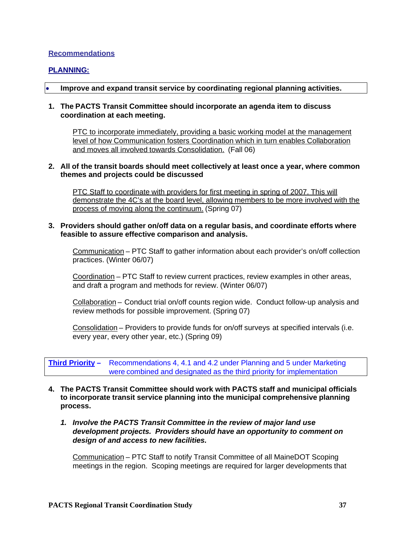#### **Recommendations**

#### **PLANNING:**

#### **Improve and expand transit service by coordinating regional planning activities.**

#### **1. The PACTS Transit Committee should incorporate an agenda item to discuss coordination at each meeting.**

PTC to incorporate immediately, providing a basic working model at the management level of how Communication fosters Coordination which in turn enables Collaboration and moves all involved towards Consolidation. (Fall 06)

#### **2. All of the transit boards should meet collectively at least once a year, where common themes and projects could be discussed**

PTC Staff to coordinate with providers for first meeting in spring of 2007. This will demonstrate the 4C's at the board level, allowing members to be more involved with the process of moving along the continuum. (Spring 07)

#### **3. Providers should gather on/off data on a regular basis, and coordinate efforts where feasible to assure effective comparison and analysis.**

Communication – PTC Staff to gather information about each provider's on/off collection practices. (Winter 06/07)

Coordination – PTC Staff to review current practices, review examples in other areas, and draft a program and methods for review. (Winter 06/07)

Collaboration – Conduct trial on/off counts region wide. Conduct follow-up analysis and review methods for possible improvement. (Spring 07)

Consolidation – Providers to provide funds for on/off surveys at specified intervals (i.e. every year, every other year, etc.) (Spring 09)

**Third Priority –** Recommendations 4, 4.1 and 4.2 under Planning and 5 under Marketing were combined and designated as the third priority for implementation

- **4. The PACTS Transit Committee should work with PACTS staff and municipal officials to incorporate transit service planning into the municipal comprehensive planning process.**
	- *1. Involve the PACTS Transit Committee in the review of major land use development projects. Providers should have an opportunity to comment on design of and access to new facilities.*

Communication – PTC Staff to notify Transit Committee of all MaineDOT Scoping meetings in the region. Scoping meetings are required for larger developments that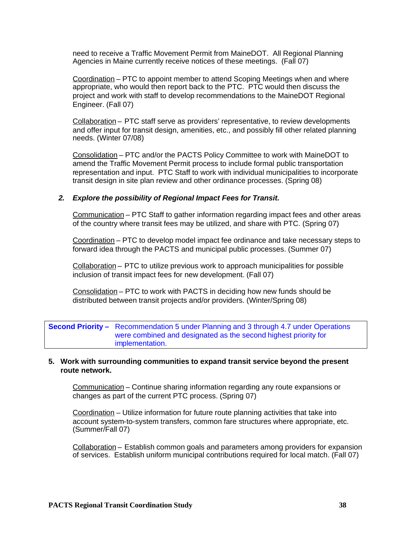need to receive a Traffic Movement Permit from MaineDOT. All Regional Planning Agencies in Maine currently receive notices of these meetings. (Fall 07)

Coordination – PTC to appoint member to attend Scoping Meetings when and where appropriate, who would then report back to the PTC. PTC would then discuss the project and work with staff to develop recommendations to the MaineDOT Regional Engineer. (Fall 07)

Collaboration – PTC staff serve as providers' representative, to review developments and offer input for transit design, amenities, etc., and possibly fill other related planning needs. (Winter 07/08)

Consolidation – PTC and/or the PACTS Policy Committee to work with MaineDOT to amend the Traffic Movement Permit process to include formal public transportation representation and input. PTC Staff to work with individual municipalities to incorporate transit design in site plan review and other ordinance processes. (Spring 08)

#### *2. Explore the possibility of Regional Impact Fees for Transit.*

Communication – PTC Staff to gather information regarding impact fees and other areas of the country where transit fees may be utilized, and share with PTC. (Spring 07)

Coordination – PTC to develop model impact fee ordinance and take necessary steps to forward idea through the PACTS and municipal public processes. (Summer 07)

Collaboration – PTC to utilize previous work to approach municipalities for possible inclusion of transit impact fees for new development. (Fall 07)

Consolidation – PTC to work with PACTS in deciding how new funds should be distributed between transit projects and/or providers. (Winter/Spring 08)

**Second Priority –** Recommendation 5 under Planning and 3 through 4.7 under Operations were combined and designated as the second highest priority for implementation.

#### **5. Work with surrounding communities to expand transit service beyond the present route network.**

Communication – Continue sharing information regarding any route expansions or changes as part of the current PTC process. (Spring 07)

Coordination – Utilize information for future route planning activities that take into account system-to-system transfers, common fare structures where appropriate, etc. (Summer/Fall 07)

Collaboration – Establish common goals and parameters among providers for expansion of services. Establish uniform municipal contributions required for local match. (Fall 07)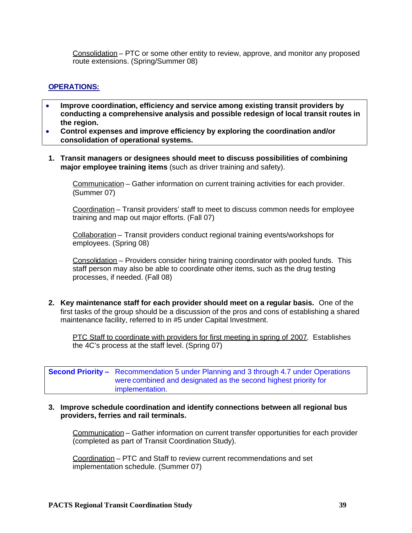Consolidation – PTC or some other entity to review, approve, and monitor any proposed route extensions. (Spring/Summer 08)

#### **OPERATIONS:**

- **Improve coordination, efficiency and service among existing transit providers by conducting a comprehensive analysis and possible redesign of local transit routes in the region.**
- **Control expenses and improve efficiency by exploring the coordination and/or consolidation of operational systems.**
- **1. Transit managers or designees should meet to discuss possibilities of combining major employee training items** (such as driver training and safety).

Communication – Gather information on current training activities for each provider. (Summer 07)

Coordination – Transit providers' staff to meet to discuss common needs for employee training and map out major efforts. (Fall 07)

Collaboration – Transit providers conduct regional training events/workshops for employees. (Spring 08)

Consolidation – Providers consider hiring training coordinator with pooled funds. This staff person may also be able to coordinate other items, such as the drug testing processes, if needed. (Fall 08)

**2. Key maintenance staff for each provider should meet on a regular basis.** One of the first tasks of the group should be a discussion of the pros and cons of establishing a shared maintenance facility, referred to in #5 under Capital Investment.

PTC Staff to coordinate with providers for first meeting in spring of 2007. Establishes the 4C's process at the staff level. (Spring 07)

**Second Priority –** Recommendation 5 under Planning and 3 through 4.7 under Operations were combined and designated as the second highest priority for implementation.

#### **3. Improve schedule coordination and identify connections between all regional bus providers, ferries and rail terminals.**

Communication – Gather information on current transfer opportunities for each provider (completed as part of Transit Coordination Study).

Coordination – PTC and Staff to review current recommendations and set implementation schedule. (Summer 07)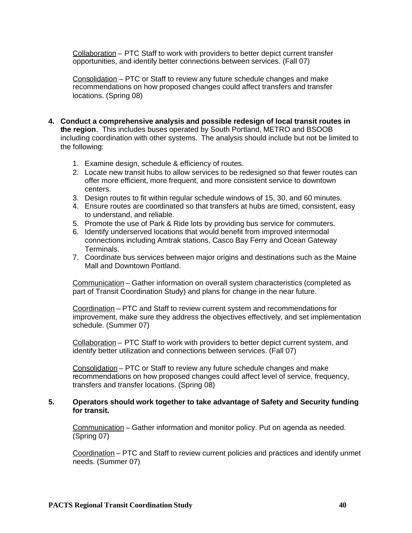Collaboration – PTC Staff to work with providers to better depict current transfer opportunities, and identify better connections between services. (Fall 07)

Consolidation – PTC or Staff to review any future schedule changes and make recommendations on how proposed changes could affect transfers and transfer locations. (Spring 08)

- **4. Conduct a comprehensive analysis and possible redesign of local transit routes in the region**. This includes buses operated by South Portland, METRO and BSOOB including coordination with other systems. The analysis should include but not be limited to the following:
	- 1. Examine design, schedule & efficiency of routes.
	- 2. Locate new transit hubs to allow services to be redesigned so that fewer routes can offer more efficient, more frequent, and more consistent service to downtown centers.
	- 3. Design routes to fit within regular schedule windows of 15, 30, and 60 minutes.
	- 4. Ensure routes are coordinated so that transfers at hubs are timed, consistent, easy to understand, and reliable.
	- 5. Promote the use of Park & Ride lots by providing bus service for commuters.
	- 6. Identify underserved locations that would benefit from improved intermodal connections including Amtrak stations, Casco Bay Ferry and Ocean Gateway Terminals.
	- 7. Coordinate bus services between major origins and destinations such as the Maine Mall and Downtown Portland.

Communication – Gather information on overall system characteristics (completed as part of Transit Coordination Study) and plans for change in the near future.

Coordination – PTC and Staff to review current system and recommendations for improvement, make sure they address the objectives effectively, and set implementation schedule. (Summer 07)

Collaboration – PTC Staff to work with providers to better depict current system, and identify better utilization and connections between services. (Fall 07)

Consolidation – PTC or Staff to review any future schedule changes and make recommendations on how proposed changes could affect level of service, frequency, transfers and transfer locations. (Spring 08)

#### **5. Operators should work together to take advantage of Safety and Security funding for transit.**

Communication – Gather information and monitor policy. Put on agenda as needed. (Spring 07)

Coordination – PTC and Staff to review current policies and practices and identify unmet needs. (Summer 07)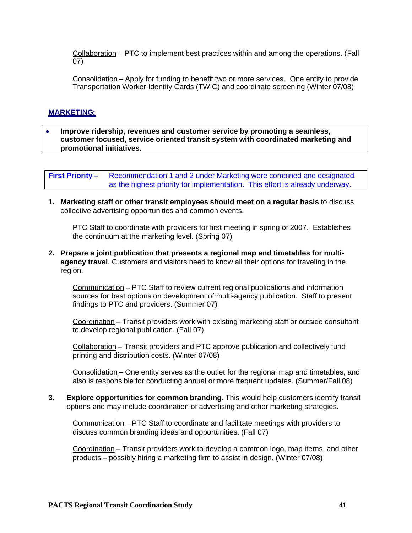Collaboration – PTC to implement best practices within and among the operations. (Fall 07)

Consolidation – Apply for funding to benefit two or more services. One entity to provide Transportation Worker Identity Cards (TWIC) and coordinate screening (Winter 07/08)

#### **MARKETING:**

 **Improve ridership, revenues and customer service by promoting a seamless, customer focused, service oriented transit system with coordinated marketing and promotional initiatives.**

**First Priority –** Recommendation 1 and 2 under Marketing were combined and designated as the highest priority for implementation. This effort is already underway.

**1. Marketing staff or other transit employees should meet on a regular basis** to discuss collective advertising opportunities and common events.

PTC Staff to coordinate with providers for first meeting in spring of 2007. Establishes the continuum at the marketing level. (Spring 07)

**2. Prepare a joint publication that presents a regional map and timetables for multiagency travel**. Customers and visitors need to know all their options for traveling in the region.

Communication – PTC Staff to review current regional publications and information sources for best options on development of multi-agency publication. Staff to present findings to PTC and providers. (Summer 07)

Coordination – Transit providers work with existing marketing staff or outside consultant to develop regional publication. (Fall 07)

Collaboration – Transit providers and PTC approve publication and collectively fund printing and distribution costs. (Winter 07/08)

Consolidation – One entity serves as the outlet for the regional map and timetables, and also is responsible for conducting annual or more frequent updates. (Summer/Fall 08)

**3. Explore opportunities for common branding**. This would help customers identify transit options and may include coordination of advertising and other marketing strategies.

Communication – PTC Staff to coordinate and facilitate meetings with providers to discuss common branding ideas and opportunities. (Fall 07)

Coordination – Transit providers work to develop a common logo, map items, and other products – possibly hiring a marketing firm to assist in design. (Winter 07/08)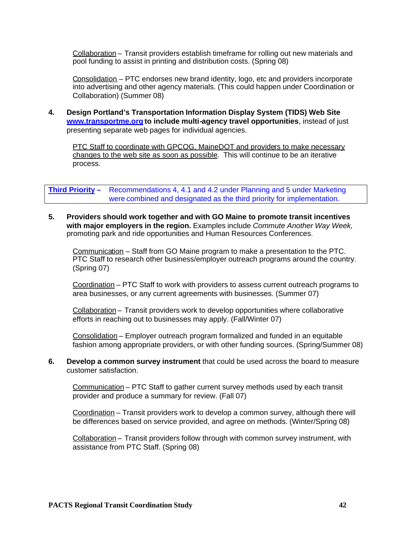Collaboration – Transit providers establish timeframe for rolling out new materials and pool funding to assist in printing and distribution costs. (Spring 08)

Consolidation – PTC endorses new brand identity, logo, etc and providers incorporate into advertising and other agency materials. (This could happen under Coordination or Collaboration) (Summer 08)

**4. Design Portland's Transportation Information Display System (TIDS) Web Site www.transportme.org to include multi-agency travel opportunities**, instead of just presenting separate web pages for individual agencies.

PTC Staff to coordinate with GPCOG, MaineDOT and providers to make necessary changes to the web site as soon as possible. This will continue to be an iterative process.

**Third Priority –** Recommendations 4, 4.1 and 4.2 under Planning and 5 under Marketing were combined and designated as the third priority for implementation.

**5. Providers should work together and with GO Maine to promote transit incentives with major employers in the region.** Examples include *Commute Another Way Week,* promoting park and ride opportunities and Human Resources Conferences.

Communication – Staff from GO Maine program to make a presentation to the PTC. PTC Staff to research other business/employer outreach programs around the country. (Spring 07)

Coordination – PTC Staff to work with providers to assess current outreach programs to area businesses, or any current agreements with businesses. (Summer 07)

Collaboration – Transit providers work to develop opportunities where collaborative efforts in reaching out to businesses may apply. (Fall/Winter 07)

Consolidation – Employer outreach program formalized and funded in an equitable fashion among appropriate providers, or with other funding sources. (Spring/Summer 08)

**6. Develop a common survey instrument** that could be used across the board to measure customer satisfaction.

Communication – PTC Staff to gather current survey methods used by each transit provider and produce a summary for review. (Fall 07)

Coordination – Transit providers work to develop a common survey, although there will be differences based on service provided, and agree on methods. (Winter/Spring 08)

Collaboration – Transit providers follow through with common survey instrument, with assistance from PTC Staff. (Spring 08)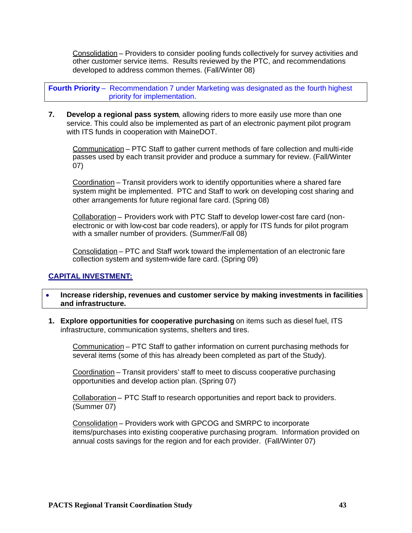Consolidation – Providers to consider pooling funds collectively for survey activities and other customer service items. Results reviewed by the PTC, and recommendations developed to address common themes. (Fall/Winter 08)

**Fourth Priority** – Recommendation 7 under Marketing was designated as the fourth highest priority for implementation.

**7. Develop a regional pass system**, allowing riders to more easily use more than one service. This could also be implemented as part of an electronic payment pilot program with ITS funds in cooperation with MaineDOT.

Communication – PTC Staff to gather current methods of fare collection and multi-ride passes used by each transit provider and produce a summary for review. (Fall/Winter 07)

Coordination – Transit providers work to identify opportunities where a shared fare system might be implemented. PTC and Staff to work on developing cost sharing and other arrangements for future regional fare card. (Spring 08)

Collaboration – Providers work with PTC Staff to develop lower-cost fare card (nonelectronic or with low-cost bar code readers), or apply for ITS funds for pilot program with a smaller number of providers. (Summer/Fall 08)

Consolidation – PTC and Staff work toward the implementation of an electronic fare collection system and system-wide fare card. (Spring 09)

### **CAPITAL INVESTMENT:**

- **Increase ridership, revenues and customer service by making investments in facilities and infrastructure.**
- **1. Explore opportunities for cooperative purchasing** on items such as diesel fuel, ITS infrastructure, communication systems, shelters and tires.

Communication – PTC Staff to gather information on current purchasing methods for several items (some of this has already been completed as part of the Study).

Coordination – Transit providers' staff to meet to discuss cooperative purchasing opportunities and develop action plan. (Spring 07)

Collaboration – PTC Staff to research opportunities and report back to providers. (Summer 07)

Consolidation – Providers work with GPCOG and SMRPC to incorporate items/purchases into existing cooperative purchasing program. Information provided on annual costs savings for the region and for each provider. (Fall/Winter 07)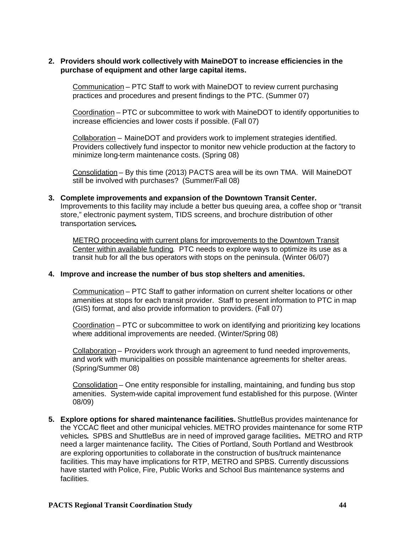#### **2. Providers should work collectively with MaineDOT to increase efficiencies in the purchase of equipment and other large capital items.**

Communication – PTC Staff to work with MaineDOT to review current purchasing practices and procedures and present findings to the PTC. (Summer 07)

Coordination – PTC or subcommittee to work with MaineDOT to identify opportunities to increase efficiencies and lower costs if possible. (Fall 07)

Collaboration – MaineDOT and providers work to implement strategies identified. Providers collectively fund inspector to monitor new vehicle production at the factory to minimize long-term maintenance costs. (Spring 08)

Consolidation – By this time (2013) PACTS area will be its own TMA. Will MaineDOT still be involved with purchases? (Summer/Fall 08)

### **3. Complete improvements and expansion of the Downtown Transit Center.**

Improvements to this facility may include a better bus queuing area, a coffee shop or "transit store," electronic payment system, TIDS screens, and brochure distribution of other transportation services**.**

METRO proceeding with current plans for improvements to the Downtown Transit Center within available funding. PTC needs to explore ways to optimize its use as a transit hub for all the bus operators with stops on the peninsula. (Winter 06/07)

#### **4. Improve and increase the number of bus stop shelters and amenities.**

Communication – PTC Staff to gather information on current shelter locations or other amenities at stops for each transit provider. Staff to present information to PTC in map (GIS) format, and also provide information to providers. (Fall 07)

Coordination – PTC or subcommittee to work on identifying and prioritizing key locations where additional improvements are needed. (Winter/Spring 08)

Collaboration – Providers work through an agreement to fund needed improvements, and work with municipalities on possible maintenance agreements for shelter areas. (Spring/Summer 08)

Consolidation – One entity responsible for installing, maintaining, and funding bus stop amenities. System-wide capital improvement fund established for this purpose. (Winter 08/09)

**5. Explore options for shared maintenance facilities.** ShuttleBus provides maintenance for the YCCAC fleet and other municipal vehicles. METRO provides maintenance for some RTP vehicles**.** SPBS and ShuttleBus are in need of improved garage facilities**.** METRO and RTP need a larger maintenance facility**.** The Cities of Portland, South Portland and Westbrook are exploring opportunities to collaborate in the construction of bus/truck maintenance facilities. This may have implications for RTP, METRO and SPBS. Currently discussions have started with Police, Fire, Public Works and School Bus maintenance systems and facilities.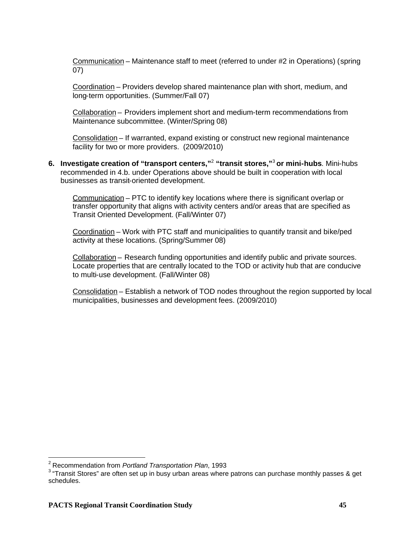Communication – Maintenance staff to meet (referred to under #2 in Operations) (spring 07)

Coordination – Providers develop shared maintenance plan with short, medium, and long-term opportunities. (Summer/Fall 07)

Collaboration – Providers implement short and medium-term recommendations from Maintenance subcommittee. (Winter/Spring 08)

Consolidation – If warranted, expand existing or construct new regional maintenance facility for two or more providers. (2009/2010)

**6. Investigate creation of "transport centers,"**<sup>2</sup> **"transit stores,"**<sup>3</sup> **or mini-hubs**. Mini-hubs recommended in 4.b. under Operations above should be built in cooperation with local businesses as transit-oriented development.

Communication – PTC to identify key locations where there is significant overlap or transfer opportunity that aligns with activity centers and/or areas that are specified as Transit Oriented Development. (Fall/Winter 07)

Coordination – Work with PTC staff and municipalities to quantify transit and bike/ped activity at these locations. (Spring/Summer 08)

Collaboration – Research funding opportunities and identify public and private sources. Locate properties that are centrally located to the TOD or activity hub that are conducive to multi-use development. (Fall/Winter 08)

Consolidation – Establish a network of TOD nodes throughout the region supported by local municipalities, businesses and development fees. (2009/2010)

<sup>2</sup> Recommendation from *Portland Transportation Plan*, 1993

 $3$  "Transit Stores" are often set up in busy urban areas where patrons can purchase monthly passes & get schedules.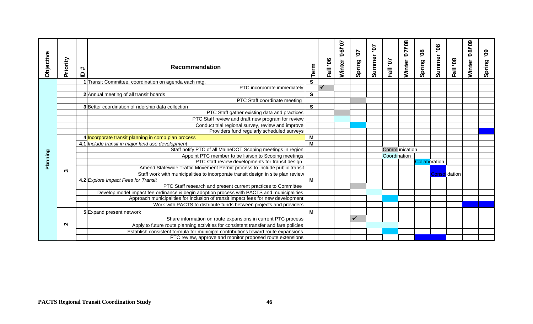| <b>Objective</b> | Priority | $\ddot{}$                | <b>Recommendation</b>                                                                                |              | Fall '06 | 10.790.<br>Winter | 70.<br>Spring | 5.<br>Summer | Fall '07     | Winter '07/'08 | 80°<br>Spring | <b>80.</b><br>Summer | Fall '08             | 60./80.<br>Winter | <u>ဇွ</u><br>Spring |
|------------------|----------|--------------------------|------------------------------------------------------------------------------------------------------|--------------|----------|-------------------|---------------|--------------|--------------|----------------|---------------|----------------------|----------------------|-------------------|---------------------|
|                  |          | $\mathbf{\underline{o}}$ |                                                                                                      | Term         |          |                   |               |              |              |                |               |                      |                      |                   |                     |
|                  |          |                          | Transit Committee, coordination on agenda each mtg.                                                  | S            |          |                   |               |              |              |                |               |                      |                      |                   |                     |
|                  |          |                          | PTC incorporate immediately                                                                          |              |          |                   |               |              |              |                |               |                      |                      |                   |                     |
|                  |          |                          | 2 Annual meeting of all transit boards                                                               | $\mathbf{s}$ |          |                   |               |              |              |                |               |                      |                      |                   |                     |
|                  |          |                          | PTC Staff coordinate meeting                                                                         |              |          |                   |               |              |              |                |               |                      |                      |                   |                     |
|                  |          |                          | 3 Better coordination of ridership data collection                                                   | $\mathbf{s}$ |          |                   |               |              |              |                |               |                      |                      |                   |                     |
|                  |          |                          | PTC Staff gather existing data and practices                                                         |              |          |                   |               |              |              |                |               |                      |                      |                   |                     |
|                  |          |                          | PTC Staff review and draft new program for review                                                    |              |          |                   |               |              |              |                |               |                      |                      |                   |                     |
|                  |          |                          | Conduct trial regional survey, review and improve                                                    |              |          |                   |               |              |              |                |               |                      |                      |                   |                     |
|                  |          |                          | Providers fund regularly scheduled surveys                                                           |              |          |                   |               |              |              |                |               |                      |                      |                   |                     |
|                  |          |                          | 4 Incorporate transit planning in comp plan process                                                  | М            |          |                   |               |              |              |                |               |                      |                      |                   |                     |
|                  |          |                          | 4.1 Include transit in major land use development                                                    | M            |          |                   |               |              |              |                |               |                      |                      |                   |                     |
|                  |          |                          | Staff notify PTC of all MaineDOT Scoping meetings in region                                          |              |          |                   |               |              |              | Communication  |               |                      |                      |                   |                     |
| Planning         |          |                          | Appoint PTC member to be liaison to Scoping meetings                                                 |              |          |                   |               |              | Coordination |                |               |                      |                      |                   |                     |
|                  |          |                          | PTC staff review developments for transit design                                                     |              |          |                   |               |              |              |                | Collaboration |                      |                      |                   |                     |
|                  | ო        |                          | Amend Statewide Traffic Movement Permit process to include public transit                            |              |          |                   |               |              |              |                |               |                      |                      |                   |                     |
|                  |          |                          | Staff work with municipalities to incorporate transit design in site plan review                     | M            |          |                   |               |              |              |                |               |                      | <b>Consolidation</b> |                   |                     |
|                  |          |                          | 4.2 Explore Impact Fees for Transit<br>PTC Staff research and present current practices to Committee |              |          |                   |               |              |              |                |               |                      |                      |                   |                     |
|                  |          |                          | Develop model impact fee ordinance & begin adoption process with PACTS and municipalities            |              |          |                   |               |              |              |                |               |                      |                      |                   |                     |
|                  |          |                          | Approach municipalities for inclusion of transit impact fees for new development                     |              |          |                   |               |              |              |                |               |                      |                      |                   |                     |
|                  |          |                          | Work with PACTS to distribute funds between projects and providers                                   |              |          |                   |               |              |              |                |               |                      |                      |                   |                     |
|                  |          |                          | 5 Expand present network                                                                             | M            |          |                   |               |              |              |                |               |                      |                      |                   |                     |
|                  |          |                          |                                                                                                      |              |          |                   | ✓             |              |              |                |               |                      |                      |                   |                     |
|                  | $\sim$   |                          | Share information on route expansions in current PTC process                                         |              |          |                   |               |              |              |                |               |                      |                      |                   |                     |
|                  |          |                          | Apply to future route planning activities for consistent transfer and fare policies                  |              |          |                   |               |              |              |                |               |                      |                      |                   |                     |
|                  |          |                          | Establish consistent formula for municipal contributions toward route expansions                     |              |          |                   |               |              |              |                |               |                      |                      |                   |                     |
|                  |          |                          | PTC review, approve and monitor proposed route extensions                                            |              |          |                   |               |              |              |                |               |                      |                      |                   |                     |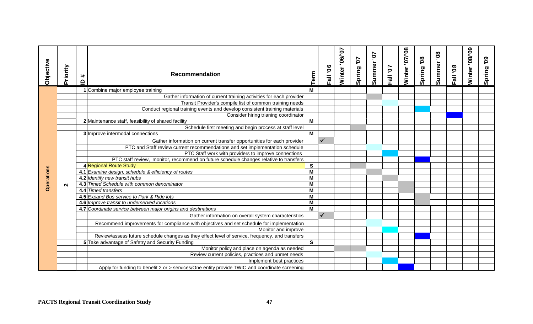| Objective         | Priority          | $\pmb{\ast}$<br>$\mathbf{P}$ | <b>Recommendation</b>                                                                           | Term | Fall '06     | 106/07<br>Winter | 70<br>Spring | ΣQ.<br>Summer | Fall '07 | Winter '07/'08 | 80<br>Spring | <b>80.</b><br>Summer | Fall '08 | 60./80.<br>Winter | $\mathbf{50}$<br>Spring |
|-------------------|-------------------|------------------------------|-------------------------------------------------------------------------------------------------|------|--------------|------------------|--------------|---------------|----------|----------------|--------------|----------------------|----------|-------------------|-------------------------|
|                   |                   |                              | 1 Combine major employee training                                                               | M    |              |                  |              |               |          |                |              |                      |          |                   |                         |
|                   |                   |                              | Gather information of current training activities for each provider                             |      |              |                  |              |               |          |                |              |                      |          |                   |                         |
|                   |                   |                              | Transit Provider's compile list of common training needs                                        |      |              |                  |              |               |          |                |              |                      |          |                   |                         |
|                   |                   |                              | Conduct regional training events and develop consistent training materials                      |      |              |                  |              |               |          |                |              |                      |          |                   |                         |
|                   |                   |                              | Consider hiring trianing coordinator                                                            |      |              |                  |              |               |          |                |              |                      |          |                   |                         |
|                   |                   |                              | 2 Maintenance staff, feasibility of shared facility                                             | M    |              |                  |              |               |          |                |              |                      |          |                   |                         |
|                   |                   |                              | Schedule first meeting and begin process at staff level                                         |      |              |                  |              |               |          |                |              |                      |          |                   |                         |
|                   |                   |                              | 3 Improve intermodal connections                                                                | M    |              |                  |              |               |          |                |              |                      |          |                   |                         |
|                   |                   |                              | Gather information on current transfer opportunities for each provider                          |      | $\checkmark$ |                  |              |               |          |                |              |                      |          |                   |                         |
|                   |                   |                              | PTC and Staff review current recommendations and set implementation schedule                    |      |              |                  |              |               |          |                |              |                      |          |                   |                         |
|                   |                   |                              | PTC Staff work with providers to improve connections                                            |      |              |                  |              |               |          |                |              |                      |          |                   |                         |
|                   |                   |                              | PTC staff review, monitor, recommend on future schedule changes relative to transfers           |      |              |                  |              |               |          |                |              |                      |          |                   |                         |
|                   |                   |                              | 4 Regional Route Study                                                                          | S    |              |                  |              |               |          |                |              |                      |          |                   |                         |
| <b>Operations</b> |                   |                              | 4.1 Examine design, schedule & efficiency of routes                                             | M    |              |                  |              |               |          |                |              |                      |          |                   |                         |
|                   |                   |                              | 4.2 Identify new transit hubs                                                                   | M    |              |                  |              |               |          |                |              |                      |          |                   |                         |
|                   | $\mathbf{\Omega}$ |                              | 4.3 Timed Schedule with common denominator                                                      | M    |              |                  |              |               |          |                |              |                      |          |                   |                         |
|                   |                   |                              | 4.4 Timed transfers                                                                             | M    |              |                  |              |               |          |                |              |                      |          |                   |                         |
|                   |                   |                              | 4.5 Expand Bus service to Park & Ride lots                                                      | M    |              |                  |              |               |          |                |              |                      |          |                   |                         |
|                   |                   |                              | 4.6 Improve transit to underserved locations                                                    | M    |              |                  |              |               |          |                |              |                      |          |                   |                         |
|                   |                   |                              | 4.7 Coordinate service between major origins and destinations                                   | M    |              |                  |              |               |          |                |              |                      |          |                   |                         |
|                   |                   |                              | Gather information on overall system characteristics                                            |      | $\checkmark$ |                  |              |               |          |                |              |                      |          |                   |                         |
|                   |                   |                              | Recommend improvements for compliance with objectives and set schedule for implementation       |      |              |                  |              |               |          |                |              |                      |          |                   |                         |
|                   |                   |                              | Monitor and improve                                                                             |      |              |                  |              |               |          |                |              |                      |          |                   |                         |
|                   |                   |                              | Review/assess future schedule changes as they effect level of service, frequency, and transfers |      |              |                  |              |               |          |                |              |                      |          |                   |                         |
|                   |                   |                              | 5 Take advantage of Safetry and Security Funding                                                | S    |              |                  |              |               |          |                |              |                      |          |                   |                         |
|                   |                   |                              | Monitor policy and place on agenda as needed                                                    |      |              |                  |              |               |          |                |              |                      |          |                   |                         |
|                   |                   |                              | Review current policies, practices and unmet needs                                              |      |              |                  |              |               |          |                |              |                      |          |                   |                         |
|                   |                   |                              | Implement best practices                                                                        |      |              |                  |              |               |          |                |              |                      |          |                   |                         |
|                   |                   |                              | Apply for funding to benefit 2 or > services/One entity provide TWIC and coordinate screening   |      |              |                  |              |               |          |                |              |                      |          |                   |                         |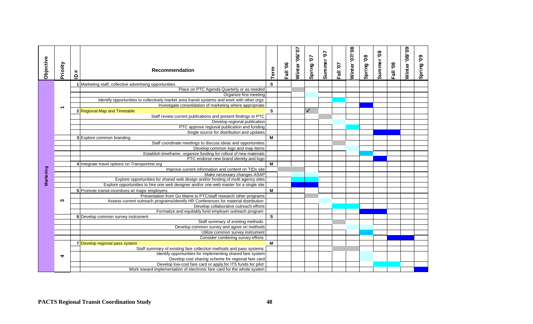| Objective | Priority                 | #<br>$\mathbf{r}$ | <b>Recommendation</b>                                                                                                        | Term         | Fall '06 | Winter '06/'07 | Spring '07   | Summer'07 | Fall '07 | <b>Winter '07/'08</b> | Spring '08 | Summer'08 | Fall '08 | Winter'08/'09 | Spring '09 |
|-----------|--------------------------|-------------------|------------------------------------------------------------------------------------------------------------------------------|--------------|----------|----------------|--------------|-----------|----------|-----------------------|------------|-----------|----------|---------------|------------|
|           |                          |                   | 1 Marketing staff, collective advertising opportunities                                                                      | <sub>S</sub> |          |                |              |           |          |                       |            |           |          |               |            |
|           |                          |                   | Place on PTC Agenda Quarterly or as needed                                                                                   |              |          |                |              |           |          |                       |            |           |          |               |            |
|           |                          |                   | Organize first meeting                                                                                                       |              |          |                |              |           |          |                       |            |           |          |               |            |
|           |                          |                   | Identify opportunities to collectively market area transit systems and work with other orgs.                                 |              |          |                |              |           |          |                       |            |           |          |               |            |
|           | $\overline{\phantom{0}}$ |                   | Investigate consolidation of marketing where appropriate                                                                     |              |          |                |              |           |          |                       |            |           |          |               |            |
|           |                          |                   | 2 Regional Map and Timetable                                                                                                 | S            |          |                | $\checkmark$ |           |          |                       |            |           |          |               |            |
|           |                          |                   | Staff review current publications and present findings to PTC                                                                |              |          |                |              |           |          |                       |            |           |          |               |            |
|           |                          |                   | Develop regional publication                                                                                                 |              |          |                |              |           |          |                       |            |           |          |               |            |
|           |                          |                   | PTC approve regional publication and funding                                                                                 |              |          |                |              |           |          |                       |            |           |          |               |            |
|           |                          |                   | Single source for distribution and updates                                                                                   |              |          |                |              |           |          |                       |            |           |          |               |            |
|           |                          |                   | <b>3</b> Explore common branding                                                                                             | M            |          |                |              |           |          |                       |            |           |          |               |            |
|           |                          |                   | Staff coordinate meetings to discuss ideas and opportunities                                                                 |              |          |                |              |           |          |                       |            |           |          |               |            |
|           |                          |                   | Develop common logo and map items                                                                                            |              |          |                |              |           |          |                       |            |           |          |               |            |
|           |                          |                   | Establish timeframe, organize funding for rollout of new materials                                                           |              |          |                |              |           |          |                       |            |           |          |               |            |
|           |                          |                   | PTC endorse new brand identity and logo                                                                                      |              |          |                |              |           |          |                       |            |           |          |               |            |
|           |                          |                   | 4 Integrate travel options on Transportme.org                                                                                | M            |          |                |              |           |          |                       |            |           |          |               |            |
| Marketing |                          |                   | Improve current information and content on TIDs site                                                                         |              |          |                |              |           |          |                       |            |           |          |               |            |
|           |                          |                   | Make necessary changes ASAP                                                                                                  |              |          |                |              |           |          |                       |            |           |          |               |            |
|           |                          |                   | Explore opportunities for shared web design and/or hosting of multi agency sites                                             |              |          |                |              |           |          |                       |            |           |          |               |            |
|           |                          |                   | Explore opportunities to hire one web designer and/or one web master for a single site                                       |              |          |                |              |           |          |                       |            |           |          |               |            |
|           |                          |                   | 5 Promote transit incentives w/ major employers                                                                              | M            |          |                |              |           |          |                       |            |           |          |               |            |
|           | ო                        |                   | Presentation from Go Maine to PTC/staff research other programs                                                              |              |          |                |              |           |          |                       |            |           |          |               |            |
|           |                          |                   | Assess current outreach programs/identify HR Conferences for material distribution<br>Develop collaborative outreach efforts |              |          |                |              |           |          |                       |            |           |          |               |            |
|           |                          |                   | Formalize and equitably fund employer outreach program                                                                       |              |          |                |              |           |          |                       |            |           |          |               |            |
|           |                          |                   | 6 Develop common survey instrument                                                                                           | <b>S</b>     |          |                |              |           |          |                       |            |           |          |               |            |
|           |                          |                   | Staff summary of existing methods                                                                                            |              |          |                |              |           |          |                       |            |           |          |               |            |
|           |                          |                   | Develop common survey and agree on methods                                                                                   |              |          |                |              |           |          |                       |            |           |          |               |            |
|           |                          |                   | Utilize common survey instrument                                                                                             |              |          |                |              |           |          |                       |            |           |          |               |            |
|           |                          |                   | Consider combining survey efforts                                                                                            |              |          |                |              |           |          |                       |            |           |          |               |            |
|           |                          |                   | 7 Develop regional pass system                                                                                               | M            |          |                |              |           |          |                       |            |           |          |               |            |
|           |                          |                   | Staff summary of existing fare collection methods and pass systems                                                           |              |          |                |              |           |          |                       |            |           |          |               |            |
|           |                          |                   | Identify opportunities for implementing shared fare system                                                                   |              |          |                |              |           |          |                       |            |           |          |               |            |
|           | $\blacktriangleleft$     |                   | Develop cost sharing scheme for regional fare card                                                                           |              |          |                |              |           |          |                       |            |           |          |               |            |
|           |                          |                   | Develop low-cost fare card or apply for ITS funds for pilot                                                                  |              |          |                |              |           |          |                       |            |           |          |               |            |
|           |                          |                   | Work toward implementation of electronic fare card for the whole system                                                      |              |          |                |              |           |          |                       |            |           |          |               |            |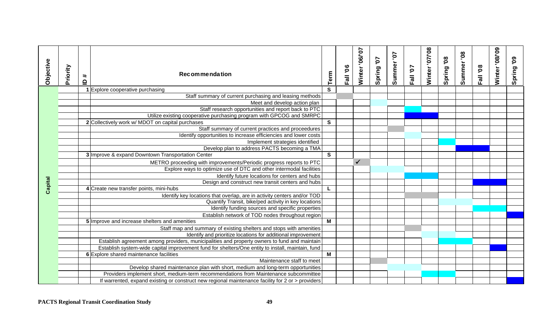| Objective | Priority | $\pmb{\ast}$ | <b>Recommendation</b>                                                                             |                | Fall '06 | Winter '06/'07 | Spring '07 | Summer'07 | Fall '07 | Winter '07/'08 | Spring 08 | Summer'08 | Fall '08 | Winter '08/'09 | Spring 09 |
|-----------|----------|--------------|---------------------------------------------------------------------------------------------------|----------------|----------|----------------|------------|-----------|----------|----------------|-----------|-----------|----------|----------------|-----------|
|           |          | $\mathbf{a}$ |                                                                                                   | Term           |          |                |            |           |          |                |           |           |          |                |           |
|           |          |              | 1 Explore cooperative purchasing                                                                  | $\mathbf{s}$   |          |                |            |           |          |                |           |           |          |                |           |
|           |          |              | Staff summary of current purchasing and leasing methods                                           |                |          |                |            |           |          |                |           |           |          |                |           |
|           |          |              | Meet and develop action plan                                                                      |                |          |                |            |           |          |                |           |           |          |                |           |
|           |          |              | Staff research opportunities and report back to PTC                                               |                |          |                |            |           |          |                |           |           |          |                |           |
|           |          |              | Utilize existing cooperative purchasing program with GPCOG and SMRPC                              |                |          |                |            |           |          |                |           |           |          |                |           |
|           |          |              | 2 Collectively work w/ MDOT on capital purchases                                                  | $\mathbf{s}$   |          |                |            |           |          |                |           |           |          |                |           |
|           |          |              | Staff summary of current practices and proceedures                                                |                |          |                |            |           |          |                |           |           |          |                |           |
|           |          |              | Identify opportunities to increase efficiencies and lower costs                                   |                |          |                |            |           |          |                |           |           |          |                |           |
|           |          |              | Implement strategies identified                                                                   |                |          |                |            |           |          |                |           |           |          |                |           |
|           |          |              | Develop plan to address PACTS becoming a TMA                                                      |                |          |                |            |           |          |                |           |           |          |                |           |
|           |          |              | 3 Improve & expand Downtown Transportation Center                                                 | $\mathbf{s}$   |          |                |            |           |          |                |           |           |          |                |           |
|           |          |              | METRO proceeding with improvements/Periodic progress reports to PTC                               |                |          | $\checkmark$   |            |           |          |                |           |           |          |                |           |
|           |          |              | Explore ways to optimize use of DTC and other intermodal facilities                               |                |          |                |            |           |          |                |           |           |          |                |           |
|           |          |              | Identify future locations for centers and hubs                                                    |                |          |                |            |           |          |                |           |           |          |                |           |
|           |          |              | Design and construct new transit centers and hubs                                                 |                |          |                |            |           |          |                |           |           |          |                |           |
| Capital   |          |              | 4 Create new transfer points, mini-hubs                                                           |                |          |                |            |           |          |                |           |           |          |                |           |
|           |          |              | Identify key locations that overlap, are in activity centers and/or TOD                           |                |          |                |            |           |          |                |           |           |          |                |           |
|           |          |              | Quantify Transit, bike/ped activity in key locations                                              |                |          |                |            |           |          |                |           |           |          |                |           |
|           |          |              | Identify funding sources and specific properties                                                  |                |          |                |            |           |          |                |           |           |          |                |           |
|           |          |              | Establish network of TOD nodes throughout region                                                  |                |          |                |            |           |          |                |           |           |          |                |           |
|           |          |              | 5 Improve and increase shelters and amenities                                                     | $\overline{M}$ |          |                |            |           |          |                |           |           |          |                |           |
|           |          |              | Staff map and summary of existing shelters and stops with amenities                               |                |          |                |            |           |          |                |           |           |          |                |           |
|           |          |              | Identify and prioritize locations for additional improvement                                      |                |          |                |            |           |          |                |           |           |          |                |           |
|           |          |              | Establish agreement among providers, municipalities and property owners to fund and maintain      |                |          |                |            |           |          |                |           |           |          |                |           |
|           |          |              | Establish system-wide capital improvement fund for shelters/One entity to install, maintain, fund |                |          |                |            |           |          |                |           |           |          |                |           |
|           |          |              | 6 Explore shared maintenance facilities                                                           | M              |          |                |            |           |          |                |           |           |          |                |           |
|           |          |              | Maintenance staff to meet                                                                         |                |          |                |            |           |          |                |           |           |          |                |           |
|           |          |              | Develop shared maintenance plan with short, medium and long-term opportunities                    |                |          |                |            |           |          |                |           |           |          |                |           |
|           |          |              | Providers implement short, medium-term recommendations from Maintenance subcommittee              |                |          |                |            |           |          |                |           |           |          |                |           |
|           |          |              | If warrented, expand existing or construct new regional maintenance facility for 2 or > providers |                |          |                |            |           |          |                |           |           |          |                |           |
|           |          |              | 49<br><b>PACTS Regional Transit Coordination Study</b>                                            |                |          |                |            |           |          |                |           |           |          |                |           |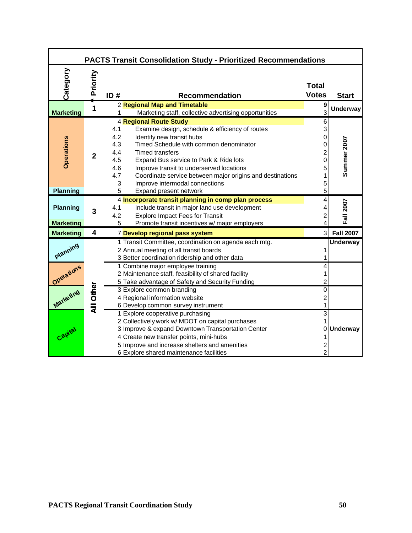|                                     |                  | <b>PACTS Transit Consolidation Study - Prioritized Recommendations</b>                                                                                                                                                                                                                                                                                                                                                       |                                                        |                    |
|-------------------------------------|------------------|------------------------------------------------------------------------------------------------------------------------------------------------------------------------------------------------------------------------------------------------------------------------------------------------------------------------------------------------------------------------------------------------------------------------------|--------------------------------------------------------|--------------------|
| Category                            | Priority         | ID#<br><b>Recommendation</b>                                                                                                                                                                                                                                                                                                                                                                                                 | <b>Total</b><br><b>Votes</b>                           | <b>Start</b>       |
| <b>Marketing</b>                    | 1                | 2 Regional Map and Timetable<br>Marketing staff, collective advertising opportunities                                                                                                                                                                                                                                                                                                                                        | 9<br>3                                                 | <b>Underway</b>    |
| <b>Operations</b>                   | $\overline{2}$   | <b>4 Regional Route Study</b><br>Examine design, schedule & efficiency of routes<br>4.1<br>4.2<br>Identify new transit hubs<br>4.3<br>Timed Schedule with common denominator<br>4.4<br><b>Timed transfers</b><br>4.5<br>Expand Bus service to Park & Ride lots<br>4.6<br>Improve transit to underserved locations<br>4.7<br>Coordinate service between major origins and destinations<br>3<br>Improve intermodal connections | 6<br>3<br>0<br>0<br>$\overline{c}$<br>0<br>5<br>1<br>5 | <b>Summer 2007</b> |
| <b>Planning</b>                     |                  | 5<br>Expand present network                                                                                                                                                                                                                                                                                                                                                                                                  | 5                                                      |                    |
| <b>Planning</b><br><b>Marketing</b> | 3                | 4 Incorporate transit planning in comp plan process<br>4.1<br>Include transit in major land use development<br>4.2<br><b>Explore Impact Fees for Transit</b><br>Promote transit incentives w/ major employers<br>5                                                                                                                                                                                                           | 4<br>4<br>2<br>4                                       | Fall 2007          |
| <b>Marketing</b>                    | 4                | 7 Develop regional pass system                                                                                                                                                                                                                                                                                                                                                                                               | $\mathsf{3}$                                           | <b>Fall 2007</b>   |
| Planning                            |                  | 1 Transit Committee, coordination on agenda each mtg.<br>2 Annual meeting of all transit boards<br>3 Better coordination ridership and other data                                                                                                                                                                                                                                                                            | 1                                                      | <b>Underway</b>    |
| Operations                          |                  | 1 Combine major employee training<br>2 Maintenance staff, feasibility of shared facility<br>5 Take advantage of Safety and Security Funding                                                                                                                                                                                                                                                                                  | 4<br>1<br>2                                            |                    |
| Marketing                           | <b>All Other</b> | 3 Explore common branding<br>4 Regional information website<br>6 Develop common survey instrument                                                                                                                                                                                                                                                                                                                            | 0<br>$\overline{c}$<br>1                               |                    |
| Capital                             |                  | 1 Explore cooperative purchasing<br>2 Collectively work w/ MDOT on capital purchases<br>3 Improve & expand Downtown Transportation Center<br>4 Create new transfer points, mini-hubs<br>5 Improve and increase shelters and amenities<br>6 Explore shared maintenance facilities                                                                                                                                             | $\overline{3}$<br>$\overline{c}$<br>$\overline{2}$     | 0 Underway         |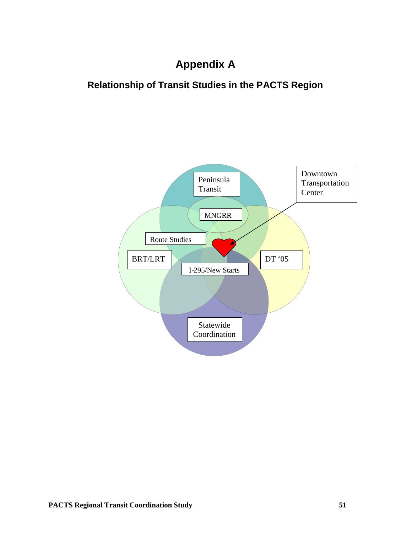## **Appendix A**

### **Relationship of Transit Studies in the PACTS Region**

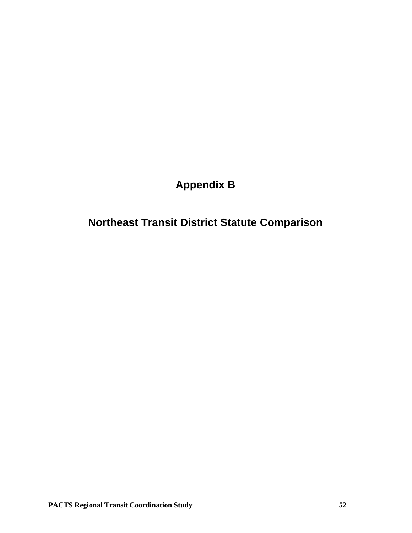**Appendix B**

**Northeast Transit District Statute Comparison**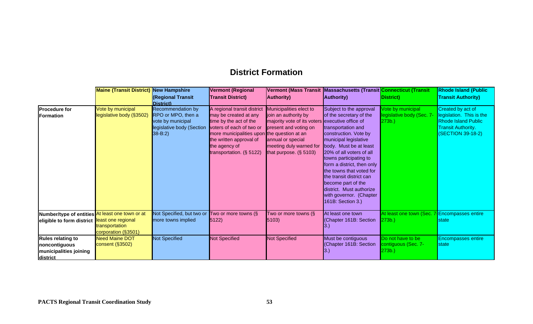### **District Formation**

|                                                                                                              | <b>Maine (Transit District)</b>                                   | New Hampshire                                                                                           | <b>Vermont (Regional</b>                                                                                                                                                                                                             |                                                                                                                                                                                      | Vermont (Mass Transit Massachusetts (Transit <mark>Connecticut (Transit</mark>                                                                                                                                                                                                                                                                                                                       |                                                         | <b>Rhode Island (Public</b>                                                                                                   |
|--------------------------------------------------------------------------------------------------------------|-------------------------------------------------------------------|---------------------------------------------------------------------------------------------------------|--------------------------------------------------------------------------------------------------------------------------------------------------------------------------------------------------------------------------------------|--------------------------------------------------------------------------------------------------------------------------------------------------------------------------------------|------------------------------------------------------------------------------------------------------------------------------------------------------------------------------------------------------------------------------------------------------------------------------------------------------------------------------------------------------------------------------------------------------|---------------------------------------------------------|-------------------------------------------------------------------------------------------------------------------------------|
|                                                                                                              |                                                                   | (Regional Transit<br>District)                                                                          | <b>Transit District)</b>                                                                                                                                                                                                             | <b>Authority</b> )                                                                                                                                                                   | <b>Authority)</b>                                                                                                                                                                                                                                                                                                                                                                                    | District)                                               | <b>Transit Authority)</b>                                                                                                     |
| <b>Procedure for</b><br><b>Formation</b>                                                                     | Vote by municipal<br>legislative body (§3502)                     | Recommendation by<br>RPO or MPO, then a<br>vote by municipal<br>legislative body (Section<br>$38 - B:2$ | A regional transit district<br>may be created at any<br>time by the act of the<br>voters of each of two or<br>more municipalities upon the question at an<br>the written approval of<br>the agency of<br>transportation. $(\S 5122)$ | Municipalities elect to<br>join an authority by<br>majority vote of its voters<br>present and voting on<br>annual or special<br>meeting duly warned for<br>that purpose. $(\S 5103)$ | Subject to the approval<br>of the secretary of the<br>executive office of<br>transportation and<br>construction. Vote by<br>municipal legislative<br>body. Must be at least<br>20% of all voters of all<br>towns participating to<br>form a district, then only<br>the towns that voted for<br>the transit district can<br>become part of the<br>district. Must authorize<br>with governor. (Chapter | Vote by municipal<br>legislative body (Sec. 7-<br>273b. | Created by act of<br>legislation. This is the<br><b>Rhode Island Public</b><br><b>Transit Authority.</b><br>(SECTION 39-18-2) |
| Number/type of entities <mark>At least one town or at</mark><br>eligible to form district least one regional | transportation                                                    | Not Specified, but two or Two or more towns $(\S$<br>more towns implied                                 | 5122)                                                                                                                                                                                                                                | Two or more towns $(\S$<br>5103)                                                                                                                                                     | 161B: Section 3.)<br>At least one town<br>(Chapter 161B: Section                                                                                                                                                                                                                                                                                                                                     | At least one town (Sec. 7 Encompasses entire<br>273b.)  | state                                                                                                                         |
| <b>Rules relating to</b><br>noncontiguous<br>municipalities joining<br>district                              | corporation (§3501)<br><b>Need Maine DOT</b><br>consent $(§3502)$ | Not Specified                                                                                           | <b>Not Specified</b>                                                                                                                                                                                                                 | <b>Not Specified</b>                                                                                                                                                                 | Must be contiguous<br>(Chapter 161B: Section                                                                                                                                                                                                                                                                                                                                                         | Do not have to be<br>contiguous (Sec. 7-<br>273b.       | <b>Encompasses entire</b><br>state                                                                                            |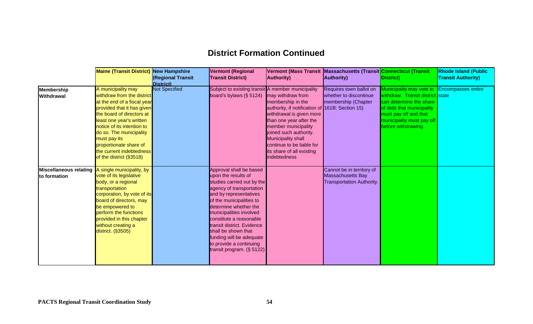## **District Formation Continued**

|                                        | <b>Maine (Transit District) New Hampshire</b>                                                                                                                                                                                                                                                                                    | <b>Regional Transit</b><br>District) | <b>Vermont (Regional</b><br><b>Transit District)</b>                                                                                                                                                                                                                                                                                                                                   | <b>Authority</b> )                                                                                                                                                                                                                                                                                              | Vermont (Mass Transit Massachusetts (Transit Connecticut (Transit<br>Authority)           | District)                                                                                                                                                                                                            | <b>Rhode Island (Public</b><br><b>Transit Authority)</b> |
|----------------------------------------|----------------------------------------------------------------------------------------------------------------------------------------------------------------------------------------------------------------------------------------------------------------------------------------------------------------------------------|--------------------------------------|----------------------------------------------------------------------------------------------------------------------------------------------------------------------------------------------------------------------------------------------------------------------------------------------------------------------------------------------------------------------------------------|-----------------------------------------------------------------------------------------------------------------------------------------------------------------------------------------------------------------------------------------------------------------------------------------------------------------|-------------------------------------------------------------------------------------------|----------------------------------------------------------------------------------------------------------------------------------------------------------------------------------------------------------------------|----------------------------------------------------------|
| <b>Membership</b><br><b>Withdrawal</b> | A municipality may<br>withdraw from the district<br>at the end of a fiscal year<br>provided that it has given<br>the board of directors at<br>least one year's written<br>notice of its intention to<br>do so. The municipality<br>must pay its<br>proportionate share of<br>the current indebtedness<br>of the district (§3518) | <b>Not Specified</b>                 | Subject to existing transit A member municipality<br>board's bylaws ( $§$ 5124)                                                                                                                                                                                                                                                                                                        | may withdraw from<br>membership in the<br>authority, if notification of 161B: Section 15)<br>withdrawal is given more<br>than one year after the<br>member municipality<br>joined such authority.<br><b>Municipality shall</b><br>continue to be liable for<br>its share of all existing<br><b>indebtedness</b> | Requires town ballot on<br>whether to discontinue<br>membership (Chapter                  | Municipality may vote to Encompasses entire<br>withdraw. Transit district state<br>can determine the share<br>of debt that municipality<br>must pay off and that<br>municipality must pay off<br>before withdrawing. |                                                          |
| to formation                           | Miscellaneous relating A single municipality, by<br>vote of its legislative<br>body, or a regional<br>transportation<br>corporation, by vote of its<br>board of directors, may<br>be empowered to<br>perform the functions<br>provided in this chapter<br>without creating a<br>district. (§3505)                                |                                      | Approval shall be based<br>upon the results of<br>studies carried out by the<br>agency of transportation<br>and by representatives<br>of the municipalities to<br>determine whether the<br>municipalities involved<br>constitute a reasonable<br>transit district. Evidence<br>shall be shown that<br>funding will be adequate<br>to provide a continuing<br>transit program. (§ 5122) |                                                                                                                                                                                                                                                                                                                 | Cannot be in territory of<br><b>Massachusetts Bay</b><br><b>Transportation Authority.</b> |                                                                                                                                                                                                                      |                                                          |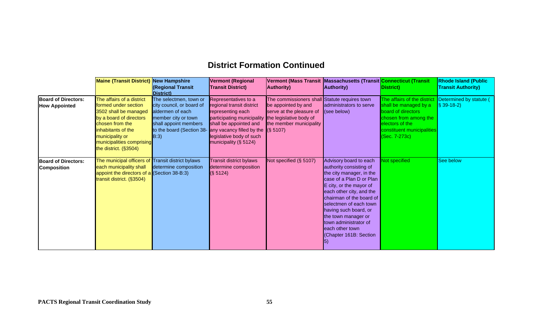## **District Formation Continued**

|                                                    | <b>Maine (Transit District) New Hampshire</b>                                                                                                                                                                           | (Regional Transit<br>District)                                                                                                                               | <b>Vermont (Regional</b><br><b>Transit District)</b>                                                                                                                                                                                                   | <b>Authority</b> )                                                                                                          | Vermont (Mass Transit  Massachusetts (Transit Connecticut (Transit<br><b>Authority</b> )                                                                                                                                                                                                                                                    | (District)                                                                                                                                                            | <b>Rhode Island (Public</b><br><b>Transit Authority)</b> |
|----------------------------------------------------|-------------------------------------------------------------------------------------------------------------------------------------------------------------------------------------------------------------------------|--------------------------------------------------------------------------------------------------------------------------------------------------------------|--------------------------------------------------------------------------------------------------------------------------------------------------------------------------------------------------------------------------------------------------------|-----------------------------------------------------------------------------------------------------------------------------|---------------------------------------------------------------------------------------------------------------------------------------------------------------------------------------------------------------------------------------------------------------------------------------------------------------------------------------------|-----------------------------------------------------------------------------------------------------------------------------------------------------------------------|----------------------------------------------------------|
| <b>Board of Directors:</b><br><b>How Appointed</b> | The affairs of a district<br>formed under section<br>3502 shall be managed<br>by a board of directors<br>chosen from the<br>inhabitants of the<br>municipality or<br>municipalities comprising<br>the district. (§3504) | The selectmen, town or<br>city council, or board of<br>aldermen of each<br>member city or town<br>shall appoint members<br>to the board (Section 38-<br>B:3) | Representatives to a<br>regional transit district<br>representing each<br>participating municipality the legislative body of<br>shall be appointed and<br>any vacancy filled by the $(S 5107)$<br>legislative body of such<br>municipality $(\S 5124)$ | The commissioners shall Statute requires town<br>be appointed by and<br>serve at the pleasure of<br>the member municipality | administrators to serve<br>(see below)                                                                                                                                                                                                                                                                                                      | The affairs of the district<br>shall be managed by a<br>board of directors<br>chosen from among the<br>electors of the<br>constituent municipalities<br>(Sec. 7-273c) | Determined by statute (<br>$\sqrt{\$ 39-18-2}$           |
| <b>Board of Directors:</b><br><b>Composition</b>   | The municipal officers of Transit district bylaws<br>each municipality shall<br>appoint the directors of a (Section 38-B:3)<br>transit district. (§3504)                                                                | determine composition                                                                                                                                        | <b>Transit district bylaws</b><br>determine composition<br>(S 5124)                                                                                                                                                                                    | Not specified (§ 5107)                                                                                                      | Advisory board to each<br>authority consisting of<br>the city manager, in the<br>case of a Plan D or Plan<br>E city, or the mayor of<br>each other city, and the<br>chairman of the board of<br>selectmen of each town<br>having such board, or<br>the town manager or<br>town administrator of<br>each other town<br>Chapter 161B: Section | Not specified                                                                                                                                                         | See below                                                |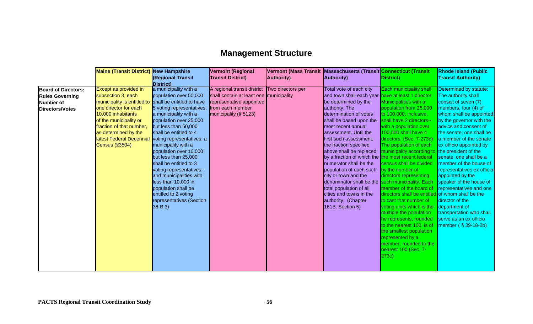## **Management Structure**

|                                                                                             | <b>Maine (Transit District) New Hampshire</b>                                                                                                                                                                                                         | (Regional Transit                                                                                                                                                                                                                                                                                                                                                                                                                                                                                                                 | <b>Vermont (Regional</b><br><b>Transit District)</b>                                                                                                              | <b>Authority</b> ) | Vermont (Mass Transit Massachusetts (Transit <mark>Connecticut (Transit</mark><br><b>Authority</b> )                                                                                                                                                                                                                                                                                                                                                                                                                                                                                               | District)                                                                                                                                                                                                                                                                                                                                                                                                                                                                                                                                                                                                                                                                                                            | <b>Rhode Island (Public</b><br><b>Transit Authority)</b>                                                                                                                                                                                                                                                                                                                                                                                                                                                                                     |
|---------------------------------------------------------------------------------------------|-------------------------------------------------------------------------------------------------------------------------------------------------------------------------------------------------------------------------------------------------------|-----------------------------------------------------------------------------------------------------------------------------------------------------------------------------------------------------------------------------------------------------------------------------------------------------------------------------------------------------------------------------------------------------------------------------------------------------------------------------------------------------------------------------------|-------------------------------------------------------------------------------------------------------------------------------------------------------------------|--------------------|----------------------------------------------------------------------------------------------------------------------------------------------------------------------------------------------------------------------------------------------------------------------------------------------------------------------------------------------------------------------------------------------------------------------------------------------------------------------------------------------------------------------------------------------------------------------------------------------------|----------------------------------------------------------------------------------------------------------------------------------------------------------------------------------------------------------------------------------------------------------------------------------------------------------------------------------------------------------------------------------------------------------------------------------------------------------------------------------------------------------------------------------------------------------------------------------------------------------------------------------------------------------------------------------------------------------------------|----------------------------------------------------------------------------------------------------------------------------------------------------------------------------------------------------------------------------------------------------------------------------------------------------------------------------------------------------------------------------------------------------------------------------------------------------------------------------------------------------------------------------------------------|
| <b>Board of Directors:</b><br><b>Rules Governing</b><br><b>Number of</b><br>Directors/Votes | Except as provided in<br>subsection 3, each<br>municipality is entitled to<br>one director for each<br>10,000 inhabitants<br>of the municipality or<br>fraction of that number,<br>as determined by the<br>latest Federal Decennial<br>Census (§3504) | District)<br>a municipality with a<br>population over 50,000<br>shall be entitled to have<br>5 voting representatives;<br>a municipality with a<br>population over 25,000<br>but less than 50,000<br>shall be entitled to 4<br>voting representatives; a<br>municipality with a<br>population over 10,000<br>but less than 25,000<br>shall be entitled to 3<br>voting representatives;<br>and municipalities with<br>less than 10,000 in<br>population shall be<br>entitled to 2 voting<br>representatives (Section<br>$38 - B:3$ | A regional transit district Two directors per<br>shall contain at least one municipality<br>representative appointed<br>from each member<br>municipality (§ 5123) |                    | Total vote of each city<br>and town shall each year have at least 1 director.<br>be determined by the<br>authority. The<br>determination of votes<br>shall be based upon the<br>most recent annual<br>assessment. Until the<br>first such assessment,<br>the fraction specified<br>above shall be replaced<br>by a fraction of which the the most recent federal<br>numerator shall be the<br>population of each such<br>city or town and the<br>denominator shall be the such municipality. Each<br>total population of all<br>cities and towns in the<br>authority. (Chapter<br>161B: Section 5) | <b>Each municipality shall</b><br>Municipalities with a<br>population from 25,000<br>to 100,000, inclusive,<br>shall have 2 directors--<br>with a population over<br>100,000 shall have 4<br>directors. (Sec. 7-273c)<br>The population of each<br>municipality according to the president of the<br>census shall be divided<br>by the number of<br>directors representing<br>member of the board of<br>directors shall be entitled of whom shall be the<br>to cast that number of<br>voting units which is the<br>multiple the population<br>he represents, rounded<br>to the nearest 100, is of<br>the smallest population<br>represented by a<br>member, rounded to the<br>nearest 100 (Sec. 7-<br>$ 273c\rangle$ | Determined by statute:<br>The authority shall<br>consist of seven (7)<br>members, four (4) of<br>whom shall be appointed<br>by the governor with the<br>advice and consent of<br>the senate; one shall be<br>a member of the senate<br>ex officio appointed by<br>senate, one shall be a<br>member of the house of<br>representatives ex officio<br>appointed by the<br>speaker of the house of<br>representatives and one<br>director of the<br>department of<br>transportation who shall<br>serve as an ex officio<br>member $(S39-18-2b)$ |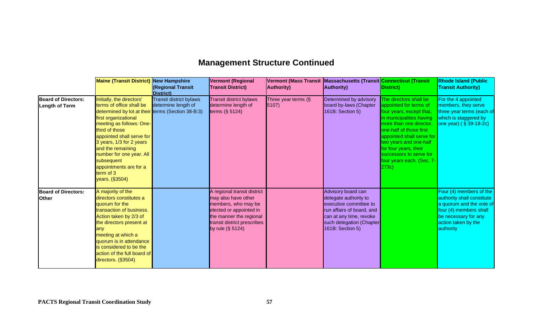# **Management Structure Continued**

|                                                     | <b>Maine (Transit District) New Hampshire</b>                                                                                                                                                                                                                                                                                              | (Regional Transit<br>District)                                                  | <b>Vermont (Regional</b><br><b>Transit District)</b>                                                                                                                                  | Vermont (Mass Transit Massachusetts (Transit Connecticut (Transit<br><b>Authority</b> ) | <b>Authority</b> )                                                                                                                                                            | District)                                                                                                                                                                                                                                                                                                                        | <b>Rhode Island (Public</b><br><b>Transit Authority)</b>                                                                                                                |
|-----------------------------------------------------|--------------------------------------------------------------------------------------------------------------------------------------------------------------------------------------------------------------------------------------------------------------------------------------------------------------------------------------------|---------------------------------------------------------------------------------|---------------------------------------------------------------------------------------------------------------------------------------------------------------------------------------|-----------------------------------------------------------------------------------------|-------------------------------------------------------------------------------------------------------------------------------------------------------------------------------|----------------------------------------------------------------------------------------------------------------------------------------------------------------------------------------------------------------------------------------------------------------------------------------------------------------------------------|-------------------------------------------------------------------------------------------------------------------------------------------------------------------------|
| <b>Board of Directors:</b><br><b>Length of Term</b> | Initially, the directors'<br>terms of office shall be<br>determined by lot at their<br>first organizational<br>meeting as follows: One-<br>third of those<br>appointed shall serve for<br>3 years, 1/3 for 2 years<br>and the remaining<br>number for one year. All<br>subsequent<br>appointments are for a<br>term of 3<br>years. (§3504) | <b>Transit district bylaws</b><br>determine length of<br>terms (Section 38-B:3) | <b>Transit district bylaws</b><br>determine length of<br>terms $(\S 5124)$                                                                                                            | Three year terms (§<br>5107                                                             | Determined by advisory<br>board by-laws (Chapter<br>161B: Section 5)                                                                                                          | The directors shall be<br>appointed for terms of<br>four years, except that,<br>in municipalities having<br>more than one director,<br>one-half of those first<br>appointed shall serve for<br>two years and one-half<br>for four years, their<br><b>Isuccessors to serve for</b><br>four years each. (Sec. 7-<br>$ 273c\rangle$ | For the 4 appointed<br>members, they serve<br>three year terms (each of<br>which is staggered by<br>one year) ( § 39-18-2c)                                             |
| <b>Board of Directors:</b><br><b>Other</b>          | A majority of the<br>directors constitutes a<br>quorum for the<br>transaction of business.<br>Action taken by 2/3 of<br>the directors present at<br>any<br>meeting at which a<br>quorum is in attendance<br>is considered to be the<br>action of the full board of<br>directors. (§3504)                                                   |                                                                                 | A regional transit district<br>may also have other<br>members, who may be<br>elected or appointed in<br>the manner the regional<br>transit district prescribes<br>by rule $(\S 5124)$ |                                                                                         | Advisory board can<br>delegate authority to<br>executive committee to<br>run affairs of board, and<br>can at any time, revoke<br>such delegation (Chapter<br>161B: Section 5) |                                                                                                                                                                                                                                                                                                                                  | Four (4) members of the<br>authority shall constitute<br>a quorum and the vote of<br>four (4) members shall<br>be necessary for any<br>action taken by the<br>authority |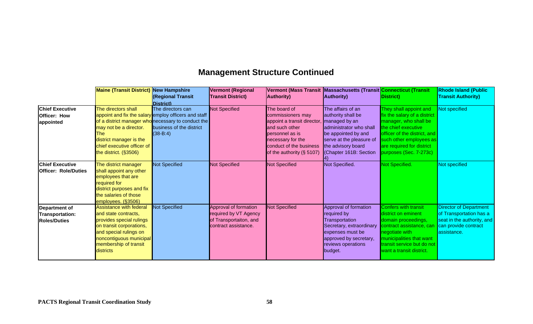# **Management Structure Continued**

|                             | <b>Maine (Transit District) New Hampshire</b> |                                                      | <b>Vermont (Regional</b> |                             | Vermont (Mass Transit Massachusetts (Transit <mark>Connecticut (Transit</mark> |                                       | <b>Rhode Island (Public</b>   |
|-----------------------------|-----------------------------------------------|------------------------------------------------------|--------------------------|-----------------------------|--------------------------------------------------------------------------------|---------------------------------------|-------------------------------|
|                             |                                               | (Regional Transit<br>District)                       | <b>Transit District)</b> | <b>Authority</b> )          | <b>Authority</b> )                                                             | District)                             | <b>Transit Authority)</b>     |
| <b>Chief Executive</b>      | The directors shall                           | The directors can                                    | <b>Not Specified</b>     | The board of                | The affairs of an                                                              | They shall appoint and                | Not specified                 |
| Officer: How                |                                               | appoint and fix the salary employ officers and staff |                          | commissioners may           | authority shall be                                                             | fix the salary of a district          |                               |
| appointed                   |                                               | of a district manager who necessary to conduct the   |                          | appoint a transit director, | managed by an                                                                  | manager, who shall be                 |                               |
|                             | may not be a director.                        | business of the district                             |                          | and such other              | administrator who shall                                                        | the chief executive                   |                               |
|                             | The                                           | $(38 - B:4)$                                         |                          | personnel as is             | be appointed by and                                                            | officer of the district, and I        |                               |
|                             | district manager is the                       |                                                      |                          | necessary for the           | serve at the pleasure of                                                       | such other employees as               |                               |
|                             | chief executive officer of                    |                                                      |                          | conduct of the business     | the advisory board                                                             | are required for district             |                               |
|                             | the district. $(§3506)$                       |                                                      |                          | of the authority (§ 5107)   | (Chapter 161B: Section                                                         | purposes (Sec. 7-273c)                |                               |
| <b>Chief Executive</b>      | The district manager                          | <b>Not Specified</b>                                 | <b>Not Specified</b>     | <b>Not Specified</b>        | Not Specified.                                                                 | Not Specified.                        | Not specified                 |
| <b>Officer: Role/Duties</b> | shall appoint any other                       |                                                      |                          |                             |                                                                                |                                       |                               |
|                             | employees that are                            |                                                      |                          |                             |                                                                                |                                       |                               |
|                             | required for                                  |                                                      |                          |                             |                                                                                |                                       |                               |
|                             | district purposes and fix                     |                                                      |                          |                             |                                                                                |                                       |                               |
|                             | the salaries of those                         |                                                      |                          |                             |                                                                                |                                       |                               |
|                             | employees. (§3506)                            |                                                      |                          |                             |                                                                                |                                       |                               |
| Department of               | <b>Assistance with federal</b>                | <b>Not Specified</b>                                 | Approval of formation    | <b>Not Specified</b>        | Approval of formation                                                          | <b>Confers with transit</b>           | <b>Director of Department</b> |
| <b>Transportation:</b>      | and state contracts,                          |                                                      | required by VT Agency    |                             | required by                                                                    | district on eminent                   | of Transportation has a       |
| <b>Roles/Duties</b>         | provides special rulings                      |                                                      | of Transportaiton, and   |                             | Transportation                                                                 | domain proceedings,                   | seat in the authority, and    |
|                             | on transit corporations,                      |                                                      | contract assistance.     |                             | Secretary, extraordinary                                                       | <mark>contract assistance, car</mark> | can provide contract          |
|                             | and special rulings on                        |                                                      |                          |                             | expenses must be                                                               | negotiate with                        | assistance.                   |
|                             | noncontiguous municipal                       |                                                      |                          |                             | approved by secretary,                                                         | municipalities that want              |                               |
|                             | membership of transit                         |                                                      |                          |                             | reviews operations                                                             | transit service but do not            |                               |
|                             | districts                                     |                                                      |                          |                             | budget.                                                                        | want a transit district.              |                               |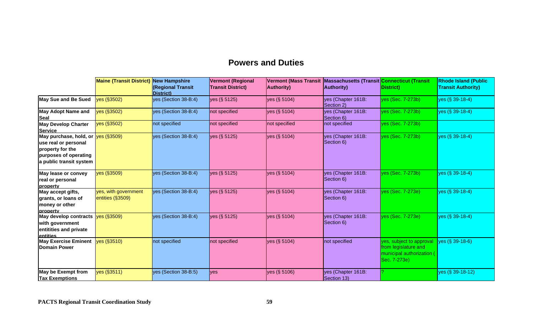### **Powers and Duties**

|                                                                                                                                           | <b>Maine (Transit District)</b>          | <b>New Hampshire</b><br><b>(Regional Transit</b><br><b>District</b> ) | <b>Vermont (Regional</b><br><b>Transit District)</b> | <b>Vermont (Mass Transit</b><br><b>Authority)</b> | Massachusetts (Transit Connecticut (Transit<br><b>Authority</b> ) | District)                                                                                     | <b>Rhode Island (Public</b><br><b>Transit Authority)</b> |
|-------------------------------------------------------------------------------------------------------------------------------------------|------------------------------------------|-----------------------------------------------------------------------|------------------------------------------------------|---------------------------------------------------|-------------------------------------------------------------------|-----------------------------------------------------------------------------------------------|----------------------------------------------------------|
| May Sue and Be Sued                                                                                                                       | yes (§3502)                              | yes (Section 38-B:4)                                                  | yes (§ 5125)                                         | yes (§ 5104)                                      | yes (Chapter 161B:<br>Section 2)                                  | $ yes$ (Sec. 7-273b)                                                                          | yes (§ 39-18-4)                                          |
| <b>May Adopt Name and</b><br><b>Seal</b>                                                                                                  | yes (§3502)                              | yes (Section 38-B:4)                                                  | not specified                                        | yes (§ 5104)                                      | yes (Chapter 161B:<br>Section 6)                                  | yes (Sec. 7-273b)                                                                             | yes (§ 39-18-4)                                          |
| <b>May Develop Charter</b><br><b>Service</b>                                                                                              | yes (§3502)                              | not specified                                                         | not specified                                        | not specified                                     | not specified                                                     | yes (Sec. 7-273b)                                                                             |                                                          |
| May purchase, hold, or <u>yes (§3509)</u><br>use real or personal<br>property for the<br>purposes of operating<br>a public transit system |                                          | yes (Section 38-B:4)                                                  | yes (§ 5125)                                         | yes (§ 5104)                                      | yes (Chapter 161B:<br>Section 6)                                  | $ yes (Sec. 7-273b) $                                                                         | yes (§ 39-18-4)                                          |
| May lease or convey<br>real or personal<br>property                                                                                       | yes (§3509)                              | yes (Section 38-B:4)                                                  | yes (§ 5125)                                         | yes (§ 5104)                                      | yes (Chapter 161B:<br>Section 6)                                  | yes (Sec. 7-273b)                                                                             | yes (§ 39-18-4)                                          |
| May accept gifts,<br>grants, or loans of<br>money or other<br>property                                                                    | yes, with government<br>entities (§3509) | yes (Section 38-B:4)                                                  | yes (§ 5125)                                         | yes (§ 5104)                                      | yes (Chapter 161B:<br>Section 6)                                  | $ yes$ (Sec. 7-273e)                                                                          | yes (§ 39-18-4)                                          |
| May develop contracts<br>with government<br>entitities and private<br>entities                                                            | yes (§3509)                              | yes (Section 38-B:4)                                                  | yes (§ 5125)                                         | yes (§ 5104)                                      | yes (Chapter 161B:<br>Section 6)                                  | yes (Sec. 7-273e)                                                                             | yes (§ 39-18-4)                                          |
| <b>May Exercise Eminent</b><br><b>Domain Power</b>                                                                                        | yes (§3510)                              | not specified                                                         | not specified                                        | yes (§ 5104)                                      | not specified                                                     | yes, subject to approval<br>from legislature and<br>municipal authorization (<br>Sec. 7-273e) | yes (§ 39-18-6)                                          |
| <b>May be Exempt from</b><br><b>Tax Exemptions</b>                                                                                        | yes (§3511)                              | yes (Section 38-B:5)                                                  | yes                                                  | yes (§ 5106)                                      | yes (Chapter 161B:<br>Section 13)                                 |                                                                                               | yes (§ 39-18-12)                                         |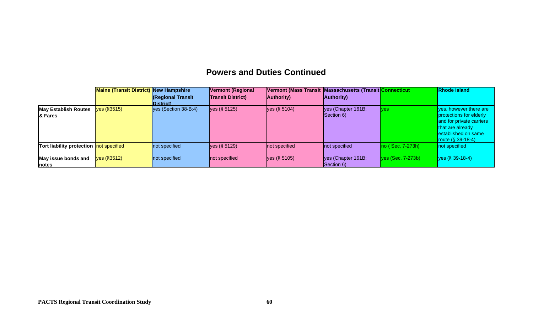## **Powers and Duties Continued**

|                                         | <b>Maine (Transit District) New Hampshire</b> |                         | <b>Vermont (Regional</b> |                    | Vermont (Mass Transit Massachusetts (Transit Connecticut |                              | <b>Rhode Island</b>                                                                                                     |
|-----------------------------------------|-----------------------------------------------|-------------------------|--------------------------|--------------------|----------------------------------------------------------|------------------------------|-------------------------------------------------------------------------------------------------------------------------|
|                                         |                                               | <b>Regional Transit</b> | <b>Transit District)</b> | <b>Authority</b> ) | <b>Authority</b> )                                       |                              |                                                                                                                         |
|                                         |                                               | District)               |                          |                    |                                                          |                              |                                                                                                                         |
| <b>May Establish Routes</b>             | yes (§3515)                                   | yes (Section 38-B:4)    | yes (§ 5125)             | yes (§ 5104)       | yes (Chapter 161B:                                       | <b>Ives</b>                  | ves, however there are                                                                                                  |
| <b>8</b> Fares                          |                                               |                         |                          |                    | Section 6)                                               |                              | protections for elderly<br>and for private carriers<br>that are already<br>established on same<br>route $(S \ 39-18-4)$ |
| Tort liability protection not specified |                                               | not specified           | yes (§ 5129)             | not specified      | not specified                                            | $ no$ (Sec. 7-273h)          | not specified                                                                                                           |
| May issue bonds and                     | yes (§3512)                                   | not specified           | not specified            | yes (§ 5105)       | yes (Chapter 161B:                                       | $\sqrt{9}$ yes (Sec. 7-273b) | yes (§ 39-18-4)                                                                                                         |
| <b>notes</b>                            |                                               |                         |                          |                    | Section 6)                                               |                              |                                                                                                                         |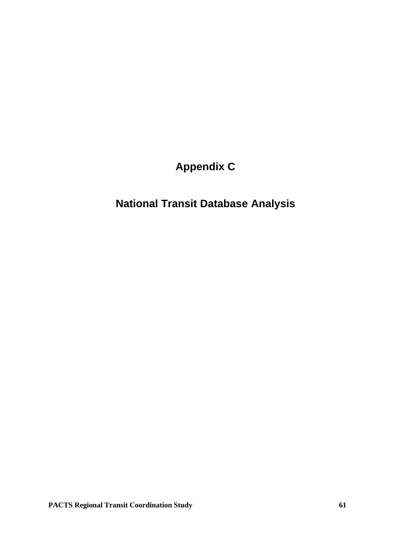**Appendix C**

# **National Transit Database Analysis**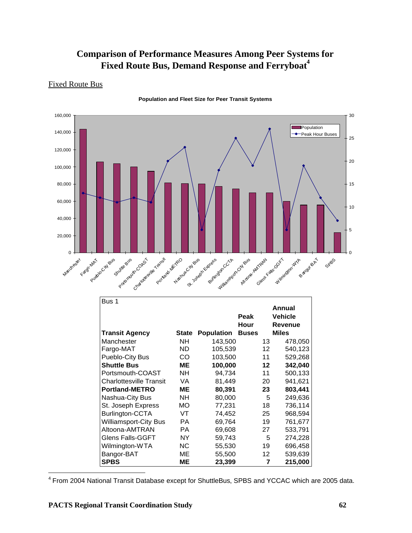### **Comparison of Performance Measures Among Peer Systems for Fixed Route Bus, Demand Response and Ferryboat<sup>4</sup>**

#### Fixed Route Bus



**Population and Fleet Size for Peer Transit Systems**

| Bus 1                          |              |                   |                   | Annual                    |
|--------------------------------|--------------|-------------------|-------------------|---------------------------|
|                                |              |                   | Peak<br>Hour      | <b>Vehicle</b><br>Revenue |
| <b>Transit Agency</b>          | <b>State</b> | <b>Population</b> | <b>Buses</b>      | <b>Miles</b>              |
| Manchester                     | NН           | 143,500           | 13                | 478,050                   |
| Fargo-MAT                      | ND.          | 105,539           | $12 \overline{ }$ | 540,123                   |
| Pueblo-City Bus                | CO           | 103,500           | 11                | 529,268                   |
| <b>Shuttle Bus</b>             | ME           | 100,000           | $12 \,$           | 342,040                   |
| Portsmouth-COAST               | <b>NH</b>    | 94,734            | 11                | 500,133                   |
| <b>Charlottesville Transit</b> | VA.          | 81,449            | 20                | 941,621                   |
| <b>Portland-METRO</b>          | MЕ           | 80,391            | 23                | 803,441                   |
| Nashua-City Bus                | <b>NH</b>    | 80,000            | 5                 | 249,636                   |
| St. Joseph Express             | МO           | 77,231            | 18                | 736,114                   |
| <b>Burlington-CCTA</b>         | VT           | 74,452            | 25                | 968,594                   |
| <b>Williamsport-City Bus</b>   | РA           | 69,764            | 19                | 761,677                   |
| Altoona-AMTRAN                 | <b>PA</b>    | 69,608            | 27                | 533,791                   |
| <b>Glens Falls-GGFT</b>        | NY.          | 59,743            | 5                 | 274,228                   |
| Wilmington-WTA                 | NС           | 55,530            | 19                | 696,458                   |
| Bangor-BAT                     | ME           | 55,500            | 12                | 539,639                   |
| <b>SPBS</b>                    | MЕ           | 23,399            | 7                 | 215,000                   |

<sup>4</sup> From 2004 National Transit Database except for ShuttleBus, SPBS and YCCAC which are 2005 data.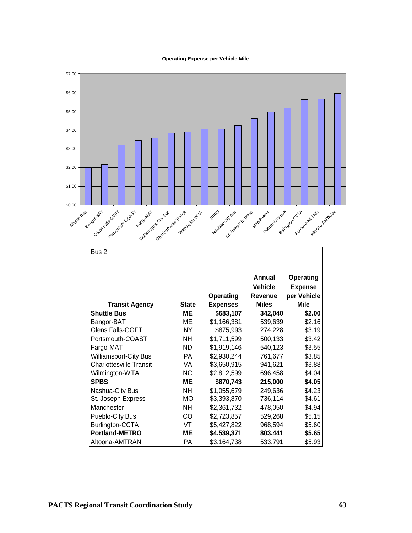#### **Operating Expense per Vehicle Mile**

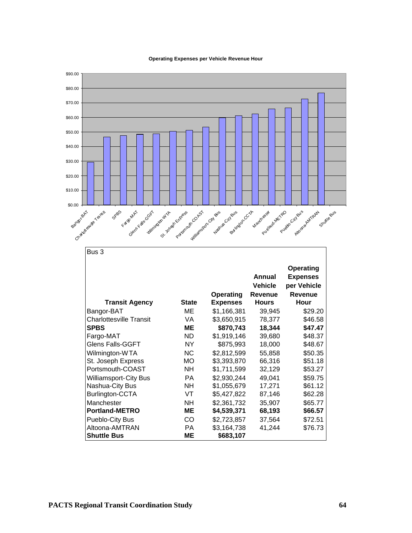

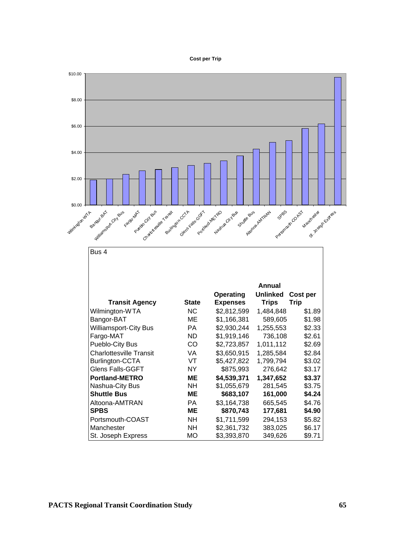#### **Cost per Trip**

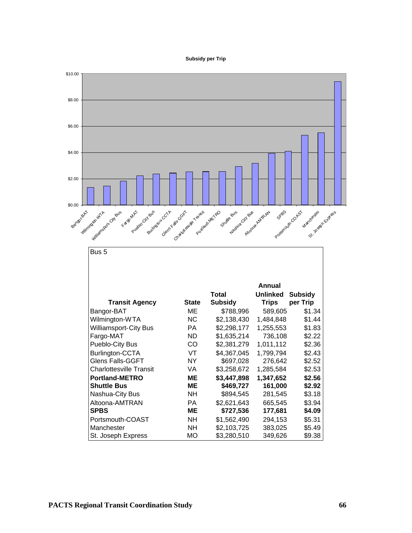#### **Subsidy per Trip**

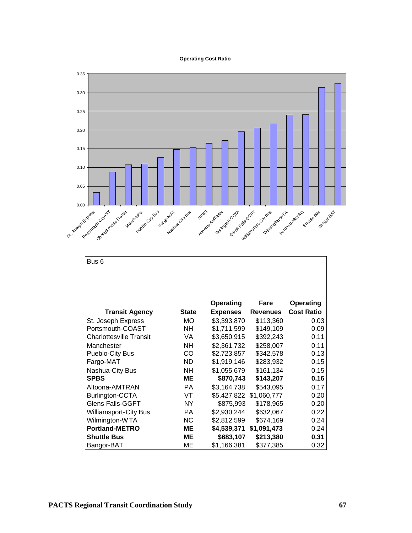#### **Operating Cost Ratio**



| Bus 6                          |              |                 |                 |                   |
|--------------------------------|--------------|-----------------|-----------------|-------------------|
|                                |              |                 |                 |                   |
|                                |              |                 |                 |                   |
|                                |              | Operating       | Fare            | Operating         |
| <b>Transit Agency</b>          | <b>State</b> | <b>Expenses</b> | <b>Revenues</b> | <b>Cost Ratio</b> |
| St. Joseph Express             | <b>MO</b>    | \$3,393,870     | \$113,360       | 0.03              |
| Portsmouth-COAST               | <b>NH</b>    | \$1,711,599     | \$149,109       | 0.09              |
| <b>Charlottesville Transit</b> | VA           | \$3,650,915     | \$392,243       | 0.11              |
| Manchester                     | <b>NH</b>    | \$2,361,732     | \$258,007       | 0.11              |
| Pueblo-City Bus                | CO           | \$2,723,857     | \$342,578       | 0.13              |
| Fargo-MAT                      | <b>ND</b>    | \$1,919,146     | \$283,932       | 0.15              |
| Nashua-City Bus                | <b>NH</b>    | \$1,055,679     | \$161,134       | 0.15              |
| <b>SPBS</b>                    | ME           | \$870,743       | \$143,207       | 0.16              |
| Altoona-AMTRAN                 | PA           | \$3,164,738     | \$543,095       | 0.17              |
| Burlington-CCTA                | VT           | \$5,427,822     | \$1,060,777     | 0.20              |
| <b>Glens Falls-GGFT</b>        | NY.          | \$875,993       | \$178,965       | 0.20              |
| <b>Williamsport-City Bus</b>   | PA           | \$2,930,244     | \$632,067       | 0.22              |
| Wilmington-WTA                 | <b>NC</b>    | \$2,812,599     | \$674,169       | 0.24              |
| <b>Portland-METRO</b>          | ME           | \$4,539,371     | \$1,091,473     | 0.24              |
| <b>Shuttle Bus</b>             | ME           | \$683,107       | \$213,380       | 0.31              |
| Bangor-BAT                     | MЕ           | \$1,166,381     | \$377,385       | 0.32              |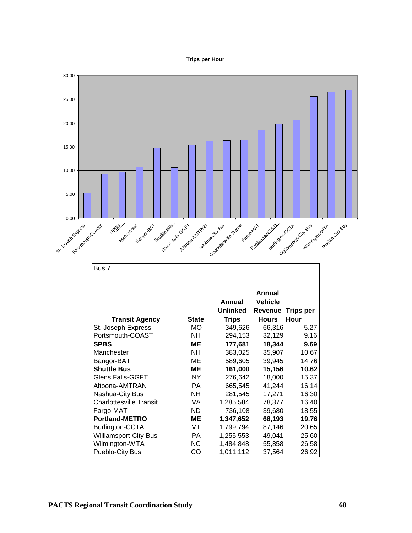#### **Trips per Hour**

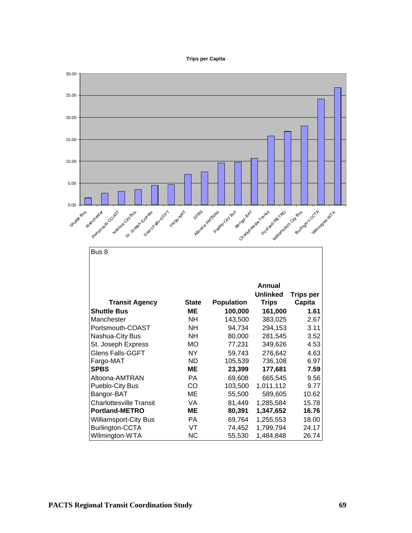#### **Trips per Capita**

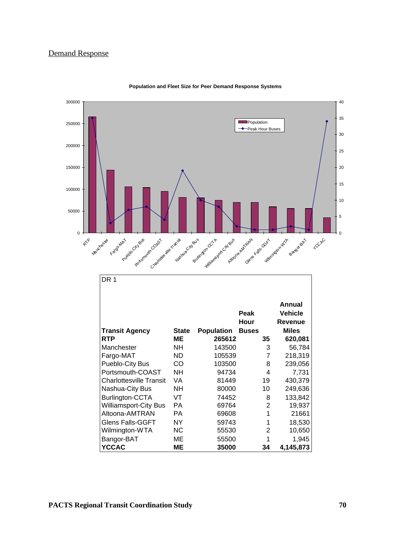# Demand Response



**Population and Fleet Size for Peer Demand Response Systems**

| DR 1                           |              |                   |                |                              |
|--------------------------------|--------------|-------------------|----------------|------------------------------|
|                                |              |                   | Peak<br>Hour   | Annual<br>Vehicle<br>Revenue |
| <b>Transit Agency</b>          | <b>State</b> | <b>Population</b> | <b>Buses</b>   | <b>Miles</b>                 |
| <b>RTP</b>                     | MЕ           | 265612            | 35             | 620,081                      |
| Manchester                     | NH.          | 143500            | 3              | 56,784                       |
| Fargo-MAT                      | ND.          | 105539            | 7              | 218,319                      |
| Pueblo-City Bus                | CO           | 103500            | 8              | 239,056                      |
| Portsmouth-COAST               | NΗ           | 94734             | 4              | 7,731                        |
| <b>Charlottesville Transit</b> | VA           | 81449             | 19             | 430,379                      |
| Nashua-City Bus                | NΗ           | 80000             | 10             | 249,636                      |
| Burlington-CCTA                | VT           | 74452             | 8              | 133,842                      |
| <b>Williamsport-City Bus</b>   | PA           | 69764             | $\overline{2}$ | 19,937                       |
| Altoona-AMTRAN                 | РA           | 69608             | 1              | 21661                        |
| <b>Glens Falls-GGFT</b>        | NY.          | 59743             |                | 18,530                       |
| Wilmington-WTA                 | NC.          | 55530             | 2              | 10,650                       |
| Bangor-BAT                     | МE           | 55500             |                | 1.945                        |
| <b>YCCAC</b>                   | MΕ           | 35000             | 34             | 4,145,873                    |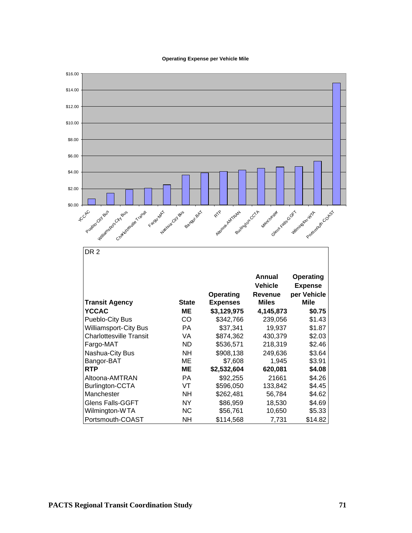**Operating Expense per Vehicle Mile**

![](_page_76_Figure_1.jpeg)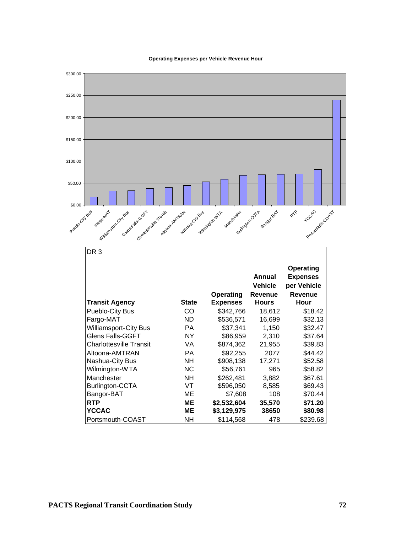**Operating Expenses per Vehicle Revenue Hour**

![](_page_77_Figure_1.jpeg)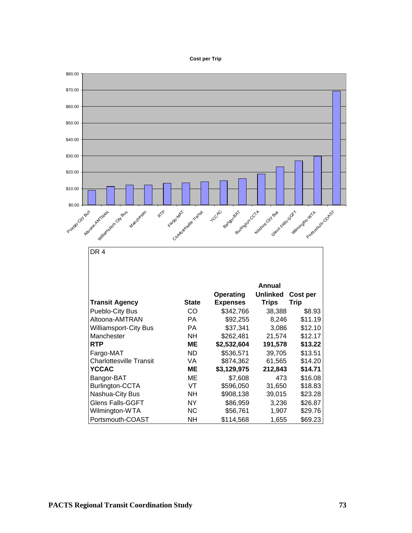#### **Cost per Trip**

![](_page_78_Figure_1.jpeg)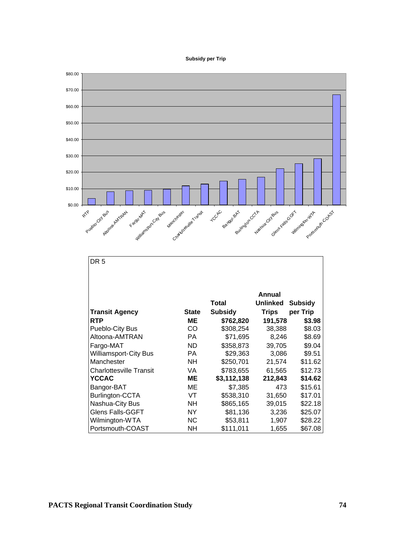#### **Subsidy per Trip**

![](_page_79_Figure_1.jpeg)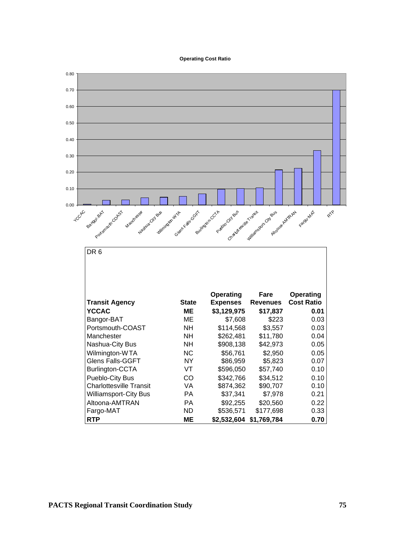#### **Operating Cost Ratio**

![](_page_80_Figure_1.jpeg)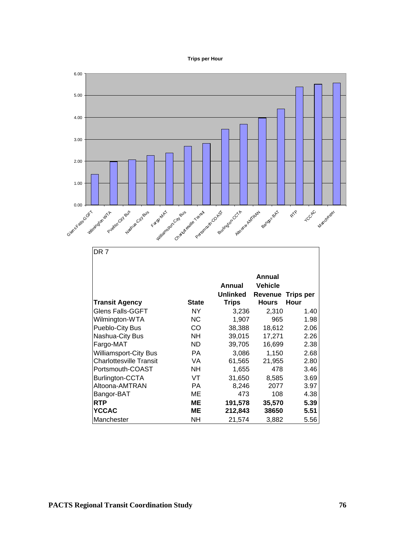#### **Trips per Hour**

![](_page_81_Figure_1.jpeg)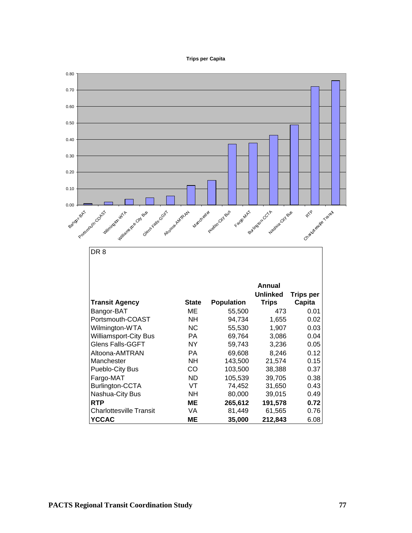#### **Trips per Capita**

![](_page_82_Figure_1.jpeg)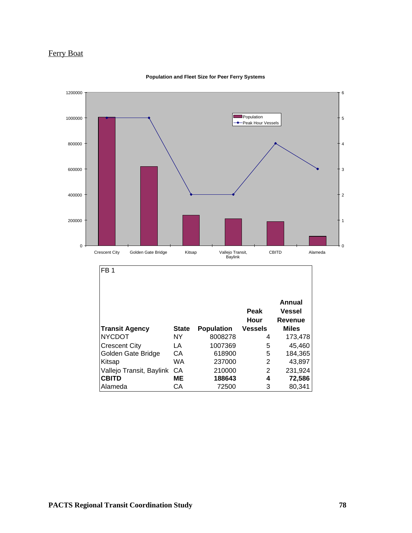# Ferry Boat

![](_page_83_Figure_1.jpeg)

#### **Population and Fleet Size for Peer Ferry Systems**

|                             |              |                   | Peak            | Annual<br><b>Vessel</b>        |
|-----------------------------|--------------|-------------------|-----------------|--------------------------------|
| <b>Transit Agency</b>       | <b>State</b> | <b>Population</b> | Hour<br>Vessels | <b>Revenue</b><br><b>Miles</b> |
| NYCDOT                      | NΥ           | 8008278           | 4               | 173,478                        |
| Crescent City               | LA           | 1007369           | 5               | 45,460                         |
| Golden Gate Bridge          | СA           | 618900            | 5               | 184,365                        |
| Kitsap                      | WA           | 237000            | 2               | 43,897                         |
| Vallejo Transit, Baylink CA |              | 210000            | 2               | 231,924                        |
| <b>CBITD</b>                | ME           | 188643            | 4               | 72,586                         |
| Alameda                     | CА           | 72500             | 3               | 80,341                         |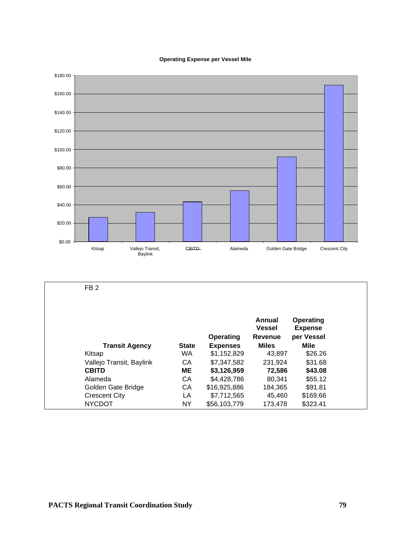#### **Operating Expense per Vessel Mile**

![](_page_84_Figure_1.jpeg)

| FB <sub>2</sub>          |              |                  |                                    |                                                  |  |
|--------------------------|--------------|------------------|------------------------------------|--------------------------------------------------|--|
|                          |              | <b>Operating</b> | Annual<br><b>Vessel</b><br>Revenue | <b>Operating</b><br><b>Expense</b><br>per Vessel |  |
| <b>Transit Agency</b>    | <b>State</b> | <b>Expenses</b>  | <b>Miles</b>                       | <b>Mile</b>                                      |  |
| Kitsap                   | <b>WA</b>    | \$1,152,829      | 43,897                             | \$26.26                                          |  |
| Vallejo Transit, Baylink | CA           | \$7,347,582      | 231.924                            | \$31.68                                          |  |
| <b>CBITD</b>             | MЕ           | \$3,126,959      | 72,586                             | \$43.08                                          |  |
| Alameda                  | CA           | \$4,428,786      | 80,341                             | \$55.12                                          |  |
| Golden Gate Bridge       | CA           | \$16,925,886     | 184.365                            | \$91.81                                          |  |
| <b>Crescent City</b>     | LA           | \$7,712,565      | 45,460                             | \$169.66                                         |  |
| <b>NYCDOT</b>            | ΝY           | \$56,103,779     | 173.478                            | \$323.41                                         |  |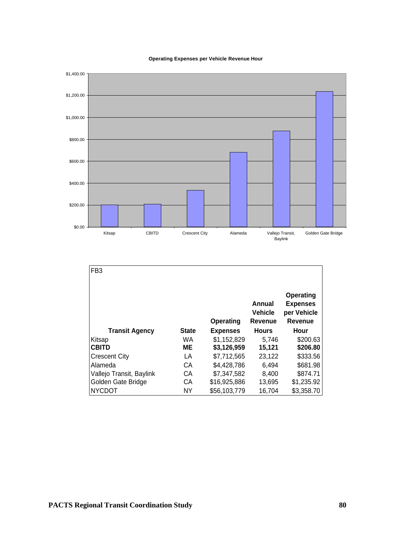**Operating Expenses per Vehicle Revenue Hour**

![](_page_85_Figure_1.jpeg)

| FB <sub>3</sub>          |              |                 |                                            |                                                               |
|--------------------------|--------------|-----------------|--------------------------------------------|---------------------------------------------------------------|
|                          |              | Operating       | Annual<br><b>Vehicle</b><br><b>Revenue</b> | Operating<br><b>Expenses</b><br>per Vehicle<br><b>Revenue</b> |
| <b>Transit Agency</b>    | <b>State</b> | <b>Expenses</b> | <b>Hours</b>                               | Hour                                                          |
| Kitsap                   | WA.          | \$1,152,829     | 5.746                                      | \$200.63                                                      |
| <b>CBITD</b>             | <b>ME</b>    | \$3,126,959     | 15,121                                     | \$206.80                                                      |
| <b>Crescent City</b>     | LA           | \$7,712,565     | 23.122                                     | \$333.56                                                      |
| Alameda                  | СA           | \$4,428,786     | 6,494                                      | \$681.98                                                      |
| Vallejo Transit, Baylink | СA           | \$7,347,582     | 8,400                                      | \$874.71                                                      |
| Golden Gate Bridge       | СA           | \$16,925,886    | 13,695                                     | \$1,235.92                                                    |
| <b>NYCDOT</b>            | <b>NY</b>    | \$56,103,779    | 16,704                                     | \$3,358.70                                                    |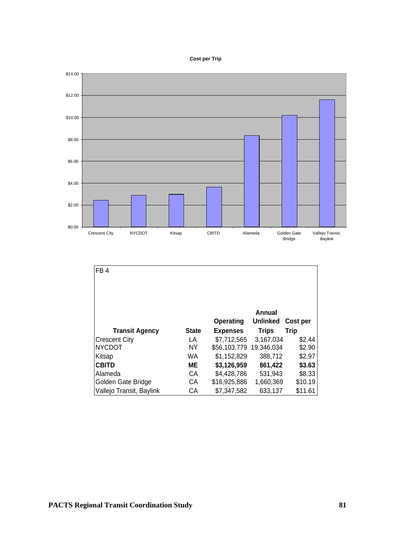#### **Cost per Trip**

![](_page_86_Figure_1.jpeg)

| FB <sub>4</sub>          |              |                 |                 |             |
|--------------------------|--------------|-----------------|-----------------|-------------|
|                          |              |                 |                 |             |
|                          |              |                 |                 |             |
|                          |              |                 | Annual          |             |
|                          |              | Operating       | <b>Unlinked</b> | Cost per    |
| <b>Transit Agency</b>    | <b>State</b> | <b>Expenses</b> | <b>Trips</b>    | <b>Trip</b> |
| <b>Crescent City</b>     | LA           | \$7,712,565     | 3,167,034       | \$2.44      |
| <b>NYCDOT</b>            | <b>NY</b>    | \$56,103,779    | 19,346,034      | \$2.90      |
| Kitsap                   | WA           | \$1,152,829     | 388,712         | \$2.97      |
| <b>CBITD</b>             | MЕ           | \$3,126,959     | 861,422         | \$3.63      |
| Alameda                  | CА           | \$4,428,786     | 531,943         | \$8.33      |
| Golden Gate Bridge       | CА           | \$16,925,886    | 1,660,369       | \$10.19     |
| Vallejo Transit, Baylink | СA           | \$7,347,582     | 633,137         | \$11.61     |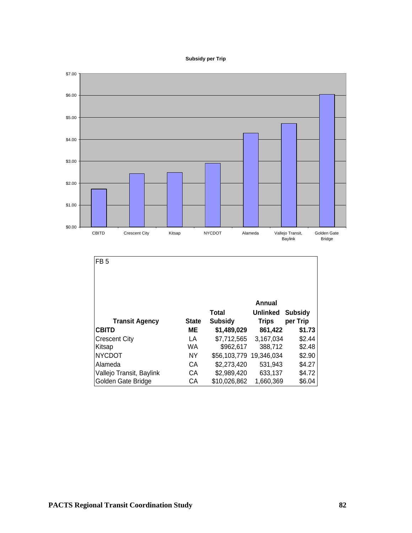#### **Subsidy per Trip**

![](_page_87_Figure_1.jpeg)

| FB <sub>5</sub>          |              |                         |                 |                |
|--------------------------|--------------|-------------------------|-----------------|----------------|
|                          |              |                         |                 |                |
|                          |              |                         |                 |                |
|                          |              |                         | Annual          |                |
|                          |              | <b>Total</b>            | <b>Unlinked</b> | <b>Subsidy</b> |
| <b>Transit Agency</b>    | <b>State</b> | <b>Subsidy</b>          | <b>Trips</b>    | per Trip       |
| <b>CBITD</b>             | ME           | \$1,489,029             | 861,422         | \$1.73         |
| <b>Crescent City</b>     | LA           | \$7,712,565             | 3,167,034       | \$2.44         |
| Kitsap                   | <b>WA</b>    | \$962,617               | 388,712         | \$2.48         |
|                          |              |                         |                 |                |
| <b>NYCDOT</b>            | <b>NY</b>    | \$56,103,779 19,346,034 |                 | \$2.90         |
| Alameda                  | CА           | \$2,273,420             | 531,943         | \$4.27         |
| Vallejo Transit, Baylink | CА           | \$2,989,420             | 633,137         | \$4.72         |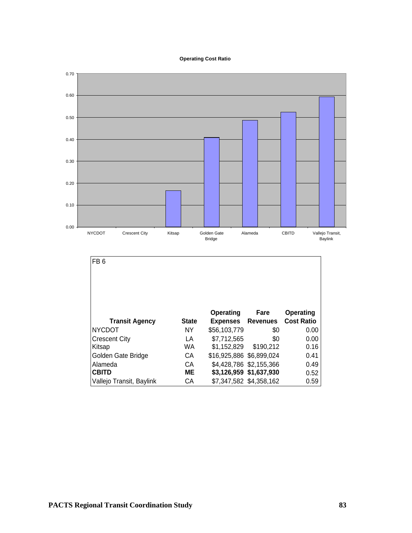#### **Operating Cost Ratio**

![](_page_88_Figure_1.jpeg)

| FB <sub>6</sub>          |              |                          |                         |                   |
|--------------------------|--------------|--------------------------|-------------------------|-------------------|
|                          |              |                          |                         |                   |
|                          |              | Operating                | Fare                    | Operating         |
| <b>Transit Agency</b>    | <b>State</b> | <b>Expenses</b>          | <b>Revenues</b>         | <b>Cost Ratio</b> |
| <b>NYCDOT</b>            | <b>NY</b>    | \$56,103,779             | \$0                     | 0.00              |
| <b>Crescent City</b>     | LA           | \$7,712,565              | \$0                     | 0.00              |
| Kitsap                   | <b>WA</b>    | \$1,152,829              | \$190,212               | 0.16              |
| Golden Gate Bridge       | СA           | \$16,925,886 \$6,899,024 |                         | 0.41              |
| Alameda                  | СA           |                          | \$4,428,786 \$2,155,366 | 0.49              |
| <b>CBITD</b>             | MЕ           |                          | \$3,126,959 \$1,637,930 | 0.52              |
| Vallejo Transit, Baylink | СA           |                          | \$7,347,582 \$4,358,162 | 0.59              |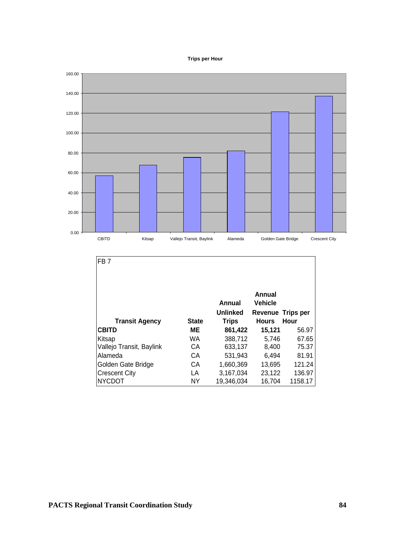![](_page_89_Figure_0.jpeg)

![](_page_89_Figure_1.jpeg)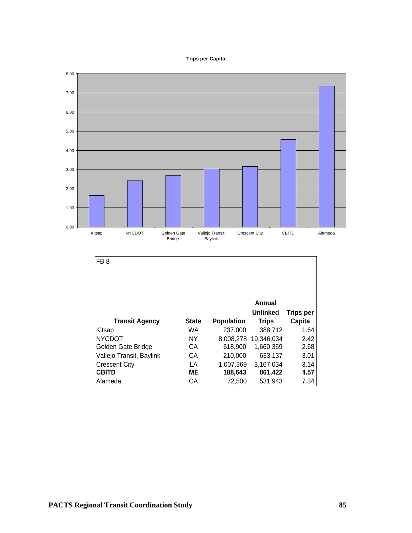#### **Trips per Capita**

![](_page_90_Figure_1.jpeg)

| <b>Transit Agency</b>    | <b>State</b> | <b>Population</b> | Annual<br><b>Unlinked</b><br><b>Trips</b> | <b>Trips per</b><br>Capita |
|--------------------------|--------------|-------------------|-------------------------------------------|----------------------------|
| Kitsap                   | <b>WA</b>    | 237,000           | 388,712                                   | 1.64                       |
| <b>NYCDOT</b>            | ΝY           | 8,008,278         | 19,346,034                                | 2.42                       |
| Golden Gate Bridge       | CА           | 618,900           | 1,660,369                                 | 2.68                       |
| Vallejo Transit, Baylink | СA           | 210,000           | 633,137                                   | 3.01                       |
| <b>Crescent City</b>     | LA           | 1,007,369         | 3,167,034                                 | 3.14                       |
| <b>CBITD</b>             | MЕ           | 188,643           | 861,422                                   | 4.57                       |
| Alameda                  | CА           | 72,500            | 531,943                                   | 7.34                       |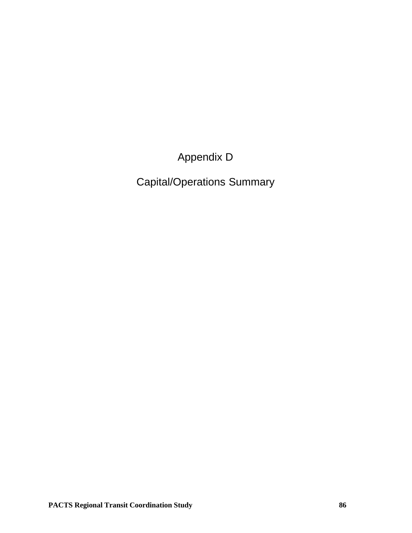Appendix D

Capital/Operations Summary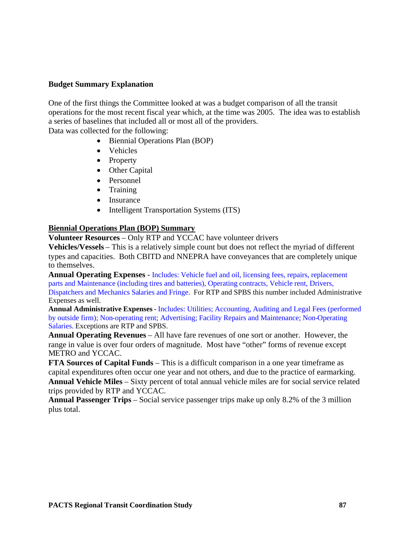## **Budget Summary Explanation**

One of the first things the Committee looked at was a budget comparison of all the transit operations for the most recent fiscal year which, at the time was 2005. The idea was to establish a series of baselines that included all or most all of the providers.

Data was collected for the following:

- Biennial Operations Plan (BOP)
- Vehicles
- Property
- Other Capital
- Personnel
- Training
- Insurance
- Intelligent Transportation Systems (ITS)

### **Biennial Operations Plan (BOP) Summary**

**Volunteer Resources** – Only RTP and YCCAC have volunteer drivers

**Vehicles/Vessels** – This is a relatively simple count but does not reflect the myriad of different types and capacities. Both CBITD and NNEPRA have conveyances that are completely unique to themselves.

**Annual Operating Expenses** - Includes: Vehicle fuel and oil, licensing fees, repairs, replacement parts and Maintenance (including tires and batteries), Operating contracts, Vehicle rent, Drivers, Dispatchers and Mechanics Salaries and Fringe. For RTP and SPBS this number included Administrative Expenses as well.

**Annual Administrative Expenses** - Includes: Utilities; Accounting, Auditing and Legal Fees (performed by outside firm); Non-operating rent; Advertising; Facility Repairs and Maintenance; Non-Operating Salaries. Exceptions are RTP and SPBS.

**Annual Operating Revenues** – All have fare revenues of one sort or another. However, the range in value is over four orders of magnitude. Most have "other" forms of revenue except METRO and YCCAC.

**FTA Sources of Capital Funds** – This is a difficult comparison in a one year timeframe as capital expenditures often occur one year and not others, and due to the practice of earmarking. **Annual Vehicle Miles** – Sixty percent of total annual vehicle miles are for social service related trips provided by RTP and YCCAC.

**Annual Passenger Trips** – Social service passenger trips make up only 8.2% of the 3 million plus total.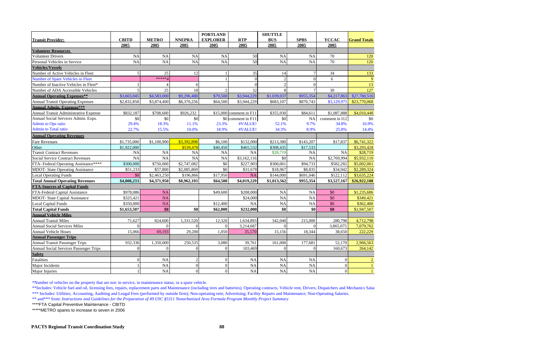|                                               |                  |                |                 | <b>PORTLAND</b>  |                         | <b>SHUTTLE</b>         |                |                 |                     |
|-----------------------------------------------|------------------|----------------|-----------------|------------------|-------------------------|------------------------|----------------|-----------------|---------------------|
| <b>Transit Provider:</b>                      | <b>CBITD</b>     | <b>METRO</b>   | <b>NNEPRA</b>   | <b>EXPLORER</b>  | <b>RTP</b>              | <b>BUS</b>             | <b>SPBS</b>    | <b>YCCAC</b>    | <b>Grand Totals</b> |
|                                               | 2005             | 2005           | 2005            | 2005             | 2005                    | 2005                   | 2005           | 2005            |                     |
| <b>Volunteer Resources</b>                    |                  |                |                 |                  |                         |                        |                |                 |                     |
| <b>Volunteer Drivers</b>                      | NA               | <b>NA</b>      | <b>NA</b>       | NA               | 50                      | <b>NA</b>              | <b>NA</b>      | 70              | 120                 |
| Personal Vehicles in Service                  | NA               | <b>NA</b>      | <b>NA</b>       | <b>NA</b>        | 50                      | <b>NA</b>              | <b>NA</b>      | 70              | 120                 |
| <b>Vehicles/Vessels</b>                       |                  |                |                 |                  |                         |                        |                |                 |                     |
| Number of Active Vehicles in Fleet            | $\overline{5}$   | 25             | 12              |                  | 35                      | 14                     |                | 34              | 133                 |
| Number of Spare Vehicles in Fleet             |                  | *****/         |                 |                  | $\Omega$                | $\mathcal{D}_{\alpha}$ | $\Omega$       | 6               | $\overline{9}$      |
| Number of Inactive Vehicles in Fleet*         |                  |                | $\vert 6 \vert$ |                  |                         | $\mathcal{D}$          | $\Omega$       |                 | 13                  |
| Number of ADA Accessible Vehicles             | $\overline{5}$   | 25             | 18              | $\mathfrak{2}$   | 32                      |                        |                | 30              | 127                 |
| <b>Annual Operating Expenses**</b>            | \$3,665,045      | \$4,583,000    | \$9,296,488     | \$79,500         | \$3,944,229             | \$1,039,037            | \$955,354      | \$4,217,863     | \$27,780,516        |
| <b>Annual Transit Operating Expenses</b>      | \$2,832,858      | \$3,874,400    | \$8,370,256     | \$64,500         | \$3,944,229             | \$683,107              | \$870,743      | \$3,129,975     | \$23,770,068        |
| <b>Annual Admin. Expenses***</b>              |                  |                |                 |                  |                         |                        |                |                 |                     |
| Annual Transit Administrative Expense         | \$832,187        | \$708,600      | \$926,232       |                  | \$15,000 comment in F11 | \$355,930              | \$84,611       | \$1,087,888     | \$4,010,448         |
| Annual Social Services Admin. Exps.           | $\$0$            | \$0            | \$0             |                  | \$0 comment in F11      | $\$0$                  | NA             | comment in I12  | \$0                 |
| <b>Admin to Ops ratio</b>                     | 29.4%            | 18.3%          | 11.1%           | 23.3%            | #VALUE!                 | 52.1%                  | 9.7%           | 34.8%           | 16.9%               |
| <b>Admin to Total ratio</b>                   | 22.7%            | 15.5%          | 10.0%           | 18.9%            | #VALUE!                 | 34.3%                  | 8.9%           | 25.8%           | 14.4%               |
| <b>Annual Operating Revenues</b>              |                  |                |                 |                  |                         |                        |                |                 |                     |
| <b>Fare Revenues</b>                          | \$1,735,000      | \$1,100,900    | \$3,392,898     | \$6,100          | \$132,000               | \$213,380              | \$143,207      | \$17,837        | \$6,741,322         |
| Other                                         | \$1,922,000      |                | \$539,478       | \$40,450         | \$465,532               | \$308,435              | \$17,533       |                 | \$3,293,428         |
| <b>Transit Contract Revenues</b>              | <b>NA</b>        | <b>NA</b>      | <b>NA</b>       | NA               | <b>NA</b>               | \$28,719               | <b>NA</b>      | <b>NA</b>       | \$28,719            |
| <b>Social Service Contract Revenues</b>       | <b>NA</b>        | <b>NA</b>      | <b>NA</b>       | NA               | \$3,162,116             | \$0                    | <b>NA</b>      | \$2,769,994     | \$5,932,110         |
| FTA-Federal Operating Assistance****          | \$300,000        | \$750,000      | \$2,747,082     | \$0              | \$227,903               | \$300,061              | \$94,733       | \$582,282       | \$5,002,061         |
| <b>MDOT-</b> State Operating Assistance       | \$51,233         | \$57,800       | \$2,085,869     | \$0              | \$31,678                | \$18,967               | \$8,835        | \$34,942        | \$2,289,324         |
| <b>Local Operating Funds</b>                  | \$0              | \$2,463,250    | \$196,866       | \$17,950         | NA                      | \$144,000              | \$691,046      | \$122,112       | \$3,635,224         |
| <b>Total Annual Operating Revenues</b>        | \$4,008,233      | \$4,371,950    | \$8,962,193     | \$64,500         | \$4,019,229             | \$1,013,562            | \$955,354      | \$3,527,167     | \$26,922,188        |
| <b>FTA-Sources of Capital Funds</b>           |                  |                |                 |                  |                         |                        |                |                 |                     |
| FTA-Federal Capital Assistance                | \$978,086        | <b>NA</b>      |                 | \$49,600         | \$208,000               | <b>NA</b>              | <b>NA</b>      | \$0             | \$1,235,686         |
| <b>MDOT-</b> State Capital Assistance         | \$325,421        | <b>NA</b>      |                 |                  | \$24,000                | <b>NA</b>              | <b>NA</b>      | \$0             | \$349,421           |
| <b>Local Capital Funds</b>                    | \$350,000        | NA             |                 | \$12,400         | <b>NA</b>               | NA                     | NA             | \$0             | \$362,400           |
| <b>Total Capital Funds</b>                    | \$1,653,507      | \$0            | \$0             | \$62,000         | \$232,000               | \$0                    | \$0            | \$0             | \$1,947,507         |
| <b>Annual Vehicle Miles</b>                   |                  |                |                 |                  |                         |                        |                |                 |                     |
| <b>Annual Transit Miles</b>                   | 71,627           | 824,600        | 1,331,520       | 12,320           | 1,634,893               | 342,040                | 215,000        | 280,798         | 4,712,798           |
| <b>Annual Social Services Miles</b>           | $\boldsymbol{0}$ | $\overline{0}$ | $\overline{0}$  | $\mathbf{0}$     | 3,214,687               | $\overline{0}$         | $\overline{0}$ | 3,865,075       | 7,079,762           |
| Annual Vehicle Hours                          | 15,066           | 69,193         | 29,200          | 1,050            | 35,570                  | 15,156                 | 18,344         | 38,650          | 222,229             |
| <b>Annual Passenger Trips</b>                 |                  |                |                 |                  |                         |                        |                |                 |                     |
| <b>Annual Transit Passenger Trips</b>         | 932,336          | 1,350,000      | 250,535         | 3,080            | 39,761                  | 161,000                | 177,681        | 52,170          | 2,966,563           |
| <b>Annual Social Services Passenger Trips</b> | $\overline{0}$   | $\Omega$       | $\overline{0}$  | $\overline{0}$   | 103,469                 | $\Omega$               | $\Omega$       | 160,673         | 264,142             |
| <b>Safety</b>                                 |                  |                |                 |                  |                         |                        |                |                 |                     |
| Fatalities                                    | $\Omega$         | NA             | $\overline{2}$  | $\boldsymbol{0}$ | <b>NA</b>               | NA                     | NA             | $\overline{0}$  | 2                   |
| Major Incidents                               |                  | <b>NA</b>      | $\vert 0 \vert$ | $\boldsymbol{0}$ | NA                      | NA                     | NA             | $\overline{0}$  |                     |
| Major Injuries                                |                  | NA             | $\vert 0 \vert$ | $\boldsymbol{0}$ | NA                      | $\rm NA$               | $\rm NA$       | $\vert 0 \vert$ |                     |

\*Number of vehicles on the property that are not: in service, in maintenance status, or a spare vehicle.

\*\*Includes: Vehicle fuel and oil, licensing fees, repairs, replacement parts and Maintenance (including tires and batteries), Operating contracts, Vehicle rent, Drivers, Dispatchers and Mechanics Salar \*\*\* Includes: Utilities; Accounting, Auditing and Leagal Fees (performed by outside firm); Non-operating rent; Advertising; Facility Repairs and Maintenance; Non-Operating Salaries.

\*\* and\*\*\* from: *Instructions and Guidelines for the Preparation of 49 USC §5311 Nonurbanized Area Formula Program Monthly Project Summary*

\*\*\*\*FTA Capital Preventive Maintenance - CBITD

\*\*\*\*\*METRO spares to increase to seven in 2006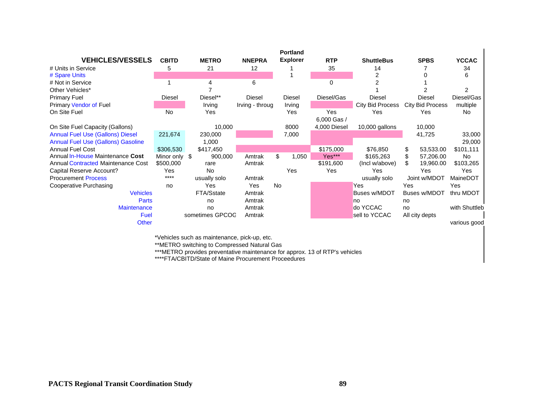|                                           |               |                 |                 | <b>Portland</b> |              |                     |                         |               |
|-------------------------------------------|---------------|-----------------|-----------------|-----------------|--------------|---------------------|-------------------------|---------------|
| <b>VEHICLES/VESSELS</b>                   | <b>CBITD</b>  | <b>METRO</b>    | <b>NNEPRA</b>   | <b>Explorer</b> | <b>RTP</b>   | <b>ShuttleBus</b>   | <b>SPBS</b>             | <b>YCCAC</b>  |
| # Units in Service                        | 5             | 21              | 12              |                 | 35           | 14                  |                         | 34            |
| # Spare Units                             |               |                 |                 |                 |              | $\overline{2}$      |                         | 6             |
| # Not in Service                          |               |                 | 6               |                 | 0            |                     |                         |               |
| Other Vehicles*                           |               |                 |                 |                 |              |                     |                         | 2             |
| <b>Primary Fuel</b>                       | Diesel        | Diesel**        | Diesel          | Diesel          | Diesel/Gas   | <b>Diesel</b>       | <b>Diesel</b>           | Diesel/Gas    |
| <b>Primary Vendor of Fuel</b>             |               | Irving          | Irving - throug | Irving          |              | City Bid Process    | <b>City Bid Process</b> | multiple      |
| On Site Fuel                              | <b>No</b>     | Yes             |                 | Yes             | Yes          | Yes                 | Yes                     | No.           |
|                                           |               |                 |                 |                 | 6,000 Gas /  |                     |                         |               |
| On Site Fuel Capacity (Gallons)           |               | 10,000          |                 | 8000            | 4,000 Diesel | 10,000 gallons      | 10,000                  |               |
| <b>Annual Fuel Use (Gallons) Diesel</b>   | 221,674       | 230,000         |                 | 7,000           |              |                     | 41,725                  | 33,000        |
| <b>Annual Fuel Use (Gallons) Gasoline</b> |               | 1,000           |                 |                 |              |                     |                         | 29,000        |
| <b>Annual Fuel Cost</b>                   | \$306,530     | \$417,450       |                 |                 | \$175,000    | \$76,850            | 53,533.00<br>\$.        | \$101,111     |
| Annual In-House Maintenance Cost          | Minor only \$ | 900,000         | Amtrak          | \$<br>1,050     | Yes***       | \$165,263           | 57,206.00               | <b>No</b>     |
| <b>Annual Contracted Maintenance Cost</b> | \$500,000     | rare            | Amtrak          |                 | \$191,600    | (Incl w/above)      | \$.<br>19,960.00        | \$103,265     |
| Capital Reserve Account?                  | Yes           | No              |                 | Yes             | Yes          | Yes                 | Yes                     | Yes           |
| <b>Procurement Process</b>                | $****$        | usually solo    | Amtrak          |                 |              | usually solo        | Joint w/MDOT            | MaineDOT      |
| Cooperative Purchasing                    | no            | Yes             | Yes             | <b>No</b>       |              | Yes                 | Yes                     | Yes           |
| <b>Vehicles</b>                           |               | FTA/Sstate      | Amtrak          |                 |              | <b>Buses w/MDOT</b> | <b>Buses w/MDOT</b>     | thru MDOT     |
| Parts                                     |               | no              | Amtrak          |                 |              | no                  | no                      |               |
| <b>Maintenance</b>                        |               | no              | Amtrak          |                 |              | do YCCAC            | no                      | with Shuttleb |
| Fuel                                      |               | sometimes GPCOC | Amtrak          |                 |              | sell to YCCAC       | All city depts          |               |
| <b>Other</b>                              |               |                 |                 |                 |              |                     |                         | various good  |

\*Vehicles such as maintenance, pick-up, etc.

\*\*METRO switching to Compressed Natural Gas

\*\*\*METRO provides preventative maintenance for approx. 13 of RTP's vehicles

\*\*\*\*FTA/CBITD/State of Maine Procurement Proceedures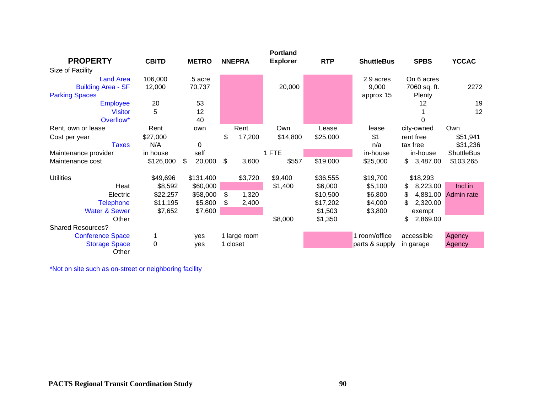|                           |              |              |               | <b>Portland</b> |            |                   |                 |                   |
|---------------------------|--------------|--------------|---------------|-----------------|------------|-------------------|-----------------|-------------------|
| <b>PROPERTY</b>           | <b>CBITD</b> | <b>METRO</b> | <b>NNEPRA</b> | <b>Explorer</b> | <b>RTP</b> | <b>ShuttleBus</b> | <b>SPBS</b>     | <b>YCCAC</b>      |
| Size of Facility          |              |              |               |                 |            |                   |                 |                   |
| <b>Land Area</b>          | 106,000      | .5 acre      |               |                 |            | 2.9 acres         | On 6 acres      |                   |
| <b>Building Area - SF</b> | 12,000       | 70,737       |               | 20,000          |            | 9,000             | 7060 sq. ft.    | 2272              |
| <b>Parking Spaces</b>     |              |              |               |                 |            | approx 15         | Plenty          |                   |
| <b>Employee</b>           | 20           | 53           |               |                 |            |                   | 12              | 19                |
| <b>Visitor</b>            | 5            | 12           |               |                 |            |                   |                 | 12                |
| Overflow*                 |              | 40           |               |                 |            |                   | 0               |                   |
| Rent, own or lease        | Rent         | own          | Rent          | Own             | Lease      | lease             | city-owned      | Own               |
| Cost per year             | \$27,000     |              | \$<br>17,200  | \$14,800        | \$25,000   | \$1               | rent free       | \$51,941          |
| <b>Taxes</b>              | N/A          | 0            |               |                 |            | n/a               | tax free        | \$31,236          |
| Maintenance provider      | in house     | self         |               | 1 FTE           |            | in-house          | in-house        | <b>ShuttleBus</b> |
| Maintenance cost          | \$126,000    | \$<br>20,000 | \$<br>3,600   | \$557           | \$19,000   | \$25,000          | \$<br>3,487.00  | \$103,265         |
|                           |              |              |               |                 |            |                   |                 |                   |
| <b>Utilities</b>          | \$49,696     | \$131,400    | \$3,720       | \$9,400         | \$36,555   | \$19,700          | \$18,293        |                   |
| Heat                      | \$8,592      | \$60,000     |               | \$1,400         | \$6,000    | \$5,100           | 8,223.00<br>\$  | Incl in           |
| Electric                  | \$22,257     | \$58,000     | \$<br>1,320   |                 | \$10,500   | \$6,800           | \$<br>4,881.00  | Admin rate        |
| <b>Telephone</b>          | \$11,195     | \$5,800      | \$<br>2,400   |                 | \$17,202   | \$4,000           | \$.<br>2,320.00 |                   |
| <b>Water &amp; Sewer</b>  | \$7,652      | \$7,600      |               |                 | \$1,503    | \$3,800           | exempt          |                   |
| Other                     |              |              |               | \$8,000         | \$1,350    |                   | \$<br>2,869.00  |                   |
| <b>Shared Resources?</b>  |              |              |               |                 |            |                   |                 |                   |
| <b>Conference Space</b>   |              | ves          | 1 large room  |                 |            | 1 room/office     | accessible      | Agency            |
| <b>Storage Space</b>      | $\mathbf 0$  | ves          | 1 closet      |                 |            | parts & supply    | in garage       | Agency            |
| Other                     |              |              |               |                 |            |                   |                 |                   |

\*Not on site such as on-street or neighboring facility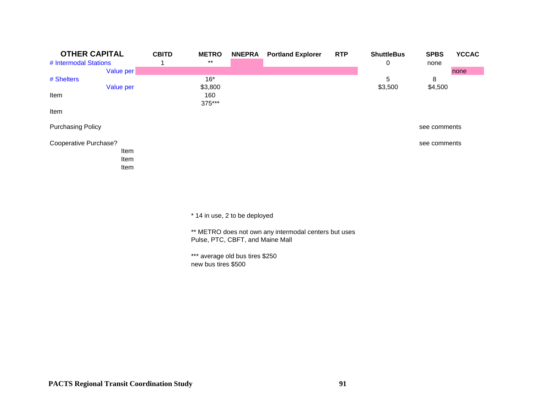| <b>OTHER CAPITAL</b>     |      | <b>CBITD</b> | <b>METRO</b> | <b>NNEPRA</b> | <b>Portland Explorer</b> | <b>RTP</b> | <b>ShuttleBus</b> | <b>SPBS</b>  | <b>YCCAC</b> |
|--------------------------|------|--------------|--------------|---------------|--------------------------|------------|-------------------|--------------|--------------|
| # Intermodal Stations    |      |              | $***$        |               |                          |            | 0                 | none         |              |
| Value per                |      |              |              |               |                          |            |                   |              | none         |
| # Shelters               |      |              | $16*$        |               |                          |            | 5                 | 8            |              |
| Value per                |      |              | \$3,800      |               |                          |            | \$3,500           | \$4,500      |              |
| Item                     |      |              | 160          |               |                          |            |                   |              |              |
|                          |      |              | 375***       |               |                          |            |                   |              |              |
| Item                     |      |              |              |               |                          |            |                   |              |              |
| <b>Purchasing Policy</b> |      |              |              |               |                          |            |                   | see comments |              |
| Cooperative Purchase?    |      |              |              |               |                          |            |                   | see comments |              |
|                          | Item |              |              |               |                          |            |                   |              |              |
|                          | Item |              |              |               |                          |            |                   |              |              |
|                          | Item |              |              |               |                          |            |                   |              |              |
|                          |      |              |              |               |                          |            |                   |              |              |

\* 14 in use, 2 to be deployed

\*\* METRO does not own any intermodal centers but uses Pulse, PTC, CBFT, and Maine Mall

\*\*\* average old bus tires \$250 new bus tires \$500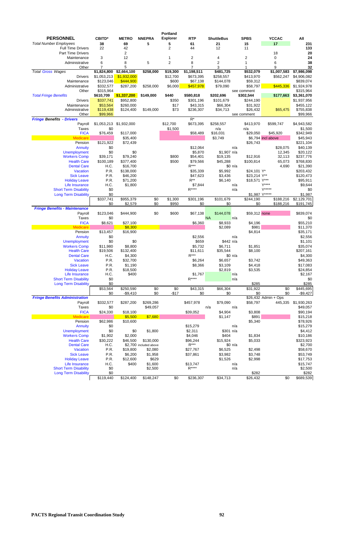**PACTS Regional Transit Coordination Study 92**

|                                                |                    |                      |                        | <b>Portland</b>     |                       |                              |                    |                        |                          |
|------------------------------------------------|--------------------|----------------------|------------------------|---------------------|-----------------------|------------------------------|--------------------|------------------------|--------------------------|
| <b>PERSONNEL</b>                               | <b>CBITD*</b>      | <b>METRO</b>         | <b>NNEPRA</b>          | <b>Explorer</b>     | <b>RTP</b>            | <b>ShuttleBus</b>            | <b>SPBS</b>        | <b>YCCAC</b>           | All                      |
| <b>Total Number Employees</b>                  | 38                 | 69                   | 5                      | 5                   | 61                    | 21                           | 15                 | 17                     | 231                      |
| <b>Full Time Drivers</b>                       | 22                 | 42                   |                        | 2                   | 44                    | 12                           | 11                 |                        | 133                      |
| Part Time Drivers                              |                    | $\overline{c}$       |                        |                     |                       |                              |                    | 18                     | 20<br>24                 |
| Maintenance<br>Administrative                  | 3<br>6             | 12<br>8              | 5                      | 1<br>$\overline{2}$ | $\boldsymbol{2}$<br>8 | 4<br>$\overline{\mathbf{c}}$ | 2<br>1             | 0<br>6                 | 38                       |
| Other                                          | $\overline{7}$     | 5                    |                        |                     |                       | 3                            |                    | 9                      | 32                       |
| <b>Total Gross Wages</b>                       | \$1,824,800        | \$2,664,100          | \$258,000              | \$19,300            | \$1,198,511           | \$481,725                    | \$532,079          | \$1,007,583            | \$7,986,098              |
| <b>Drivers</b>                                 | \$1,053,213        | \$1,932,000          |                        | \$12,700            | \$673,395             | \$258,557                    | \$413,970          | \$562,247              | \$4,906,082              |
| Maintenance                                    | \$123,046          | \$444,900            |                        | \$600               | \$67,138              | \$144,078                    | \$59,312           |                        | \$839,074                |
| Administrative                                 | \$332,577          | \$287,200            | \$258,000              | \$6,000             | \$457,978             | \$79,090                     | \$58,797           | \$445,336              | \$1,924,978              |
| Other                                          | \$315,964          |                      |                        |                     |                       |                              | see comment        |                        | \$315,964                |
| <b>Total Fringe Benefits</b>                   | \$610,709          | \$1,337,200          | \$149,000              | \$440               | \$580,818             | \$202,696                    | \$302,544          | \$177,663              | \$3,361,070              |
| <b>Drivers</b>                                 | \$337,741          | \$952,800            |                        | \$350               | \$301,196             | \$101,679                    | \$244,190          |                        | \$1,937,956              |
| Maintenance                                    | \$53,564           | \$260,000            |                        | \$17                | \$43,315              | \$66,304                     | \$31,922           |                        | \$455,122                |
| Administrative                                 | \$119,438          | \$124,400            | \$149,000              | \$73                | \$236,307             | \$34,713                     | \$26,432           | \$65,475               | \$755,838                |
| Other                                          | \$99,966           |                      |                        |                     |                       |                              | see comment        |                        | \$99,966                 |
| <b>Fringe Benefits - Drivers</b>               |                    | \$1,932,000          |                        | \$12,700            | $R^*$<br>\$673,395    |                              |                    |                        | \$4,943,582              |
| Payroll<br><b>Taxes</b>                        | \$1,053,213<br>\$0 |                      |                        | \$1,500             |                       | \$258,557<br>n/a             | \$413,970<br>n/a   | \$599,747              | \$1,500                  |
| <b>FICA</b>                                    | \$76,459           | \$117,000            |                        |                     | \$58,489              | \$16,031                     | \$29,050           | \$45,920               | \$342,949                |
| <b>Medicare</b>                                |                    | \$35,400             |                        |                     |                       | \$3,749                      |                    | \$6,794 incl above     | \$45,943                 |
| Pension                                        | \$121,922          | \$72,439             |                        |                     |                       |                              | \$26,743           |                        | \$221,104                |
| Annuity                                        | \$0                |                      |                        |                     | \$12,064              |                              | n/a                | \$28,075               | \$40,139                 |
| Unemployment                                   | \$0                | \$0                  |                        |                     | \$5,870               | \$1,907 n/a                  |                    | 12,345                 | \$20,122                 |
| <b>Workers Comp</b>                            | \$39,171           | \$79,240             |                        | \$800               | \$54,401              | \$19,135                     | \$12,916           | 32,113                 | \$237,776                |
| <b>Health Care</b>                             | \$100,189          | \$377,400            |                        | \$500               | \$79,566              | \$45,288                     | \$100,814          | 65,073                 | \$768,830                |
| <b>Dental Care</b>                             | H.C.               | \$16,700             |                        |                     | $R***$                |                              | \$0 n/a            | 4,690                  | \$21,390                 |
| Vacation                                       | P.R.               | \$138,000            |                        |                     | \$35,339              | \$5,992                      | \$24,101 Y*        |                        | \$203,432                |
| <b>Sick Leave</b>                              | P.R.               | \$46,200             |                        |                     | \$47,623              | \$3,436                      | \$23,214 Y**       |                        | \$120,473                |
| <b>Holiday Leave</b>                           | P.R.               | \$71,200             |                        |                     | $R^{**}$              | \$6,140                      | \$18,571 Y***      |                        | \$95,911                 |
| Life Insurance                                 | H.C.               | \$1,800              |                        |                     | \$7,844               |                              | n/a                | Y****                  | \$9,644                  |
| <b>Short Term Disability</b>                   | \$0                |                      |                        |                     | $R***$                |                              | n/a                | Y*****                 | \$0                      |
| <b>Long Term Disability</b>                    | \$0                |                      |                        |                     |                       |                              | \$1,987 Y*****     |                        | \$1,987                  |
|                                                | \$337,741<br>\$0   | \$955,379<br>\$2,579 | \$0<br>\$0             | \$1,300<br>\$950    | \$301,196<br>\$0      | \$101,679<br>\$0             | \$244,190<br>\$0   | \$188,216<br>\$188,216 | \$2,129,701<br>\$191,745 |
| <b>Fringe Benefits - Maintenance</b>           |                    |                      |                        |                     |                       |                              |                    |                        |                          |
| Payroll                                        | \$123,046          | \$444,900            | \$0                    | \$600               | \$67,138              | \$144,078                    | \$59,312 none      |                        | \$839,074                |
| <b>Taxes</b>                                   | \$0                |                      |                        |                     |                       | <b>NA</b>                    | n/a                |                        | \$0                      |
| <b>FICA</b>                                    | \$8,621            | \$27,100             |                        |                     | \$6,360               | \$8,933                      | \$4,196            |                        | \$55,210                 |
| M <sub>Pl</sub>                                |                    | \$8,300              |                        |                     |                       | \$2,089                      | \$981              |                        | \$11,370                 |
| Pension                                        | \$13,457           | \$16,900             |                        |                     |                       |                              | \$4,814            |                        | \$35,171                 |
| Annuity                                        | \$0                |                      |                        |                     | \$2,556               |                              | n/a                |                        | \$2,556                  |
| <b>Unemployment</b>                            | \$0                | \$0                  |                        |                     | \$659                 | \$442 n/a                    |                    |                        | \$1,101                  |
| <b>Workers Comp</b>                            | \$11,980           | \$8,800              |                        |                     | \$5,732               | \$6,711                      | \$1,851            |                        | \$35,074                 |
| <b>Health Care</b>                             | \$19,506           | \$132,400            |                        |                     | \$11,611              | \$35,544                     | \$8,100            |                        | \$207,161                |
| <b>Dental Care</b>                             | H.C.               | \$4,300              |                        |                     | $R***$                |                              | \$0 n/a            |                        | \$4,300                  |
| Vacation                                       | P.R.               | \$32,700             |                        |                     | \$6,264               | \$6,657                      | \$3,742            |                        | \$49,363                 |
| <b>Sick Leave</b>                              | P.R.               | \$1,190              |                        |                     | \$8,366               | \$3,109                      | \$4,418            |                        | \$17,083                 |
| <b>Holiday Leave</b>                           | P.R.               | \$18,500             |                        |                     |                       | \$2,819                      | \$3,535            |                        | \$24,854                 |
| Life Insurance<br><b>Short Term Disability</b> | H.C.               | \$400                |                        |                     | \$1,767<br>$R***$     |                              | n/a                |                        | \$2,167                  |
| <b>Long Term Disability</b>                    | \$0<br>\$0         |                      |                        |                     |                       |                              | n/a<br>\$285       |                        | \$0<br>\$285             |
|                                                | \$53,564           | \$250,590            | \$0                    | \$0                 | \$43,315              | \$66,304                     | \$31,922           | \$0                    | \$445,695                |
|                                                | \$0                | $-$9,410$            | \$0                    | $-$17$              | \$0                   | \$0                          | \$0                | \$0                    | $-$9,427$                |
| <b>Fringe Benefits Administration</b>          |                    |                      |                        |                     |                       |                              |                    | \$26,432 Admin + Ops   |                          |
| Payroll                                        | \$332,577          | \$287,200            | \$269,286              |                     | \$457,978             | \$79,090                     | \$58,797           | 445,335                | \$1,930,263              |
| <b>Taxes</b>                                   | \$0                |                      | \$49,057               |                     |                       | n/a                          | n/a                |                        | \$49,057                 |
| <b>FICA</b>                                    | \$24,330           | \$18,100             |                        |                     | \$39,052              | \$4,904                      | \$3,808            |                        | \$90,194                 |
| <b>Medicare</b>                                |                    | \$5,500              | \$7,680                |                     |                       | \$1,147                      | \$891              |                        | \$15,218                 |
| Pension                                        | \$62,986           | \$10,600             |                        |                     |                       |                              | \$5,340            |                        | \$78,926                 |
| Annuity                                        | \$0                |                      |                        |                     | \$15,279              |                              | n/a                |                        | \$15,279                 |
| <b>Unemployment</b>                            | \$0                | \$0                  | \$1,800                |                     | \$2,311               | \$301 n/a                    |                    |                        | \$4,412                  |
| <b>Workers Comp</b>                            | \$1,902            | \$2,000              |                        |                     | \$4,046               | \$404                        | \$1,834            |                        | \$10,186                 |
| <b>Health Care</b>                             | \$30,222           | \$46,500             | \$130,000              |                     | \$96,244<br>$R***$    | \$15,924                     | \$5,033            |                        | \$323,923                |
| <b>Dental Care</b>                             | H.C.               |                      | \$2,700 included above |                     |                       |                              | \$0 n/a            |                        | \$2,700                  |
| Vacation<br><b>Sick Leave</b>                  | P.R.<br>P.R.       | \$19,800<br>\$6,200  | \$2,080                |                     | \$27,767              | \$6,525                      | \$2,498            |                        | \$58,670                 |
| <b>Holiday Leave</b>                           | P.R.               | \$12,600             | \$1,958<br>\$629       |                     | \$37,861              | \$3,982<br>\$1,526           | \$3,748<br>\$2,998 |                        | \$53,749<br>\$17,753     |
| Life Insurance                                 | H.C.               | \$400                | \$1,600                |                     | \$13,747              |                              | n/a                |                        | \$15,747                 |
| <b>Short Term Disability</b>                   | \$0                |                      | \$2,500                |                     | $R***$                |                              | n/a                |                        | \$2,500                  |
| <b>Long Term Disability</b>                    | \$0                |                      |                        |                     |                       |                              | \$282              |                        | \$282                    |
|                                                | \$119,440          | \$124,400            | \$148,247              | \$0                 | \$236,307             | \$34,713                     | \$26,432           | \$0                    | \$689,539                |
|                                                |                    |                      |                        |                     |                       |                              |                    |                        |                          |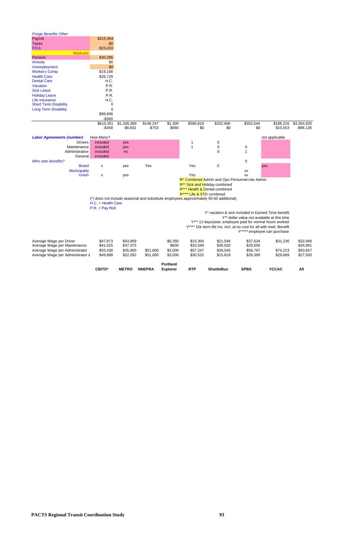**PACTS Regional Transit Coordination Study 93**

|                                                                    | <b>CBITD*</b>        | <b>METRO</b>         | <b>NNEPRA</b> | <b>Explorer</b>  | <b>RTP</b>                | <b>ShuttleBus</b>                                                                      | <b>SPBS</b>                                 | <b>YCCAC</b>   | All                  |
|--------------------------------------------------------------------|----------------------|----------------------|---------------|------------------|---------------------------|----------------------------------------------------------------------------------------|---------------------------------------------|----------------|----------------------|
|                                                                    |                      |                      |               | Portland         |                           |                                                                                        |                                             |                |                      |
|                                                                    | \$49,888             | \$22,092             | \$51,600      | \$3,000          | \$30,532                  | \$15,818                                                                               | \$29,399                                    | \$29,689       |                      |
| Average Wage per Administrator<br>Average Wage per Administrator & | \$55,430             | \$35,900             | \$51,600      | \$3,000          | \$57,247                  | \$39,545                                                                               |                                             | \$74,223       | \$50,657<br>\$27,500 |
| Average Wage per Maintenance                                       |                      |                      |               |                  |                           |                                                                                        | \$29,656<br>\$58,797                        |                |                      |
| Average Wage per Driver                                            | \$47,873<br>\$41,015 | \$43,909<br>\$37,075 |               | \$6,350<br>\$600 | \$15,304<br>\$33,569      | \$21,546<br>\$36,020                                                                   | \$37,634                                    | \$31,236       | \$32,066<br>\$34,961 |
|                                                                    |                      |                      |               |                  |                           |                                                                                        |                                             |                |                      |
|                                                                    |                      |                      |               |                  |                           |                                                                                        | Y***** employee can purchase                |                |                      |
|                                                                    |                      |                      |               |                  |                           | Y**** 15k term life ins. Incl. at no cost for all with med. Benefit                    |                                             |                |                      |
|                                                                    |                      |                      |               |                  |                           | Y*** 12 days/year, employee paid for normal hours worked                               |                                             |                |                      |
|                                                                    |                      |                      |               |                  |                           |                                                                                        | Y** dollar value not available at this time |                |                      |
|                                                                    |                      |                      |               |                  |                           | Y* vacation & sick included in Earned Time benefit                                     |                                             |                |                      |
|                                                                    | $P.R. = Pay Roll$    |                      |               |                  |                           |                                                                                        |                                             |                |                      |
|                                                                    | $H.C. = Health Care$ |                      |               |                  |                           |                                                                                        |                                             |                |                      |
|                                                                    |                      |                      |               |                  | R**** Life & STD combined | (*) does not include seasonal and substitute employees approximately 50-60 additional) |                                             |                |                      |
|                                                                    |                      |                      |               |                  |                           | R*** Health & Dental combined                                                          |                                             |                |                      |
|                                                                    |                      |                      |               |                  |                           | R <sup>**</sup> Sick and Holiday combined                                              |                                             |                |                      |
|                                                                    |                      |                      |               |                  |                           | R <sup>*</sup> Combined Admin and Ops Personnel into Admin                             |                                             |                |                      |
| <b>Union</b>                                                       | X                    | yes                  |               |                  | Yes                       |                                                                                        | XX                                          |                |                      |
| <b>Municipality</b>                                                |                      |                      |               |                  |                           |                                                                                        | XX                                          |                |                      |
| <b>Board</b>                                                       | Х                    | yes                  | Yes           |                  | Yes                       | X                                                                                      |                                             | yes            |                      |
| Who sets benefits?                                                 |                      |                      |               |                  |                           |                                                                                        | 0                                           |                |                      |
| General                                                            | included             |                      |               |                  |                           |                                                                                        |                                             |                |                      |
| Maintenance<br>Administrative                                      | included<br>included | yes<br>no            |               |                  |                           | $\pmb{0}$<br>$\mathbf 0$                                                               | 0<br>1                                      |                |                      |
| <b>Drivers</b>                                                     | included             | yes                  |               |                  | 1<br>1                    | 0                                                                                      |                                             |                |                      |
| <b>Labor Agreements (number)</b>                                   | How Many?            |                      |               |                  |                           |                                                                                        |                                             | not applicable |                      |
|                                                                    |                      |                      |               |                  |                           |                                                                                        |                                             |                |                      |
|                                                                    | $-$ \$358            | $-$ \$6,831          | $-$753$       | \$860            | \$0                       | \$0                                                                                    | \$0                                         | \$10,553       | $-$ \$96,135         |
|                                                                    | \$610,351            | \$1,330,369          | \$148,247     | \$1,300          | \$580,818                 | \$202,696                                                                              | \$302,544                                   | \$188,216      | \$3,264,935          |
|                                                                    | $-$360$              |                      |               |                  |                           |                                                                                        |                                             |                |                      |
|                                                                    | \$99,606             |                      |               |                  |                           |                                                                                        |                                             |                |                      |
| <b>Long Term Disability</b>                                        | $\mathbf 0$          |                      |               |                  |                           |                                                                                        |                                             |                |                      |
| <b>Short Term Disability</b>                                       | 0                    |                      |               |                  |                           |                                                                                        |                                             |                |                      |
| Life Insurance                                                     | H.C.                 |                      |               |                  |                           |                                                                                        |                                             |                |                      |
| <b>Holiday Leave</b>                                               | P.R.                 |                      |               |                  |                           |                                                                                        |                                             |                |                      |
| <b>Sick Leave</b>                                                  | P.R.                 |                      |               |                  |                           |                                                                                        |                                             |                |                      |
| <b>Dental Care</b><br>Vacation                                     | H.C.<br>P.R.         |                      |               |                  |                           |                                                                                        |                                             |                |                      |
| <b>Health Care</b>                                                 | \$26,729             |                      |               |                  |                           |                                                                                        |                                             |                |                      |
| <b>Workers Comp</b>                                                | \$19,158             |                      |               |                  |                           |                                                                                        |                                             |                |                      |
| <b>Unemployment</b>                                                | \$0                  |                      |               |                  |                           |                                                                                        |                                             |                |                      |
| Annuity                                                            | \$0                  |                      |               |                  |                           |                                                                                        |                                             |                |                      |
| Pension                                                            | \$30,286             |                      |               |                  |                           |                                                                                        |                                             |                |                      |
| <b>Medicare</b>                                                    |                      |                      |               |                  |                           |                                                                                        |                                             |                |                      |
| <b>FICA</b>                                                        | \$23,433             |                      |               |                  |                           |                                                                                        |                                             |                |                      |
| <b>Taxes</b>                                                       | \$0                  |                      |               |                  |                           |                                                                                        |                                             |                |                      |
| Payroll                                                            | \$315,964            |                      |               |                  |                           |                                                                                        |                                             |                |                      |
| <b>Fringe Benefits Other</b>                                       |                      |                      |               |                  |                           |                                                                                        |                                             |                |                      |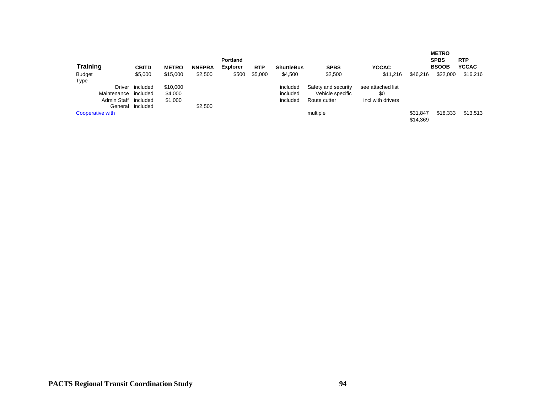| <b>Training</b>  | <b>CBITD</b> | <b>METRO</b> | <b>NNEPRA</b> | <b>Portland</b><br><b>Explorer</b> | <b>RTP</b> | <b>ShuttleBus</b> | <b>SPBS</b>         | <b>YCCAC</b>      |                      | <b>METRO</b><br><b>SPBS</b><br><b>BSOOB</b> | <b>RTP</b><br><b>YCCAC</b> |
|------------------|--------------|--------------|---------------|------------------------------------|------------|-------------------|---------------------|-------------------|----------------------|---------------------------------------------|----------------------------|
| <b>Budget</b>    | \$5,000      | \$15,000     | \$2,500       | \$500                              | \$5,000    | \$4,500           | \$2,500             | \$11,216          | \$46,216             | \$22,000                                    | \$16,216                   |
| Type             |              |              |               |                                    |            |                   |                     |                   |                      |                                             |                            |
| Driver           | included     | \$10,000     |               |                                    |            | included          | Safety and security | see attached list |                      |                                             |                            |
| Maintenance      | included     | \$4.000      |               |                                    |            | included          | Vehicle specific    | \$0               |                      |                                             |                            |
| Admin Staff      | included     | \$1,000      |               |                                    |            | included          | Route cutter        | incl with drivers |                      |                                             |                            |
| General          | included     |              | \$2.500       |                                    |            |                   |                     |                   |                      |                                             |                            |
| Cooperative with |              |              |               |                                    |            |                   | multiple            |                   | \$31.847<br>\$14,369 | \$18,333                                    | \$13,513                   |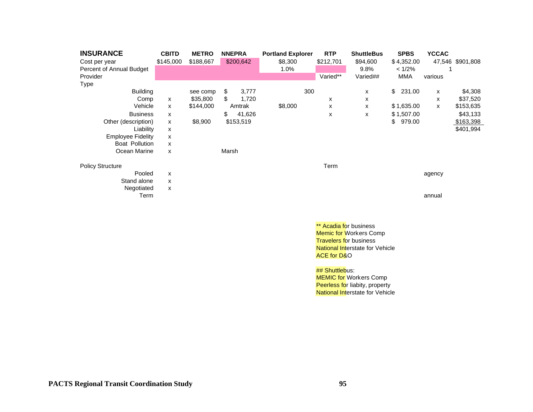| <b>INSURANCE</b>         | <b>CBITD</b>              | <b>METRO</b> |       | <b>NNEPRA</b> | <b>Portland Explorer</b> | <b>RTP</b> | <b>ShuttleBus</b> | <b>SPBS</b>  | <b>YCCAC</b> |                  |
|--------------------------|---------------------------|--------------|-------|---------------|--------------------------|------------|-------------------|--------------|--------------|------------------|
| Cost per year            | \$145,000                 | \$188,667    |       | \$200,642     | \$8,300                  | \$212,701  | \$94,600          | \$4,352.00   |              | 47,546 \$901,808 |
| Percent of Annual Budget |                           |              |       |               | 1.0%                     |            | $9.8\%$           | < 1/2%       |              |                  |
| Provider                 |                           |              |       |               |                          | Varied**   | Varied##          | <b>MMA</b>   | various      |                  |
| Type                     |                           |              |       |               |                          |            |                   |              |              |                  |
| <b>Building</b>          |                           | see comp     | \$    | 3,777         | 300                      |            | x                 | \$<br>231.00 | x            | \$4,308          |
| Comp                     | X                         | \$35,800     | \$    | 1,720         |                          | x          | х                 |              | x            | \$37,520         |
| Vehicle                  | x                         | \$144,000    |       | Amtrak        | \$8,000                  | x          | x                 | \$1,635.00   | x            | \$153,635        |
| <b>Business</b>          | x                         |              | \$    | 41,626        |                          | X          | X                 | \$1,507.00   |              | \$43,133         |
| Other (description)      | X                         | \$8,900      |       | \$153,519     |                          |            |                   | \$<br>979.00 |              | \$163,398        |
| Liability                | X                         |              |       |               |                          |            |                   |              |              | \$401,994        |
| <b>Employee Fidelity</b> | X                         |              |       |               |                          |            |                   |              |              |                  |
| Boat Pollution           | X                         |              |       |               |                          |            |                   |              |              |                  |
| Ocean Marine             | X                         |              | Marsh |               |                          |            |                   |              |              |                  |
| <b>Policy Structure</b>  |                           |              |       |               |                          | Term       |                   |              |              |                  |
| Pooled                   | X                         |              |       |               |                          |            |                   |              | agency       |                  |
| Stand alone              | X                         |              |       |               |                          |            |                   |              |              |                  |
| Negotiated               | $\boldsymbol{\mathsf{x}}$ |              |       |               |                          |            |                   |              |              |                  |
| Term                     |                           |              |       |               |                          |            |                   |              | annual       |                  |
|                          |                           |              |       |               |                          |            |                   |              |              |                  |

\*\* Acadia for business **Memic for Workers Comp Travelers for business National Interstate for Vehicle** ACE for D&O

## **## Shuttlebus:**

**MEMIC for Workers Comp** Peerless for liabity, property **National Interstate for Vehicle**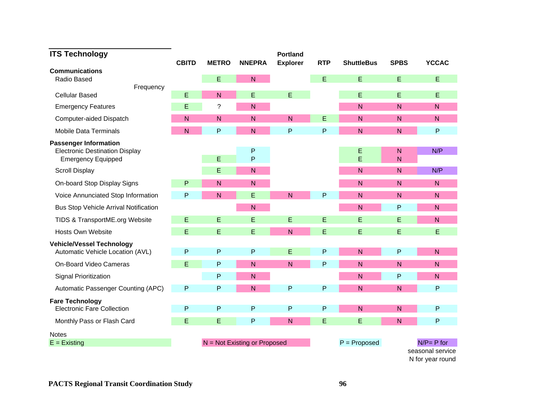| <b>ITS Technology</b>                                                                              |                |                |                                | <b>Portland</b> |            |                   |                   |                                      |
|----------------------------------------------------------------------------------------------------|----------------|----------------|--------------------------------|-----------------|------------|-------------------|-------------------|--------------------------------------|
| <b>Communications</b>                                                                              | <b>CBITD</b>   | <b>METRO</b>   | <b>NNEPRA</b>                  | <b>Explorer</b> | <b>RTP</b> | <b>ShuttleBus</b> | <b>SPBS</b>       | <b>YCCAC</b>                         |
| Radio Based                                                                                        |                | E              | $\overline{N}$                 |                 | E          | E                 | E                 | E                                    |
| Frequency                                                                                          |                |                |                                |                 |            |                   |                   |                                      |
| <b>Cellular Based</b>                                                                              | E              | $\overline{N}$ | E                              | E               |            | E                 | E                 | E                                    |
| <b>Emergency Features</b>                                                                          | E              | $\tilde{?}$    | $\mathsf{N}$                   |                 |            | $\mathsf{N}$      | $\mathsf{N}$      | N                                    |
| Computer-aided Dispatch                                                                            | N              | $\mathsf{N}$   | N                              | N               | Ε          | N.                | N                 | N                                    |
| <b>Mobile Data Terminals</b>                                                                       | $\overline{N}$ | P              | $\overline{N}$                 | P               | P          | $\overline{N}$    | $\mathsf{N}$      | $\sf P$                              |
| <b>Passenger Information</b><br><b>Electronic Destination Display</b><br><b>Emergency Equipped</b> |                | E              | P<br>P                         |                 |            | Ε<br>E            | N<br>$\mathsf{N}$ | N/P                                  |
| <b>Scroll Display</b>                                                                              |                | E              | $\overline{N}$                 |                 |            | N                 | $\mathsf{N}$      | N/P                                  |
| On-board Stop Display Signs                                                                        | P              | N.             | N                              |                 |            | N.                | N                 | N                                    |
| Voice Annunciated Stop Information                                                                 | $\mathsf{P}$   | $\overline{N}$ | E                              | N               | $\sf P$    | $\overline{N}$    | $\mathsf{N}$      | $\overline{N}$                       |
| Bus Stop Vehicle Arrival Notification                                                              |                |                | N                              |                 |            | $\mathsf{N}$      | $\mathsf{P}$      | N                                    |
| TIDS & TransportME.org Website                                                                     | E              | E              | E                              | E               | E          | E                 | E                 | N.                                   |
| <b>Hosts Own Website</b>                                                                           | E              | E              | E                              | $\mathsf{N}$    | E          | Е                 | E                 | Е                                    |
| <b>Vehicle/Vessel Technology</b><br>Automatic Vehicle Location (AVL)                               | P              | P              | P                              | E               | P          | $\mathsf{N}$      | ${\sf P}$         | N                                    |
| <b>On-Board Video Cameras</b>                                                                      | E              | P              | $\mathsf{N}$                   | $\mathsf{N}$    | P          | N <sub>1</sub>    | $\mathsf{N}$      | $\mathsf{N}$                         |
| <b>Signal Prioritization</b>                                                                       |                | P              | N                              |                 |            | $\mathsf{N}$      | ${\sf P}$         | N                                    |
| Automatic Passenger Counting (APC)                                                                 | $\mathsf{P}$   | P              | N                              | P               | P          | $\overline{N}$    | $\mathsf{N}$      | $\sf P$                              |
| <b>Fare Technology</b><br><b>Electronic Fare Collection</b>                                        | $\mathsf{P}$   | P              | P                              | P               | P          | N                 | N                 | $\mathsf{P}$                         |
| Monthly Pass or Flash Card                                                                         | E              | E              | P                              | $\mathsf{N}$    | E          | E                 | N                 | $\mathsf{P}$                         |
| <b>Notes</b>                                                                                       |                |                |                                |                 |            |                   |                   |                                      |
| $E =$ Existing                                                                                     |                |                | $N = Not$ Existing or Proposed |                 |            | $P =$ Proposed    |                   | $N/P = P$ for                        |
|                                                                                                    |                |                |                                |                 |            |                   |                   | seasonal service<br>N for year round |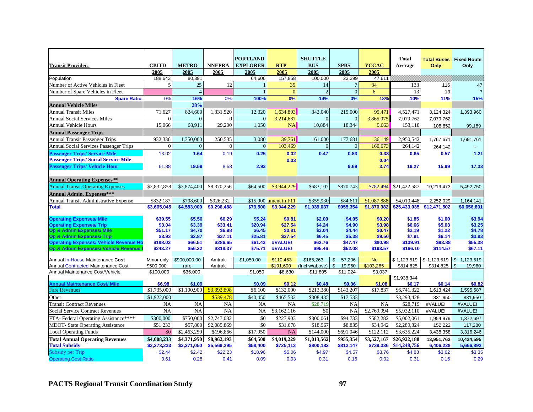|                                                                         |                        |                  |                   | <b>PORTLAND</b>   |                        | <b>SHUTTLE</b>             |                                      |                      | <b>Total</b>           |                  | <b>Total Buses</b> Fixed Route |
|-------------------------------------------------------------------------|------------------------|------------------|-------------------|-------------------|------------------------|----------------------------|--------------------------------------|----------------------|------------------------|------------------|--------------------------------|
| <b>Transit Provider:</b>                                                | <b>CBITD</b>           | <b>METRO</b>     | <b>NNEPRA</b>     | <b>EXPLORER</b>   | <b>RTP</b>             | <b>BUS</b>                 | <b>SPBS</b>                          | <b>YCCAC</b>         | Average                | Only             | Only                           |
| Population                                                              | 2005<br>188,643        | 2005<br>80,391   | 2005              | 2005<br>64,606    | 2005<br>157,858        | 2005<br>100,000            | 2005<br>23,399                       | 2005<br>47,611       |                        |                  |                                |
| Number of Active Vehicles in Fleet                                      | 5 <sub>l</sub>         | 25               | 12                | 1                 | 35                     | 14                         | $7\phantom{.0}$                      | 34                   | 133                    | 116              | 47                             |
| Number of Spare Vehicles in Fleet                                       |                        | $\overline{4}$   |                   | $\mathbf{1}$      | $\overline{0}$         | $\overline{2}$             | $\overline{0}$                       | 6                    | 13                     | 13               | $\overline{7}$                 |
| <b>Spare Ratio</b>                                                      | 0%                     | 16%              | 0%                | 100%              | 0%                     | 14%                        | 0%                                   | 18%                  | 10%                    | 11%              | 15%                            |
| <b>Annual Vehicle Miles</b>                                             |                        | 28%              |                   |                   |                        |                            |                                      |                      |                        |                  |                                |
| <b>Annual Transit Miles</b>                                             | 71.627                 | 824,600          | 1,331,520         | 12.320            | 1,634,893              | 342,040                    | 215,000                              | 95,471               | 4,527,471              | 3,124,324        | 1,393,960                      |
| <b>Annual Social Services Miles</b>                                     |                        | $\Omega$         | $\Omega$          | $\overline{0}$    | 3,214,687              | $\Omega$                   | $\Omega$                             | 3,865,075            | 7.079.762              | 7,079,762        |                                |
| <b>Annual Vehicle Hours</b>                                             | 15.066                 | 68,911           | 29,200            | 1.050             | <b>NA</b>              | 10,884                     | 18,344                               | 9.663                | 153.118                | 108,852          | 99,189                         |
| <b>Annual Passenger Trips</b>                                           |                        |                  |                   |                   |                        |                            |                                      |                      |                        |                  |                                |
| <b>Annual Transit Passenger Trips</b>                                   | 932,336                | 1,350,000        | 250,535           | 3,080             | 39,761                 | 161,000                    | 177,681                              | 36,149               | 2,950,542              | 1,767,671        | 1,691,761                      |
| Annual Social Services Passenger Trips                                  |                        | $\overline{0}$   | $\Omega$          | $\overline{0}$    | 103,469                | $\overline{0}$             | $\Omega$                             | 160,673              | 264,142                | 264,142          |                                |
| <b>Passenger Trips/ Service Mile</b>                                    | 13.02                  | 1.64             | 0.19              | 0.25              | 0.02                   | 0.47                       | 0.83                                 | 0.38                 | 0.65                   | 0.57             | 1.21                           |
| <b>Passenger Trips/Social Service Mile</b>                              |                        |                  |                   |                   | 0.03                   |                            |                                      | 0.04                 |                        |                  |                                |
| <b>Passenger Trips/ Vehicle Hour</b>                                    | 61.88                  | 19.59            | 8.58              | 2.93              |                        |                            | 9.69                                 | 3.74                 | 19.27                  | 15.99            | 17.33                          |
|                                                                         |                        |                  |                   |                   |                        |                            |                                      |                      |                        |                  |                                |
| <b>Annual Operating Expenses**</b>                                      |                        |                  |                   |                   |                        |                            |                                      |                      |                        |                  |                                |
| <b>Annual Transit Operating Expenses</b>                                | \$2,832,858            | \$3,874,400      | \$8,370,256       | \$64,500          | \$3,944,229            | \$683,107                  | \$870,743                            | \$782.494            | \$21,422,587           | 10,219,473       | 5.492.750                      |
| <b>Annual Admin. Expenses***</b>                                        |                        |                  |                   |                   |                        |                            |                                      |                      |                        |                  |                                |
| Annual Transit Administrative Expense                                   | \$832,187              | \$708,600        | \$926,232         |                   | $$15,000$ nment in F11 | \$355,930                  | \$84,611                             | \$1,087,888          | \$4,010,448            | 2,252,029        | 1,164,141                      |
| <b>Total</b>                                                            | \$3,665,045            | \$4,583,000      | \$9,296,488       | \$79,500          | \$3,944,229            | \$1,039,037                | \$955,354                            | \$1,870,382          | \$25,433,035           | \$12,471,502     | \$6,656,891                    |
|                                                                         |                        |                  |                   |                   |                        |                            |                                      |                      |                        |                  |                                |
| <b>Operating Expenses/ Mile</b>                                         | \$39.55                | \$5.56           | \$6.29            | \$5.24            | \$0.81                 | \$2.00                     | \$4.05                               | \$0.20               | \$1.85                 | \$1.00           | \$3.94                         |
| <b>Operating Expenses/ Trip</b><br><b>Op &amp; Admin Expenses/ Mile</b> | \$3.04<br>\$51.17      | \$3.39<br>\$4.70 | \$33.41<br>\$6.98 | \$20.94<br>\$6.45 | \$27.54<br>\$0.81      | \$4.24<br>\$3.04           | \$4.90<br>\$4.44                     | \$3.98<br>\$0.47     | \$6.66<br>\$2.19       | \$5.03<br>\$1.22 | \$3.25<br>\$4.78               |
| <b>Op &amp; Admin Expenses/ Trip</b>                                    | \$3.93                 | \$2.87           | \$37.11           | \$25.81           | \$27.54                | \$6.45                     | \$5.38                               | \$9.50               | \$7.91                 | \$6.14           | \$3.93                         |
| <b>Operating Expenses/ Vehicle Revenue Ho</b>                           | \$188.03               | \$66.51          | \$286.65          | \$61.43           | #VALUE!                | \$62.76                    | \$47.47                              | \$80.98              | \$139.91               | \$93.88          | \$55.38                        |
| Op & Admin Expenses/ Vehicle Revenue I                                  | \$243.27               | \$56.22          | \$318.37          | \$75.71           | #VALUE!                | \$95.46                    | \$52.08                              | \$193.57             | \$166.10               | \$114.57         | \$67.11                        |
|                                                                         |                        |                  |                   |                   |                        |                            |                                      |                      |                        |                  |                                |
| Annual In-House Maintenance Cost                                        | Minor only             | \$900.000.00     | Amtrak            | \$1,050.00        | \$110.453              | \$165.263                  | 57,206                               | <b>No</b>            | \$1,123,519            | \$1,123,519      | 1,123,519<br>$\sqrt{3}$        |
| Annual Contracted Maintenance Cost<br>Annual Maintenance Cost/Vehicle   | \$500.000<br>\$100,000 | rare<br>\$36,000 | Amtrak            | \$1,050           | \$191.600<br>\$8,630   | (Incl w/above)<br>\$11,805 | 19,960<br>$\mathfrak{S}$<br>\$11,024 | \$103,265<br>\$3,037 | \$814,825              | \$314,825        | 19,960<br>$\sqrt{3}$           |
|                                                                         |                        |                  |                   |                   |                        |                            |                                      |                      | \$1,938,344            |                  |                                |
| <b>Annual Maintenance Cost/ Mile</b>                                    | \$6.98                 | \$1.09           |                   | \$0.09            | \$0.12                 | \$0.48                     | \$0.36                               | \$1.08               | \$0.17                 | \$0.14           | \$0.82                         |
| <b>Fare Revenues</b>                                                    | \$1,735,000            | \$1,100,900      | \$3,392,898       | \$6.100           | \$132,000              | \$213.380                  | \$143,207                            | \$17,837             | \$6,741,322            | 1,613,424        | 1,595,587                      |
| Other                                                                   | \$1,922,000            |                  | \$539,478         | \$40,450          | \$465,532              | \$308,435                  | \$17,533                             |                      | \$3,293,428            | 831,950          | 831,950                        |
| <b>Transit Contract Revenues</b>                                        | <b>NA</b>              | <b>NA</b>        | <b>NA</b>         | <b>NA</b>         | <b>NA</b>              | \$28,719                   | <b>NA</b>                            | <b>NA</b>            | \$28,719               | #VALUE!          | #VALUE!                        |
| <b>Social Service Contract Revenues</b>                                 | <b>NA</b>              | NA               | <b>NA</b>         | <b>NA</b>         | \$3,162,116            | \$0                        | <b>NA</b>                            | \$2,769,994          | \$5,932,110            | #VALUE!          | #VALUE!                        |
| FTA-Federal Operating Assistance****                                    | \$300,000              | \$750,000        | \$2,747,082       | \$0               | \$227,903              | \$300,061                  | \$94,733                             | \$582,282            | \$5,002,061            | 1,954,979        | 1,372,697                      |
| <b>MDOT-</b> State Operating Assistance                                 | \$51,233               | \$57,800         | \$2,085,869       | \$0               | \$31,678               | \$18,967                   | \$8,835                              | \$34,942             | \$2,289,324            | 152,222          | 117,280                        |
| <b>Local Operating Funds</b>                                            | \$0                    | \$2,463,250      | \$196,866         | \$17,950          | <b>NA</b>              | \$144,000                  | \$691,046                            | \$122,112            | \$3,635,224            | 3,438,358        | 3,316,246                      |
| <b>Total Annual Operating Revenues</b>                                  | \$4,008,233            | \$4,371,950      | \$8,962,193       | \$64,500          | \$4,019,229            | \$1,013,562                | \$955,354                            | \$3,527,167          | \$26,922,188           | 13,951,762       | 10,424,595                     |
| <b>Total Subsidy</b>                                                    | \$2,273,233            | \$3,271,050      | \$5,569,295       | \$58,400          | \$725,113              | \$800,182                  | \$812,147                            |                      | \$739,336 \$14,248,756 | 6,406,228        | 5,666,892                      |
| <b>Subsidy per Trip</b>                                                 | \$2.44                 | \$2.42           | \$22.23           | \$18.96           | \$5.06                 | \$4.97                     | \$4.57                               | \$3.76               | \$4.83                 | \$3.62           | \$3.35                         |
| <b>Operating Cost Ratio</b>                                             | 0.61                   | 0.28             | 0.41              | 0.09              | 0.03                   | 0.31                       | 0.16                                 | 0.02                 | 0.31                   | 0.16             | 0.29                           |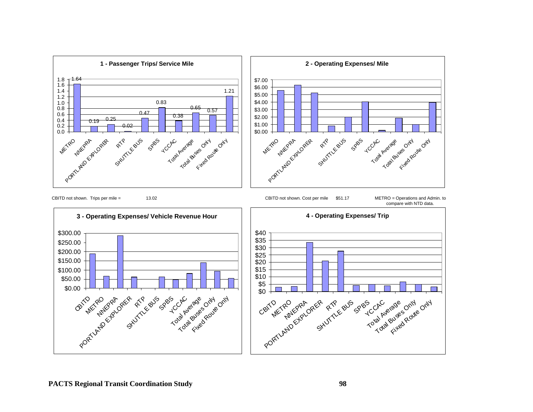![](_page_103_Figure_0.jpeg)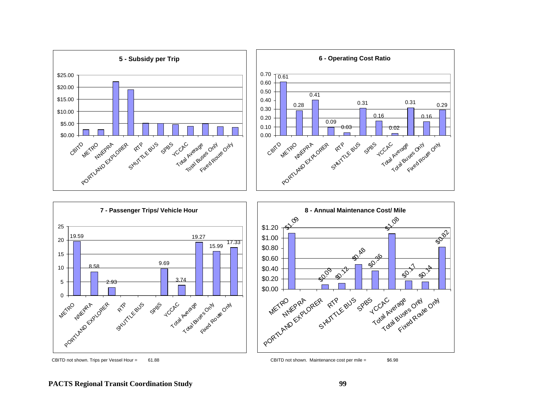![](_page_104_Figure_0.jpeg)

CBITD not shown. Trips per Vessel Hour = 61.88 CBITD not shown. Maintenance cost per mile = \$6.98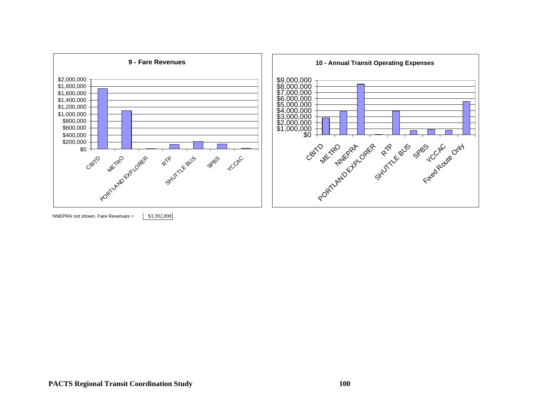![](_page_105_Figure_0.jpeg)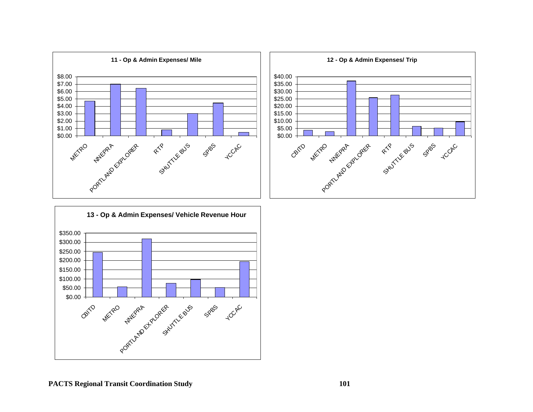![](_page_106_Figure_0.jpeg)

![](_page_106_Figure_1.jpeg)

![](_page_106_Figure_2.jpeg)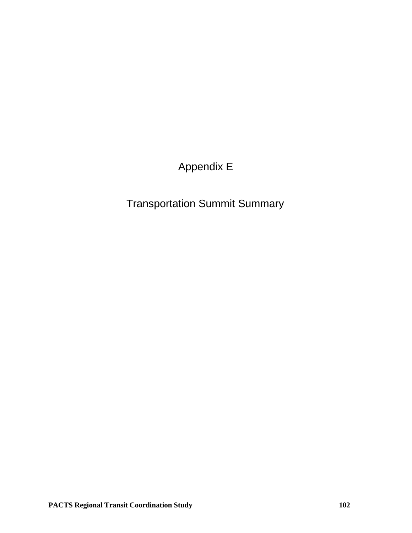# Appendix E

# Transportation Summit Summary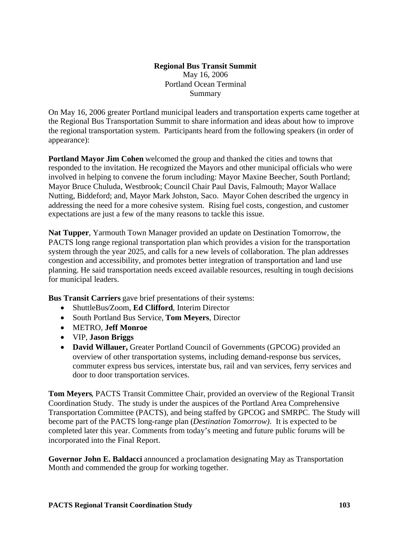## **Regional Bus Transit Summit** May 16, 2006 Portland Ocean Terminal Summary

On May 16, 2006 greater Portland municipal leaders and transportation experts came together at the Regional Bus Transportation Summit to share information and ideas about how to improve the regional transportation system. Participants heard from the following speakers (in order of appearance):

**Portland Mayor Jim Cohen** welcomed the group and thanked the cities and towns that responded to the invitation. He recognized the Mayors and other municipal officials who were involved in helping to convene the forum including: Mayor Maxine Beecher, South Portland; Mayor Bruce Chuluda, Westbrook; Council Chair Paul Davis, Falmouth; Mayor Wallace Nutting, Biddeford; and, Mayor Mark Johston, Saco. Mayor Cohen described the urgency in addressing the need for a more cohesive system. Rising fuel costs, congestion, and customer expectations are just a few of the many reasons to tackle this issue.

**Nat Tupper**, Yarmouth Town Manager provided an update on Destination Tomorrow, the PACTS long range regional transportation plan which provides a vision for the transportation system through the year 2025, and calls for a new levels of collaboration. The plan addresses congestion and accessibility, and promotes better integration of transportation and land use planning. He said transportation needs exceed available resources, resulting in tough decisions for municipal leaders.

**Bus Transit Carriers** gave brief presentations of their systems:

- ShuttleBus/Zoom, **Ed Clifford**, Interim Director
- South Portland Bus Service, **Tom Meyers**, Director
- METRO, **Jeff Monroe**
- VIP, **Jason Briggs**
- **David Willauer,** Greater Portland Council of Governments (GPCOG) provided an overview of other transportation systems, including demand-response bus services, commuter express bus services, interstate bus, rail and van services, ferry services and door to door transportation services.

**Tom Meyers**, PACTS Transit Committee Chair, provided an overview of the Regional Transit Coordination Study. The study is under the auspices of the Portland Area Comprehensive Transportation Committee (PACTS), and being staffed by GPCOG and SMRPC. The Study will become part of the PACTS long-range plan (*Destination Tomorrow)*. It is expected to be completed later this year. Comments from today's meeting and future public forums will be incorporated into the Final Report.

**Governor John E. Baldacci** announced a proclamation designating May as Transportation Month and commended the group for working together.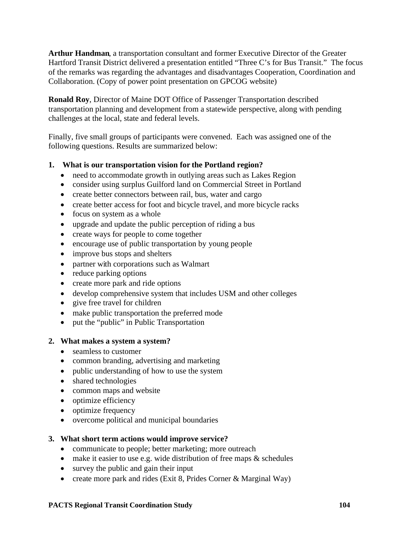**Arthur Handman**, a transportation consultant and former Executive Director of the Greater Hartford Transit District delivered a presentation entitled "Three C's for Bus Transit." The focus of the remarks was regarding the advantages and disadvantages Cooperation, Coordination and Collaboration. (Copy of power point presentation on GPCOG website)

**Ronald Roy**, Director of Maine DOT Office of Passenger Transportation described transportation planning and development from a statewide perspective, along with pending challenges at the local, state and federal levels.

Finally, five small groups of participants were convened. Each was assigned one of the following questions. Results are summarized below:

## **1. What is our transportation vision for the Portland region?**

- need to accommodate growth in outlying areas such as Lakes Region
- consider using surplus Guilford land on Commercial Street in Portland
- create better connectors between rail, bus, water and cargo
- create better access for foot and bicycle travel, and more bicycle racks
- focus on system as a whole
- upgrade and update the public perception of riding a bus
- create ways for people to come together
- encourage use of public transportation by young people
- improve bus stops and shelters
- partner with corporations such as Walmart
- reduce parking options
- create more park and ride options
- develop comprehensive system that includes USM and other colleges
- give free travel for children
- make public transportation the preferred mode
- put the "public" in Public Transportation

## **2. What makes a system a system?**

- seamless to customer
- common branding, advertising and marketing
- public understanding of how to use the system
- shared technologies
- common maps and website
- optimize efficiency
- optimize frequency
- overcome political and municipal boundaries

## **3. What short term actions would improve service?**

- communicate to people; better marketing; more outreach
- $\bullet$  make it easier to use e.g. wide distribution of free maps  $\&$  schedules
- survey the public and gain their input
- create more park and rides (Exit 8, Prides Corner & Marginal Way)

### **PACTS Regional Transit Coordination Study 104**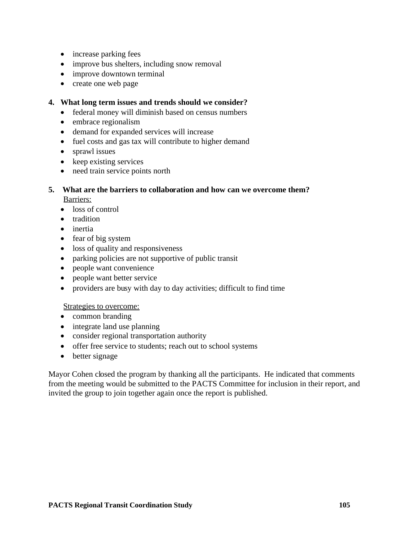- increase parking fees
- improve bus shelters, including snow removal
- improve downtown terminal
- create one web page

### **4. What long term issues and trends should we consider?**

- federal money will diminish based on census numbers
- embrace regionalism
- demand for expanded services will increase
- fuel costs and gas tax will contribute to higher demand
- sprawl issues
- keep existing services
- need train service points north

# **5. What are the barriers to collaboration and how can we overcome them?** Barriers:

- loss of control
- tradition
- inertia
- fear of big system
- loss of quality and responsiveness
- parking policies are not supportive of public transit
- people want convenience
- people want better service
- providers are busy with day to day activities; difficult to find time

### Strategies to overcome:

- common branding
- integrate land use planning
- consider regional transportation authority
- offer free service to students; reach out to school systems
- better signage

Mayor Cohen closed the program by thanking all the participants. He indicated that comments from the meeting would be submitted to the PACTS Committee for inclusion in their report, and invited the group to join together again once the report is published.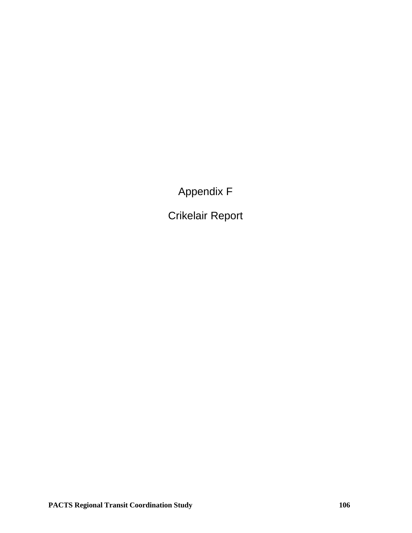Appendix F

Crikelair Report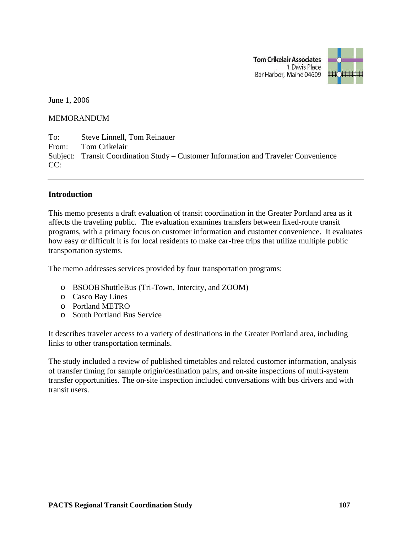**Tom Crikelair Associates** 1 Davis Place Bar Harbor, Maine 04609



June 1, 2006

#### MEMORANDUM

To: Steve Linnell, Tom Reinauer From: Tom Crikelair Subject: Transit Coordination Study – Customer Information and Traveler Convenience  $CC:$ 

#### **Introduction**

This memo presents a draft evaluation of transit coordination in the Greater Portland area as it affects the traveling public. The evaluation examines transfers between fixed-route transit programs, with a primary focus on customer information and customer convenience. It evaluates how easy or difficult it is for local residents to make car-free trips that utilize multiple public transportation systems.

The memo addresses services provided by four transportation programs:

- o BSOOBShuttleBus (Tri-Town, Intercity, and ZOOM)
- o Casco Bay Lines
- o Portland METRO
- o South Portland Bus Service

It describes traveler access to a variety of destinations in the Greater Portland area, including links to other transportation terminals.

The study included a review of published timetables and related customer information, analysis of transfer timing for sample origin/destination pairs, and on-site inspections of multi-system transfer opportunities. The on-site inspection included conversations with bus drivers and with transit users.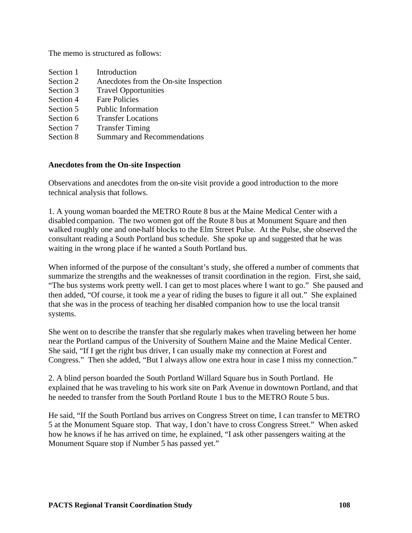The memo is structured as follows:

| Section 1 | Introduction                          |
|-----------|---------------------------------------|
| Section 2 | Anecdotes from the On-site Inspection |
| Section 3 | <b>Travel Opportunities</b>           |
| Section 4 | <b>Fare Policies</b>                  |
| Section 5 | <b>Public Information</b>             |
| Section 6 | <b>Transfer Locations</b>             |
| Section 7 | <b>Transfer Timing</b>                |
| Section 8 | <b>Summary and Recommendations</b>    |

## **Anecdotes from the On-site Inspection**

Observations and anecdotes from the on-site visit provide a good introduction to the more technical analysis that follows.

1. A young woman boarded the METRO Route 8 bus at the Maine Medical Center with a disabled companion. The two women got off the Route 8 bus at Monument Square and then walked roughly one and one-half blocks to the Elm Street Pulse. At the Pulse, she observed the consultant reading a South Portland bus schedule. She spoke up and suggested that he was waiting in the wrong place if he wanted a South Portland bus.

When informed of the purpose of the consultant's study, she offered a number of comments that summarize the strengths and the weaknesses of transit coordination in the region. First, she said, "The bus systems work pretty well. I can get to most places where I want to go." She paused and then added, "Of course, it took me a year of riding the buses to figure it all out." She explained that she was in the process of teaching her disabled companion how to use the local transit systems.

She went on to describe the transfer that she regularly makes when traveling between her home near the Portland campus of the University of Southern Maine and the Maine Medical Center. She said, "If I get the right bus driver, I can usually make my connection at Forest and Congress." Then she added, "But I always allow one extra hour in case I miss my connection."

2. A blind person boarded the South Portland Willard Square bus in South Portland. He explained that he was traveling to his work site on Park Avenue in downtown Portland, and that he needed to transfer from the South Portland Route 1 bus to the METRO Route 5 bus.

He said, "If the South Portland bus arrives on Congress Street on time, I can transfer to METRO 5 at the Monument Square stop. That way, I don't have to cross Congress Street." When asked how he knows if he has arrived on time, he explained, "I ask other passengers waiting at the Monument Square stop if Number 5 has passed yet."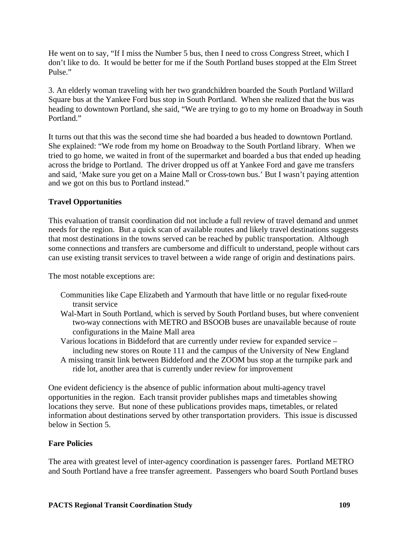He went on to say, "If I miss the Number 5 bus, then I need to cross Congress Street, which I don't like to do. It would be better for me if the South Portland buses stopped at the Elm Street Pulse."

3. An elderly woman traveling with her two grandchildren boarded the South Portland Willard Square bus at the Yankee Ford bus stop in South Portland. When she realized that the bus was heading to downtown Portland, she said, "We are trying to go to my home on Broadway in South Portland."

It turns out that this was the second time she had boarded a bus headed to downtown Portland. She explained: "We rode from my home on Broadway to the South Portland library. When we tried to go home, we waited in front of the supermarket and boarded a bus that ended up heading across the bridge to Portland. The driver dropped us off at Yankee Ford and gave me transfers and said, 'Make sure you get on a Maine Mall or Cross-town bus.' But I wasn't paying attention and we got on this bus to Portland instead."

# **Travel Opportunities**

This evaluation of transit coordination did not include a full review of travel demand and unmet needs for the region. But a quick scan of available routes and likely travel destinations suggests that most destinations in the towns served can be reached by public transportation. Although some connections and transfers are cumbersome and difficult to understand, people without cars can use existing transit services to travel between a wide range of origin and destinations pairs.

The most notable exceptions are:

- Communities like Cape Elizabeth and Yarmouth that have little or no regular fixed-route transit service
- Wal-Mart in South Portland, which is served by South Portland buses, but where convenient two-way connections with METRO and BSOOB buses are unavailable because of route configurations in the Maine Mall area
- Various locations in Biddeford that are currently under review for expanded service including new stores on Route 111 and the campus of the University of New England
- A missing transit link between Biddeford and the ZOOM bus stop at the turnpike park and ride lot, another area that is currently under review for improvement

One evident deficiency is the absence of public information about multi-agency travel opportunities in the region. Each transit provider publishes maps and timetables showing locations they serve. But none of these publications provides maps, timetables, or related information about destinations served by other transportation providers. This issue is discussed below in Section 5.

## **Fare Policies**

The area with greatest level of inter-agency coordination is passenger fares. Portland METRO and South Portland have a free transfer agreement. Passengers who board South Portland buses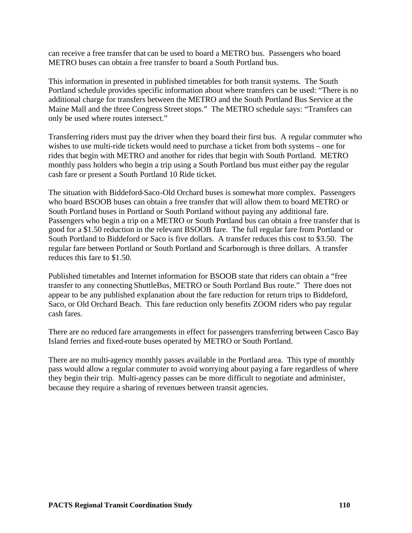can receive a free transfer that can be used to board a METRO bus. Passengers who board METRO buses can obtain a free transfer to board a South Portland bus.

This information in presented in published timetables for both transit systems. The South Portland schedule provides specific information about where transfers can be used: "There is no additional charge for transfers between the METRO and the South Portland Bus Service at the Maine Mall and the three Congress Street stops." The METRO schedule says: "Transfers can only be used where routes intersect."

Transferring riders must pay the driver when they board their first bus. A regular commuter who wishes to use multi-ride tickets would need to purchase a ticket from both systems – one for rides that begin with METRO and another for rides that begin with South Portland. METRO monthly pass holders who begin a trip using a South Portland bus must either pay the regular cash fare or present a South Portland 10 Ride ticket.

The situation with Biddeford-Saco-Old Orchard buses is somewhat more complex. Passengers who board BSOOB buses can obtain a free transfer that will allow them to board METRO or South Portland buses in Portland or South Portland without paying any additional fare. Passengers who begin a trip on a METRO or South Portland bus can obtain a free transfer that is good for a \$1.50 reduction in the relevant BSOOB fare. The full regular fare from Portland or South Portland to Biddeford or Saco is five dollars. A transfer reduces this cost to \$3.50. The regular fare between Portland or South Portland and Scarborough is three dollars. A transfer reduces this fare to \$1.50.

Published timetables and Internet information for BSOOB state that riders can obtain a "free transfer to any connecting ShuttleBus, METRO or South Portland Bus route." There does not appear to be any published explanation about the fare reduction for return trips to Biddeford, Saco, or Old Orchard Beach. This fare reduction only benefits ZOOM riders who pay regular cash fares.

There are no reduced fare arrangements in effect for passengers transferring between Casco Bay Island ferries and fixed-route buses operated by METRO or South Portland.

There are no multi-agency monthly passes available in the Portland area. This type of monthly pass would allow a regular commuter to avoid worrying about paying a fare regardless of where they begin their trip. Multi-agency passes can be more difficult to negotiate and administer, because they require a sharing of revenues between transit agencies.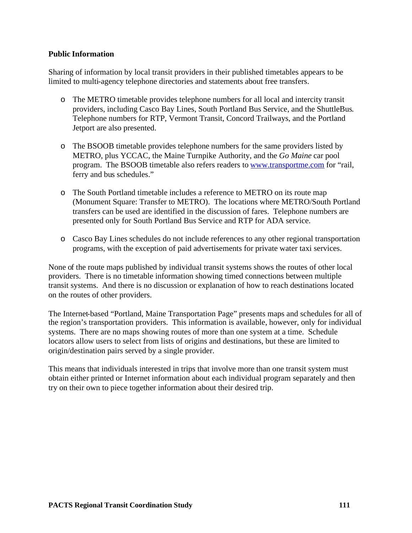## **Public Information**

Sharing of information by local transit providers in their published timetables appears to be limited to multi-agency telephone directories and statements about free transfers.

- o The METRO timetable provides telephone numbers for all local and intercity transit providers, including Casco Bay Lines, South Portland Bus Service, and the ShuttleBus. Telephone numbers for RTP, Vermont Transit, Concord Trailways, and the Portland Jetport are also presented.
- o The BSOOB timetable provides telephone numbers for the same providers listed by METRO, plus YCCAC, the Maine Turnpike Authority, and the *Go Maine* car pool program. The BSOOB timetable also refers readers to www.transportme.com for "rail, ferry and bus schedules."
- o The South Portland timetable includes a reference to METRO on its route map (Monument Square: Transfer to METRO). The locations where METRO/South Portland transfers can be used are identified in the discussion of fares. Telephone numbers are presented only for South Portland Bus Service and RTP for ADA service.
- o Casco Bay Lines schedules do not include references to any other regional transportation programs, with the exception of paid advertisements for private water taxi services.

None of the route maps published by individual transit systems shows the routes of other local providers. There is no timetable information showing timed connections between multiple transit systems. And there is no discussion or explanation of how to reach destinations located on the routes of other providers.

The Internet-based "Portland, Maine Transportation Page" presents maps and schedules for all of the region's transportation providers. This information is available, however, only for individual systems. There are no maps showing routes of more than one system at a time. Schedule locators allow users to select from lists of origins and destinations, but these are limited to origin/destination pairs served by a single provider.

This means that individuals interested in trips that involve more than one transit system must obtain either printed or Internet information about each individual program separately and then try on their own to piece together information about their desired trip.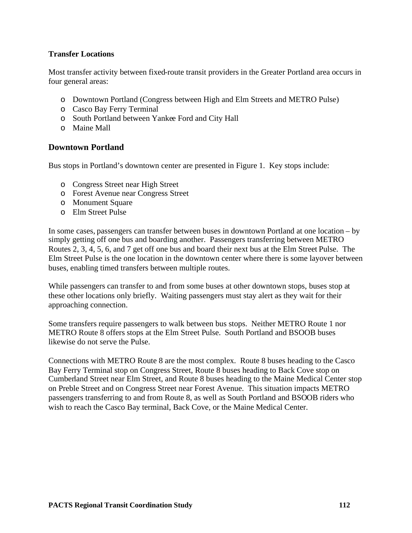## **Transfer Locations**

Most transfer activity between fixed-route transit providers in the Greater Portland area occurs in four general areas:

- o Downtown Portland (Congress between High and Elm Streets and METRO Pulse)
- o Casco Bay Ferry Terminal
- o South Portland between Yankee Ford and City Hall
- o Maine Mall

# **Downtown Portland**

Bus stops in Portland's downtown center are presented in Figure 1. Key stops include:

- o Congress Street near High Street
- o Forest Avenue near Congress Street
- o Monument Square
- o Elm Street Pulse

In some cases, passengers can transfer between buses in downtown Portland at one location – by simply getting off one bus and boarding another. Passengers transferring between METRO Routes 2, 3, 4, 5, 6, and 7 get off one bus and board their next bus at the Elm Street Pulse. The Elm Street Pulse is the one location in the downtown center where there is some layover between buses, enabling timed transfers between multiple routes.

While passengers can transfer to and from some buses at other downtown stops, buses stop at these other locations only briefly. Waiting passengers must stay alert as they wait for their approaching connection.

Some transfers require passengers to walk between bus stops. Neither METRO Route 1 nor METRO Route 8 offers stops at the Elm Street Pulse. South Portland and BSOOB buses likewise do not serve the Pulse.

Connections with METRO Route 8 are the most complex. Route 8 buses heading to the Casco Bay Ferry Terminal stop on Congress Street, Route 8 buses heading to Back Cove stop on Cumberland Street near Elm Street, and Route 8 buses heading to the Maine Medical Center stop on Preble Street and on Congress Street near Forest Avenue. This situation impacts METRO passengers transferring to and from Route 8, as well as South Portland and BSOOB riders who wish to reach the Casco Bay terminal, Back Cove, or the Maine Medical Center.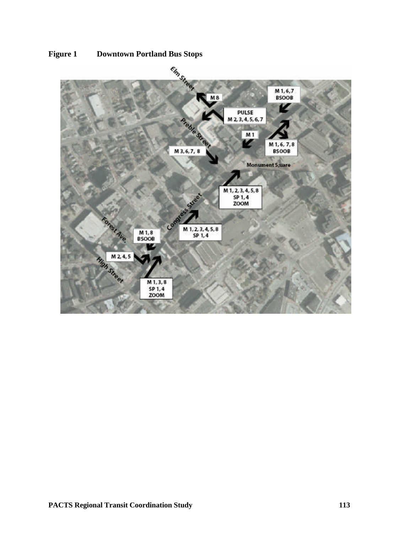

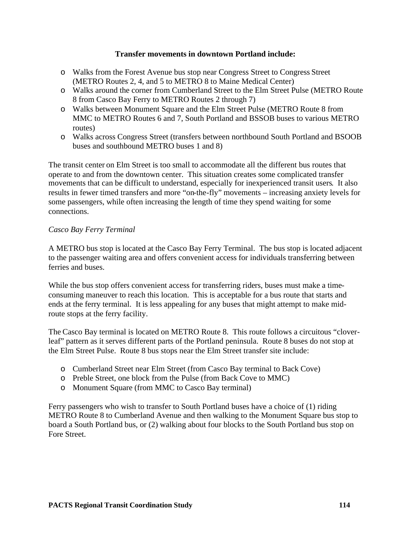### **Transfer movements in downtown Portland include:**

- o Walks from the Forest Avenue bus stop near Congress Street to Congress Street (METRO Routes 2, 4, and 5 to METRO 8 to Maine Medical Center)
- o Walks around the corner from Cumberland Street to the Elm Street Pulse (METRO Route 8 from Casco Bay Ferry to METRO Routes 2 through 7)
- o Walks between Monument Square and the Elm Street Pulse (METRO Route 8 from MMC to METRO Routes 6 and 7, South Portland and BSSOB buses to various METRO routes)
- o Walks across Congress Street (transfers between northbound South Portland and BSOOB buses and southbound METRO buses 1 and 8)

The transit center on Elm Street is too small to accommodate all the different bus routes that operate to and from the downtown center. This situation creates some complicated transfer movements that can be difficult to understand, especially for inexperienced transit users. It also results in fewer timed transfers and more "on-the-fly" movements – increasing anxiety levels for some passengers, while often increasing the length of time they spend waiting for some connections.

## *Casco Bay Ferry Terminal*

A METRO bus stop is located at the Casco Bay Ferry Terminal. The bus stop is located adjacent to the passenger waiting area and offers convenient access for individuals transferring between ferries and buses.

While the bus stop offers convenient access for transferring riders, buses must make a timeconsuming maneuver to reach this location. This is acceptable for a bus route that starts and ends at the ferry terminal. It is less appealing for any buses that might attempt to make midroute stops at the ferry facility.

The Casco Bay terminal is located on METRO Route 8. This route follows a circuitous "cloverleaf" pattern as it serves different parts of the Portland peninsula. Route 8 buses do not stop at the Elm Street Pulse. Route 8 bus stops near the Elm Street transfer site include:

- o Cumberland Street near Elm Street (from Casco Bay terminal to Back Cove)
- o Preble Street, one block from the Pulse (from Back Cove to MMC)
- o Monument Square (from MMC to Casco Bay terminal)

Ferry passengers who wish to transfer to South Portland buses have a choice of (1) riding METRO Route 8 to Cumberland Avenue and then walking to the Monument Square bus stop to board a South Portland bus, or (2) walking about four blocks to the South Portland bus stop on Fore Street.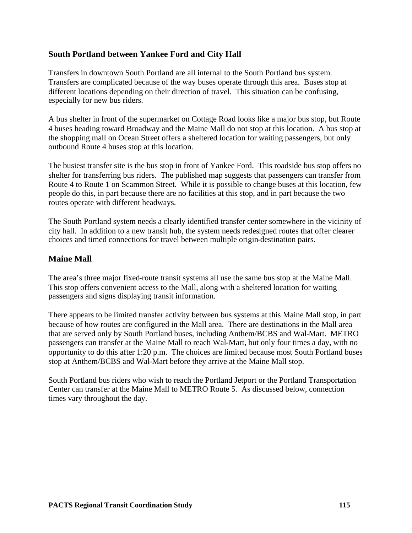# **South Portland between Yankee Ford and City Hall**

Transfers in downtown South Portland are all internal to the South Portland bus system. Transfers are complicated because of the way buses operate through this area. Buses stop at different locations depending on their direction of travel. This situation can be confusing, especially for new bus riders.

A bus shelter in front of the supermarket on Cottage Road looks like a major bus stop, but Route 4 buses heading toward Broadway and the Maine Mall do not stop at this location. A bus stop at the shopping mall on Ocean Street offers a sheltered location for waiting passengers, but only outbound Route 4 buses stop at this location.

The busiest transfer site is the bus stop in front of Yankee Ford. This roadside bus stop offers no shelter for transferring bus riders. The published map suggests that passengers can transfer from Route 4 to Route 1 on Scammon Street. While it is possible to change buses at this location, few people do this, in part because there are no facilities at this stop, and in part because the two routes operate with different headways.

The South Portland system needs a clearly identified transfer center somewhere in the vicinity of city hall. In addition to a new transit hub, the system needs redesigned routes that offer clearer choices and timed connections for travel between multiple origin-destination pairs.

## **Maine Mall**

The area's three major fixed-route transit systems all use the same bus stop at the Maine Mall. This stop offers convenient access to the Mall, along with a sheltered location for waiting passengers and signs displaying transit information.

There appears to be limited transfer activity between bus systems at this Maine Mall stop, in part because of how routes are configured in the Mall area. There are destinations in the Mall area that are served only by South Portland buses, including Anthem/BCBS and Wal-Mart. METRO passengers can transfer at the Maine Mall to reach Wal-Mart, but only four times a day, with no opportunity to do this after 1:20 p.m. The choices are limited because most South Portland buses stop at Anthem/BCBS and Wal-Mart before they arrive at the Maine Mall stop.

South Portland bus riders who wish to reach the Portland Jetport or the Portland Transportation Center can transfer at the Maine Mall to METRO Route 5. As discussed below, connection times vary throughout the day.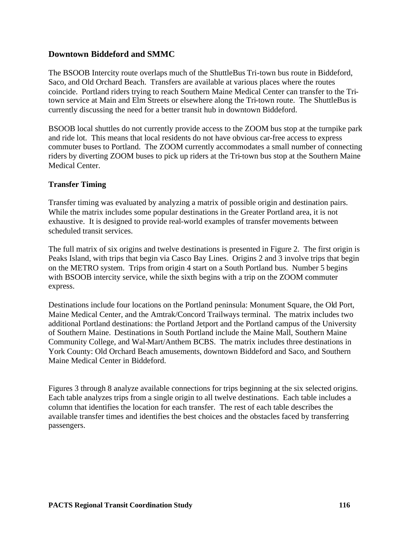# **Downtown Biddeford and SMMC**

The BSOOB Intercity route overlaps much of the ShuttleBus Tri-town bus route in Biddeford, Saco, and Old Orchard Beach. Transfers are available at various places where the routes coincide. Portland riders trying to reach Southern Maine Medical Center can transfer to the Tritown service at Main and Elm Streets or elsewhere along the Tri-town route. The ShuttleBusis currently discussing the need for a better transit hub in downtown Biddeford.

BSOOB local shuttles do not currently provide access to the ZOOM bus stop at the turnpike park and ride lot. This means that local residents do not have obvious car-free access to express commuter buses to Portland. The ZOOM currently accommodates a small number of connecting riders by diverting ZOOM buses to pick up riders at the Tri-town bus stop at the Southern Maine Medical Center.

## **Transfer Timing**

Transfer timing was evaluated by analyzing a matrix of possible origin and destination pairs. While the matrix includes some popular destinations in the Greater Portland area, it is not exhaustive. It is designed to provide real-world examples of transfer movements between scheduled transit services.

The full matrix of six origins and twelve destinations is presented in Figure 2. The first origin is Peaks Island, with trips that begin via Casco Bay Lines. Origins 2 and 3 involve trips that begin on the METRO system. Trips from origin 4 start on a South Portland bus. Number 5 begins with BSOOB intercity service, while the sixth begins with a trip on the ZOOM commuter express.

Destinations include four locations on the Portland peninsula: Monument Square, the Old Port, Maine Medical Center, and the Amtrak/Concord Trailways terminal. The matrix includes two additional Portland destinations: the Portland Jetport and the Portland campus of the University of Southern Maine. Destinations in South Portland include the Maine Mall, Southern Maine Community College, and Wal-Mart/Anthem BCBS. The matrix includes three destinations in York County: Old Orchard Beach amusements, downtown Biddeford and Saco, and Southern Maine Medical Center in Biddeford.

Figures 3 through 8 analyze available connections for trips beginning at the six selected origins. Each table analyzes trips from a single origin to all twelve destinations. Each table includes a column that identifies the location for each transfer. The rest of each table describes the available transfer times and identifies the best choices and the obstacles faced by transferring passengers.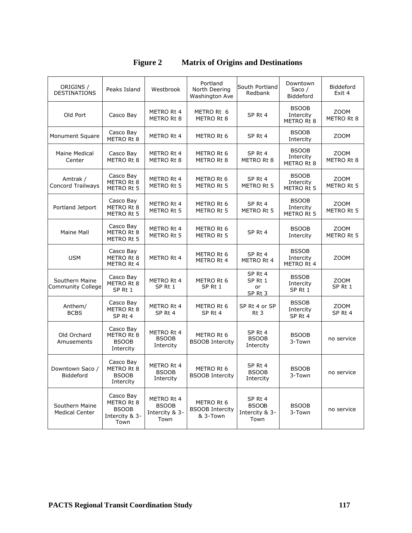| ORIGINS /<br>DESTINATIONS                  | Peaks Island                                                      | Westbrook                                            | Portland<br>North Deering<br>Washington Ave      | South Portland<br>Redbank                         | Downtown<br>Saco $/$<br>Biddeford       | Biddeford<br>Exit 4       |
|--------------------------------------------|-------------------------------------------------------------------|------------------------------------------------------|--------------------------------------------------|---------------------------------------------------|-----------------------------------------|---------------------------|
| Old Port                                   | Casco Bay                                                         | METRO Rt 4<br>METRO Rt 8                             | METRO Rt 6<br>METRO Rt 8                         | SP Rt 4                                           | <b>BSOOB</b><br>Intercity<br>METRO Rt 8 | <b>ZOOM</b><br>METRO Rt 8 |
| Monument Square                            | Casco Bay<br>METRO Rt 8                                           | METRO Rt 4                                           | METRO Rt 6                                       | SP Rt 4                                           | <b>BSOOB</b><br>Intercity               | ZOOM                      |
| <b>Maine Medical</b><br>Center             | Casco Bay<br>METRO Rt 8                                           | METRO Rt 4<br>METRO Rt 8                             | METRO Rt 6<br>METRO Rt 8                         | SP Rt 4<br>METRO Rt 8                             | <b>BSOOB</b><br>Intercity<br>METRO Rt 8 | ZOOM<br>METRO Rt 8        |
| Amtrak /<br><b>Concord Trailways</b>       | Casco Bay<br>METRO Rt 8<br>METRO Rt 5                             | METRO Rt 4<br>METRO Rt 5                             | METRO Rt 6<br>METRO Rt 5                         | SP Rt 4<br>METRO Rt 5                             | <b>BSOOB</b><br>Intercity<br>METRO Rt 5 | ZOOM<br>METRO Rt 5        |
| Portland Jetport                           | Casco Bay<br>METRO Rt 8<br>METRO Rt 5                             | METRO Rt 4<br>METRO Rt 5                             | METRO Rt 6<br>METRO Rt 5                         | SP Rt 4<br>METRO Rt 5                             | <b>BSOOB</b><br>Intercity<br>METRO Rt 5 | ZOOM<br>METRO Rt 5        |
| <b>Maine Mall</b>                          | Casco Bay<br>METRO Rt 8<br>METRO Rt 5                             | METRO Rt 4<br>METRO Rt 5                             | METRO Rt 6<br>METRO Rt 5                         | SP Rt 4                                           | <b>BSOOB</b><br>Intercity               | <b>ZOOM</b><br>METRO Rt 5 |
| <b>USM</b>                                 | Casco Bay<br>METRO Rt 8<br>METRO Rt 4                             | METRO Rt 4                                           | METRO Rt 6<br>METRO Rt 4                         | SP Rt 4<br>METRO Rt 4                             | <b>BSSOB</b><br>Intercity<br>METRO Rt 4 | ZOOM                      |
| Southern Maine<br><b>Community College</b> | Casco Bay<br>METRO Rt 8<br>SP Rt 1                                | METRO Rt 4<br>SP Rt 1                                | METRO Rt 6<br>SP Rt 1                            | SP Rt 4<br>SP Rt 1<br>or<br>SP Rt 3               | <b>BSSOB</b><br>Intercity<br>SP Rt 1    | ZOOM<br>SP Rt 1           |
| Anthem/<br><b>BCBS</b>                     | Casco Bay<br>METRO Rt 8<br>SP Rt 4                                | METRO Rt 4<br>SP Rt 4                                | METRO Rt 6<br>SP Rt 4                            | SP Rt 4 or SP<br>Rt <sub>3</sub>                  | <b>BSSOB</b><br>Intercity<br>SP Rt 4    | ZOOM<br>SP Rt 4           |
| Old Orchard<br>Amusements                  | Casco Bay<br>METRO Rt 8<br><b>BSOOB</b><br>Intercity              | METRO Rt 4<br><b>BSOOB</b><br>Intercity              | METRO Rt 6<br><b>BSOOB Intercity</b>             | SP Rt 4<br><b>BSOOB</b><br>Intercity              | <b>BSOOB</b><br>3-Town                  | no service                |
| Downtown Saco /<br>Biddeford               | Casco Bay<br>METRO Rt 8<br><b>BSOOB</b><br>Intercity              | METRO Rt 4<br><b>BSOOB</b><br>Intercity              | METRO Rt 6<br><b>BSOOB Intercity</b>             | SP Rt 4<br><b>BSOOB</b><br>Intercity              | <b>BSOOB</b><br>3-Town                  | no service                |
| Southern Maine<br><b>Medical Center</b>    | Casco Bay<br>METRO Rt 8<br><b>BSOOB</b><br>Intercity & 3-<br>Town | METRO Rt 4<br><b>BSOOB</b><br>Intercity & 3-<br>Town | METRO Rt 6<br><b>BSOOB Intercity</b><br>& 3-Town | SP Rt 4<br><b>BSOOB</b><br>Intercity & 3-<br>Town | <b>BSOOB</b><br>3-Town                  | no service                |

# **Figure 2 Matrix of Origins and Destinations**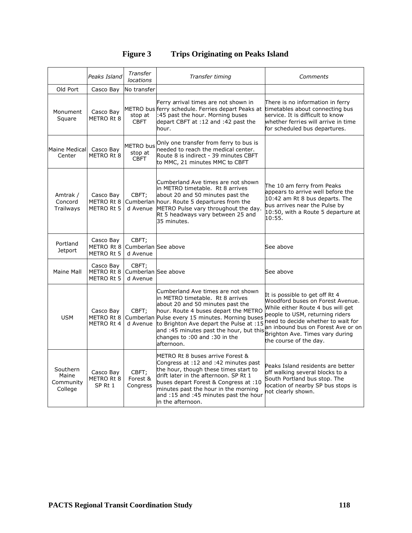| <b>Figure 3</b> |  | <b>Trips Originating on Peaks Island</b> |
|-----------------|--|------------------------------------------|
|                 |  |                                          |

|                                           | Peaks Island                                 | Transfer<br><i>locations</i>               | Transfer timing                                                                                                                                                                                                                                                                                                                            | Comments                                                                                                                                                                                                                                                                            |
|-------------------------------------------|----------------------------------------------|--------------------------------------------|--------------------------------------------------------------------------------------------------------------------------------------------------------------------------------------------------------------------------------------------------------------------------------------------------------------------------------------------|-------------------------------------------------------------------------------------------------------------------------------------------------------------------------------------------------------------------------------------------------------------------------------------|
| Old Port                                  | Casco Bay                                    | No transfer                                |                                                                                                                                                                                                                                                                                                                                            |                                                                                                                                                                                                                                                                                     |
| Monument<br>Square                        | Casco Bay<br>METRO Rt 8                      | stop at<br><b>CBFT</b>                     | Ferry arrival times are not shown in<br>METRO buslferry schedule. Ferries depart Peaks at<br>:45 past the hour. Morning buses<br>depart CBFT at :12 and :42 past the<br>hour.                                                                                                                                                              | There is no information in ferry<br>timetables about connecting bus<br>service. It is difficult to know<br>whether ferries will arrive in time<br>for scheduled bus departures.                                                                                                     |
| Maine Medical<br>Center                   | Casco Bay<br>METRO Rt 8                      | <b>METRO</b> bus<br>stop at<br><b>CBFT</b> | Only one transfer from ferry to bus is<br>needed to reach the medical center.<br>Route 8 is indirect - 39 minutes CBFT<br>to MMC, 21 minutes MMC to CBFT                                                                                                                                                                                   |                                                                                                                                                                                                                                                                                     |
| Amtrak /<br>Concord<br>Trailways          | Casco Bay<br>METRO Rt 8<br><b>METRO Rt 5</b> | CBFT;<br>d Avenue                          | Cumberland Ave times are not shown<br>in METRO timetable. Rt 8 arrives<br>about 20 and 50 minutes past the<br>Cumberlan hour. Route 5 departures from the<br>METRO Pulse vary throughout the day.<br>Rt 5 headways vary between 25 and<br>35 minutes.                                                                                      | The 10 am ferry from Peaks<br>appears to arrive well before the<br>10:42 am Rt 8 bus departs. The<br>bus arrives near the Pulse by<br>10:50, with a Route 5 departure at<br>10:55.                                                                                                  |
| Portland<br><b>Jetport</b>                | Casco Bay<br>METRO Rt 8<br>METRO Rt 5        | CBFT;<br>Cumberlan See above<br>d Avenue   |                                                                                                                                                                                                                                                                                                                                            | See above                                                                                                                                                                                                                                                                           |
| Maine Mall                                | Casco Bay<br>METRO Rt 8<br>METRO Rt 5        | CBFT;<br>Cumberlan See above<br>d Avenue   |                                                                                                                                                                                                                                                                                                                                            | See above                                                                                                                                                                                                                                                                           |
| <b>USM</b>                                | Casco Bay<br>METRO Rt 8<br>METRO Rt 4        | CBFT;<br>d Avenue                          | Cumberland Ave times are not shown<br>in METRO timetable. Rt 8 arrives<br>about 20 and 50 minutes past the<br>hour. Route 4 buses depart the METRO<br>Cumberlan Pulse every 15 minutes. Morning buses<br>to Brighton Ave depart the Pulse at :15<br>and :45 minutes past the hour, but this<br>changes to: 00 and: 30 in the<br>afternoon. | It is possible to get off Rt 4<br>Woodford buses on Forest Avenue.<br>While either Route 4 bus will get<br>people to USM, returning riders<br>need to decide whether to wait for<br>an inbound bus on Forest Ave or on<br>Brighton Ave. Times vary during<br>the course of the day. |
| Southern<br>Maine<br>Community<br>College | Casco Bay<br>METRO Rt 8<br>SP <sub>Rt1</sub> | CBFT:<br>Forest &<br>Congress              | METRO Rt 8 buses arrive Forest &<br>Congress at :12 and :42 minutes past<br>the hour, though these times start to<br>drift later in the afternoon. SP Rt 1<br>buses depart Forest & Congress at :10<br>minutes past the hour in the morning<br>and :15 and :45 minutes past the hour<br>in the afternoon.                                  | Peaks Island residents are better<br>off walking several blocks to a<br>South Portland bus stop. The<br>location of nearby SP bus stops is<br>not clearly shown.                                                                                                                    |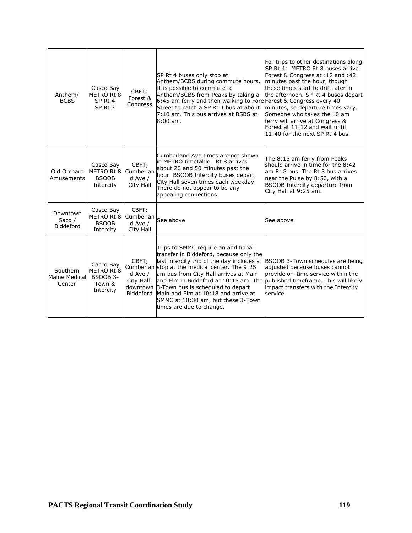| Anthem/<br><b>BCBS</b>                     | Casco Bay<br>METRO Rt 8<br>SP <sub>Rt</sub> 4<br>SP <sub>Rt</sub> 3 | CBFT;<br>Forest &<br>Congress                           | SP Rt 4 buses only stop at<br>Anthem/BCBS during commute hours.<br>It is possible to commute to<br>Anthem/BCBS from Peaks by taking a<br>6:45 am ferry and then walking to Fore Forest & Congress every 40<br>Street to catch a SP Rt 4 bus at about<br>7:10 am. This bus arrives at BSBS at<br>$8:00$ am.                                                                                                                                          | For trips to other destinations along<br>SP Rt 4: METRO Rt 8 buses arrive<br>Forest & Congress at :12 and :42<br>minutes past the hour, though<br>these times start to drift later in<br>the afternoon. SP Rt 4 buses depart<br>minutes, so departure times vary.<br>Someone who takes the 10 am<br>ferry will arrive at Congress &<br>Forest at 11:12 and wait until<br>11:40 for the next SP Rt 4 bus. |
|--------------------------------------------|---------------------------------------------------------------------|---------------------------------------------------------|-----------------------------------------------------------------------------------------------------------------------------------------------------------------------------------------------------------------------------------------------------------------------------------------------------------------------------------------------------------------------------------------------------------------------------------------------------|----------------------------------------------------------------------------------------------------------------------------------------------------------------------------------------------------------------------------------------------------------------------------------------------------------------------------------------------------------------------------------------------------------|
| Old Orchard<br>Amusements                  | Casco Bay<br>METRO Rt 8<br><b>BSOOB</b><br>Intercity                | CBFT:<br>Cumberlan<br>$d$ Ave /<br>City Hall            | Cumberland Ave times are not shown<br>in METRO timetable. Rt 8 arrives<br>about 20 and 50 minutes past the<br>hour. BSOOB Intercity buses depart<br>City Hall seven times each weekday.<br>There do not appear to be any<br>appealing connections.                                                                                                                                                                                                  | The 8:15 am ferry from Peaks<br>should arrive in time for the 8:42<br>am Rt 8 bus. The Rt 8 bus arrives<br>near the Pulse by 8:50, with a<br>BSOOB Intercity departure from<br>City Hall at 9:25 am.                                                                                                                                                                                                     |
| Downtown<br>Saco $/$<br>Biddeford          | Casco Bay<br>METRO Rt 8<br><b>BSOOB</b><br>Intercity                | CBFT;<br>Cumberlan<br>$d$ Ave /<br>City Hall            | See above                                                                                                                                                                                                                                                                                                                                                                                                                                           | See above                                                                                                                                                                                                                                                                                                                                                                                                |
| Southern<br><b>Maine Medical</b><br>Center | Casco Bay<br>METRO Rt 8<br><b>BSOOB 3-</b><br>Town &<br>Intercity   | CBFT:<br>d Ave /<br>City Hall;<br>downtown<br>Biddeford | Trips to SMMC require an additional<br>transfer in Biddeford, because only the<br>last intercity trip of the day includes a<br>Cumberlan stop at the medical center. The 9:25<br>am bus from City Hall arrives at Main<br>and Elm in Biddeford at 10:15 am. The published timeframe. This will likely<br>3-Town bus is scheduled to depart<br>Main and Elm at 10:18 and arrive at<br>SMMC at 10:30 am, but these 3-Town<br>times are due to change. | BSOOB 3-Town schedules are being<br>adjusted because buses cannot<br>provide on-time service within the<br>impact transfers with the Intercity<br>service.                                                                                                                                                                                                                                               |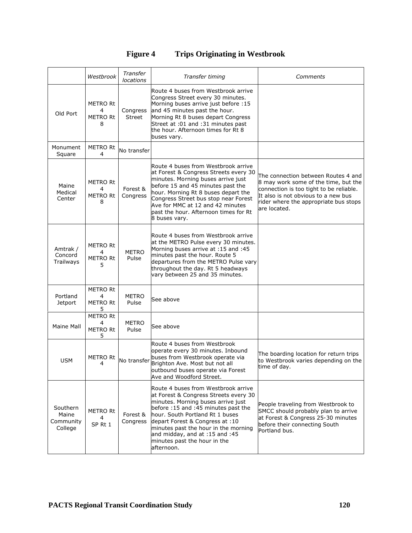# **Figure 4 Trips Originating in Westbrook**

|                                           | Westbrook                                    | Transfer<br>locations     | Transfer timing                                                                                                                                                                                                                                                                                                                                        | Comments                                                                                                                                                                                                               |
|-------------------------------------------|----------------------------------------------|---------------------------|--------------------------------------------------------------------------------------------------------------------------------------------------------------------------------------------------------------------------------------------------------------------------------------------------------------------------------------------------------|------------------------------------------------------------------------------------------------------------------------------------------------------------------------------------------------------------------------|
| Old Port                                  | <b>METRO Rt</b><br>4<br><b>METRO Rt</b><br>8 | Congress<br><b>Street</b> | Route 4 buses from Westbrook arrive<br>Congress Street every 30 minutes.<br>Morning buses arrive just before : 15<br>and 45 minutes past the hour.<br>Morning Rt 8 buses depart Congress<br>Street at :01 and :31 minutes past<br>the hour. Afternoon times for Rt 8<br>buses vary.                                                                    |                                                                                                                                                                                                                        |
| Monument<br>Square                        | <b>METRO Rt</b><br>4                         | No transfer               |                                                                                                                                                                                                                                                                                                                                                        |                                                                                                                                                                                                                        |
| Maine<br>Medical<br>Center                | <b>METRO Rt</b><br>4<br><b>METRO Rt</b><br>8 | Forest &<br>Congress      | Route 4 buses from Westbrook arrive<br>at Forest & Congress Streets every 30<br>minutes. Morning buses arrive just<br>before 15 and 45 minutes past the<br>hour. Morning Rt 8 buses depart the<br>Congress Street bus stop near Forest<br>Ave for MMC at 12 and 42 minutes<br>past the hour. Afternoon times for Rt<br>8 buses vary.                   | The connection between Routes 4 and<br>8 may work some of the time, but the<br>connection is too tight to be reliable.<br>It also is not obvious to a new bus<br>rider where the appropriate bus stops<br>are located. |
| Amtrak /<br>Concord<br>Trailways          | <b>METRO Rt</b><br>4<br><b>METRO Rt</b><br>5 | <b>METRO</b><br>Pulse     | Route 4 buses from Westbrook arrive<br>at the METRO Pulse every 30 minutes.<br>Morning buses arrive at :15 and :45<br>minutes past the hour. Route 5<br>departures from the METRO Pulse vary<br>throughout the day. Rt 5 headways<br>vary between 25 and 35 minutes.                                                                                   |                                                                                                                                                                                                                        |
| Portland<br><b>Jetport</b>                | <b>METRO Rt</b><br>4<br><b>METRO Rt</b><br>5 | <b>METRO</b><br>Pulse     | See above                                                                                                                                                                                                                                                                                                                                              |                                                                                                                                                                                                                        |
| Maine Mall                                | <b>METRO Rt</b><br>4<br><b>METRO Rt</b><br>5 | METRO<br>Pulse            | See above                                                                                                                                                                                                                                                                                                                                              |                                                                                                                                                                                                                        |
| <b>USM</b>                                | METRO Rt<br>4                                | No transfer               | Route 4 buses from Westbrook<br>operate every 30 minutes. Inbound<br>buses from Westbrook operate via<br>Brighton Ave. Most but not all<br>outbound buses operate via Forest<br>Ave and Woodford Street.                                                                                                                                               | The boarding location for return trips<br>to Westbrook varies depending on the<br>time of day.                                                                                                                         |
| Southern<br>Maine<br>Community<br>College | <b>METRO Rt</b><br>4<br>SP <sub>Rt1</sub>    | Forest &<br>Congress      | Route 4 buses from Westbrook arrive<br>at Forest & Congress Streets every 30<br>minutes. Morning buses arrive just<br>before: 15 and: 45 minutes past the<br>hour. South Portland Rt 1 buses<br>depart Forest & Congress at:10<br>minutes past the hour in the morning<br>and midday, and at :15 and :45<br>minutes past the hour in the<br>afternoon. | People traveling from Westbrook to<br>SMCC should probably plan to arrive<br>at Forest & Congress 25-30 minutes<br>before their connecting South<br>Portland bus.                                                      |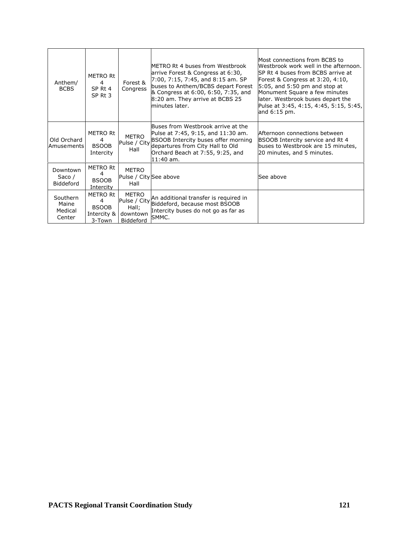| Anthem/<br><b>BCBS</b>                 | <b>METRO Rt</b><br>$\overline{a}$<br>SP Rt 4<br>SP Rt 3       | Forest &<br>Congress                                           | <b>IMETRO Rt 4 buses from Westbrook</b><br>arrive Forest & Congress at 6:30,<br>7:00, 7:15, 7:45, and 8:15 am. SP<br>buses to Anthem/BCBS depart Forest<br>& Congress at 6:00, 6:50, 7:35, and<br>8:20 am. They arrive at BCBS 25<br>minutes later. | lMost connections from BCBS to<br>Westbrook work well in the afternoon.<br>SP Rt 4 buses from BCBS arrive at<br>Forest & Congress at 3:20, 4:10,<br>$5:05$ , and $5:50$ pm and stop at<br>Monument Square a few minutes<br>later. Westbrook buses depart the<br>Pulse at 3:45, 4:15, 4:45, 5:15, 5:45,<br>and $6:15$ pm. |
|----------------------------------------|---------------------------------------------------------------|----------------------------------------------------------------|-----------------------------------------------------------------------------------------------------------------------------------------------------------------------------------------------------------------------------------------------------|--------------------------------------------------------------------------------------------------------------------------------------------------------------------------------------------------------------------------------------------------------------------------------------------------------------------------|
| Old Orchard<br>Amusements              | <b>METRO Rt</b><br>4<br><b>BSOOB</b><br>Intercity             | METRO<br>Pulse / City<br>Hall                                  | Buses from Westbrook arrive at the<br>Pulse at 7:45, 9:15, and 11:30 am.<br><b>BSOOB Intercity buses offer morning</b><br>departures from City Hall to Old<br>Orchard Beach at 7:55, 9:25, and<br>$11:40$ am.                                       | lAfternoon connections between<br>BSOOB Intercity service and Rt 4<br>buses to Westbrook are 15 minutes,<br>20 minutes, and 5 minutes.                                                                                                                                                                                   |
| Downtown<br>Saco /<br><b>Biddeford</b> | <b>METRO Rt</b><br>4<br><b>BSOOB</b><br>Intercity             | <b>METRO</b><br>Pulse / City See above<br>Hall                 |                                                                                                                                                                                                                                                     | See above                                                                                                                                                                                                                                                                                                                |
| Southern<br>Maine<br>Medical<br>Center | <b>METRO Rt</b><br>4<br><b>BSOOB</b><br>Intercity &<br>3-Town | METRO<br>Pulse / City<br>Hall;<br>downtown<br><b>Biddeford</b> | An additional transfer is required in<br>Biddeford, because most BSOOB<br>Intercity buses do not go as far as<br>SMMC.                                                                                                                              |                                                                                                                                                                                                                                                                                                                          |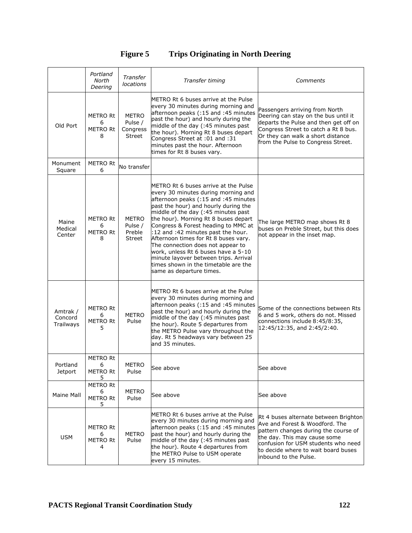# **Figure 5 Trips Originating in North Deering**

|                                  | Portland<br>North<br>Deering                  | Transfer<br>locations                         | Transfer timing                                                                                                                                                                                                                                                                                                                                                                                                                                                                                                                                          | Comments                                                                                                                                                                                                                                               |
|----------------------------------|-----------------------------------------------|-----------------------------------------------|----------------------------------------------------------------------------------------------------------------------------------------------------------------------------------------------------------------------------------------------------------------------------------------------------------------------------------------------------------------------------------------------------------------------------------------------------------------------------------------------------------------------------------------------------------|--------------------------------------------------------------------------------------------------------------------------------------------------------------------------------------------------------------------------------------------------------|
| Old Port                         | <b>METRO Rt</b><br>6<br><b>METRO Rt</b><br>8  | <b>METRO</b><br>Pulse /<br>Congress<br>Street | METRO Rt 6 buses arrive at the Pulse<br>every 30 minutes during morning and<br>afternoon peaks (:15 and :45 minutes<br>past the hour) and hourly during the<br>middle of the day (:45 minutes past<br>the hour). Morning Rt 8 buses depart<br>Congress Street at :01 and :31<br>minutes past the hour. Afternoon<br>times for Rt 8 buses vary.                                                                                                                                                                                                           | Passengers arriving from North<br>Deering can stay on the bus until it<br>departs the Pulse and then get off on<br>Congress Street to catch a Rt 8 bus.<br>Or they can walk a short distance<br>from the Pulse to Congress Street.                     |
| Monument<br>Square               | <b>METRO Rt</b><br>6                          | No transfer                                   |                                                                                                                                                                                                                                                                                                                                                                                                                                                                                                                                                          |                                                                                                                                                                                                                                                        |
| Maine<br>Medical<br>Center       | <b>METRO Rt</b><br>6<br><b>METRO Rt</b><br>8  | <b>METRO</b><br>Pulse /<br>Preble<br>Street   | METRO Rt 6 buses arrive at the Pulse<br>every 30 minutes during morning and<br>afternoon peaks (:15 and :45 minutes<br>past the hour) and hourly during the<br>middle of the day (:45 minutes past<br>the hour). Morning Rt 8 buses depart<br>Congress & Forest heading to MMC at<br>:12 and :42 minutes past the hour.<br>Afternoon times for Rt 8 buses vary.<br>The connection does not appear to<br>work, unless Rt 6 buses have a 5-10<br>minute layover between trips. Arrival<br>times shown in the timetable are the<br>same as departure times. | The large METRO map shows Rt 8<br>buses on Preble Street, but this does<br>not appear in the inset map.                                                                                                                                                |
| Amtrak /<br>Concord<br>Trailways | <b>METRO Rt</b><br>6<br><b>METRO Rt</b><br>5  | <b>METRO</b><br>Pulse                         | METRO Rt 6 buses arrive at the Pulse<br>every 30 minutes during morning and<br>afternoon peaks (:15 and :45 minutes<br>past the hour) and hourly during the<br>middle of the day (:45 minutes past<br>the hour). Route 5 departures from<br>the METRO Pulse vary throughout the<br>day. Rt 5 headways vary between 25<br>and 35 minutes.                                                                                                                                                                                                                 | Some of the connections between Rts<br>6 and 5 work, others do not. Missed<br>connections include 8:45/8:35,<br>12:45/12:35, and 2:45/2:40.                                                                                                            |
| Portland<br><b>Jetport</b>       | METRO Rt<br>6<br>METRO Rt<br>5                | <b>METRO</b><br>Pulse                         | See above                                                                                                                                                                                                                                                                                                                                                                                                                                                                                                                                                | See above                                                                                                                                                                                                                                              |
| <b>Maine Mall</b>                | <b>METRO Rt</b><br>6<br><b>METRO Rt</b><br>5. | METRO<br>Pulse                                | See above                                                                                                                                                                                                                                                                                                                                                                                                                                                                                                                                                | See above                                                                                                                                                                                                                                              |
| <b>USM</b>                       | METRO Rt<br>6<br><b>METRO Rt</b><br>4         | <b>METRO</b><br>Pulse                         | METRO Rt 6 buses arrive at the Pulse<br>every 30 minutes during morning and<br>afternoon peaks (:15 and :45 minutes<br>past the hour) and hourly during the<br>middle of the day (:45 minutes past<br>the hour). Route 4 departures from<br>the METRO Pulse to USM operate<br>every 15 minutes.                                                                                                                                                                                                                                                          | Rt 4 buses alternate between Brighton<br>Ave and Forest & Woodford. The<br>pattern changes during the course of<br>the day. This may cause some<br>confusion for USM students who need<br>to decide where to wait board buses<br>inbound to the Pulse. |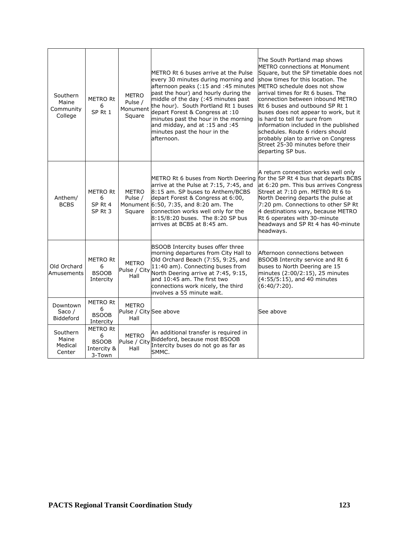| Southern<br>Maine<br>Community<br>College | <b>METRO Rt</b><br>6<br>SP <sub>Rt1</sub>                     | <b>METRO</b><br>Pulse /<br>Monument<br>Square  | METRO Rt 6 buses arrive at the Pulse<br>every 30 minutes during morning and<br>afternoon peaks (:15 and :45 minutes<br>past the hour) and hourly during the<br>middle of the day (:45 minutes past<br>the hour). South Portland Rt 1 buses<br>depart Forest & Congress at :10<br>minutes past the hour in the morning<br>and midday, and at :15 and :45<br>minutes past the hour in the<br>afternoon. | The South Portland map shows<br><b>METRO</b> connections at Monument<br>Square, but the SP timetable does not<br>show times for this location. The<br>METRO schedule does not show<br>arrival times for Rt 6 buses. The<br>connection between inbound METRO<br>Rt 6 buses and outbound SP Rt 1<br>buses does not appear to work, but it<br>is hard to tell for sure from<br>information included in the published<br>schedules. Route 6 riders should<br>probably plan to arrive on Congress<br>Street 25-30 minutes before their<br>departing SP bus. |
|-------------------------------------------|---------------------------------------------------------------|------------------------------------------------|-------------------------------------------------------------------------------------------------------------------------------------------------------------------------------------------------------------------------------------------------------------------------------------------------------------------------------------------------------------------------------------------------------|--------------------------------------------------------------------------------------------------------------------------------------------------------------------------------------------------------------------------------------------------------------------------------------------------------------------------------------------------------------------------------------------------------------------------------------------------------------------------------------------------------------------------------------------------------|
| Anthem/<br><b>BCBS</b>                    | <b>METRO Rt</b><br>6<br>SP <sub>Rt</sub> 4<br>SP Rt 3         | <b>METRO</b><br>Pulse /<br>Square              | METRO Rt 6 buses from North Deering<br>arrive at the Pulse at 7:15, 7:45, and<br>8:15 am. SP buses to Anthem/BCBS<br>depart Forest & Congress at 6:00,<br>Monument 6:50, 7:35, and 8:20 am. The<br>connection works well only for the<br>8:15/8:20 buses. The 8:20 SP bus<br>arrives at BCBS at 8:45 am.                                                                                              | A return connection works well only<br>for the SP Rt 4 bus that departs BCBS<br>at 6:20 pm. This bus arrives Congress<br>Street at 7:10 pm. METRO Rt 6 to<br>North Deering departs the pulse at<br>7:20 pm. Connections to other SP Rt<br>4 destinations vary, because METRO<br>Rt 6 operates with 30-minute<br>headways and SP Rt 4 has 40-minute<br>headways.                                                                                                                                                                                        |
| Old Orchard<br>Amusements                 | <b>METRO Rt</b><br>6<br><b>BSOOB</b><br>Intercity             | <b>METRO</b><br>Pulse / City<br>Hall           | BSOOB Intercity buses offer three<br>morning departures from City Hall to<br>Old Orchard Beach (7:55, 9:25, and<br>11:40 am). Connecting buses from<br>North Deering arrive at 7:45, 9:15,<br>land 10:45 am. The first two<br>connections work nicely, the third<br>involves a 55 minute wait.                                                                                                        | Afternoon connections between<br>BSOOB Intercity service and Rt 6<br>buses to North Deering are 15<br>minutes (2:00/2:15), 25 minutes<br>$(4:55/5:15)$ , and 40 minutes<br>$(6:40/7:20)$ .                                                                                                                                                                                                                                                                                                                                                             |
| Downtown<br>Saco $/$<br><b>Biddeford</b>  | <b>METRO Rt</b><br>6<br><b>BSOOB</b><br>Intercity             | <b>METRO</b><br>Pulse / City See above<br>Hall |                                                                                                                                                                                                                                                                                                                                                                                                       | See above                                                                                                                                                                                                                                                                                                                                                                                                                                                                                                                                              |
| Southern<br>Maine<br>Medical<br>Center    | <b>METRO Rt</b><br>6<br><b>BSOOB</b><br>Intercity &<br>3-Town | <b>METRO</b><br>Pulse / City<br>Hall           | An additional transfer is required in<br>Biddeford, because most BSOOB<br>Intercity buses do not go as far as<br>SMMC.                                                                                                                                                                                                                                                                                |                                                                                                                                                                                                                                                                                                                                                                                                                                                                                                                                                        |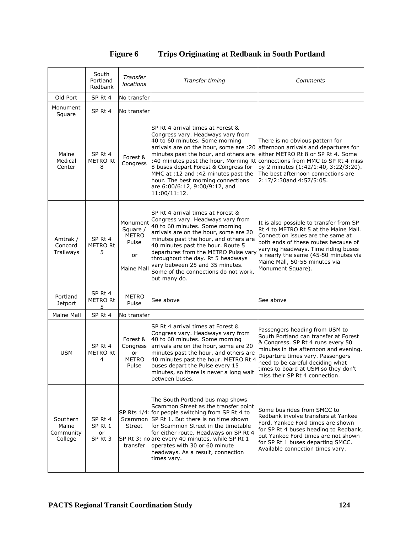|                                           | South<br>Portland<br>Redbank               | Transfer<br>locations                                             | Transfer timing                                                                                                                                                                                                                                                                                                                                                                                            | Comments                                                                                                                                                                                                                                                                                               |
|-------------------------------------------|--------------------------------------------|-------------------------------------------------------------------|------------------------------------------------------------------------------------------------------------------------------------------------------------------------------------------------------------------------------------------------------------------------------------------------------------------------------------------------------------------------------------------------------------|--------------------------------------------------------------------------------------------------------------------------------------------------------------------------------------------------------------------------------------------------------------------------------------------------------|
| Old Port                                  | SP Rt 4                                    | No transfer                                                       |                                                                                                                                                                                                                                                                                                                                                                                                            |                                                                                                                                                                                                                                                                                                        |
| Monument<br>Square                        | SP Rt 4                                    | No transfer                                                       |                                                                                                                                                                                                                                                                                                                                                                                                            |                                                                                                                                                                                                                                                                                                        |
| Maine<br>Medical<br>Center                | SP Rt 4<br><b>METRO Rt</b><br>8            | Forest &<br>Congress                                              | SP Rt 4 arrival times at Forest &<br>Congress vary. Headways vary from<br>40 to 60 minutes. Some morning<br>arrivals are on the hour, some are :20<br>minutes past the hour, and others are<br>:40 minutes past the hour. Morning Rt<br>8 buses depart Forest & Congress for<br>MMC at :12 and :42 minutes past the<br>hour. The best morning connections<br>are 6:00/6:12, 9:00/9:12, and<br>11:00/11:12. | There is no obvious pattern for<br>afternoon arrivals and departures for<br>either METRO Rt 8 or SP Rt 4, Some<br>connections from MMC to SP Rt 4 miss<br>by 2 minutes (1:42/1:40, 3:22/3:20).<br>The best afternoon connections are<br>2:17/2:30and 4:57/5:05.                                        |
| Amtrak /<br>Concord<br>Trailways          | SP <sub>Rt</sub> 4<br><b>METRO Rt</b><br>5 | Monument<br>Square /<br><b>METRO</b><br>Pulse<br>or<br>Maine Mall | SP Rt 4 arrival times at Forest &<br>Congress vary. Headways vary from<br>40 to 60 minutes. Some morning<br>arrivals are on the hour, some are 20<br>minutes past the hour, and others are<br>40 minutes past the hour. Route 5<br>departures from the METRO Pulse vary<br>throughout the day. Rt 5 headways<br>vary between 25 and 35 minutes.<br>Some of the connections do not work,<br>but many do.    | It is also possible to transfer from SP<br>Rt 4 to METRO Rt 5 at the Maine Mall.<br>Connection issues are the same at<br>both ends of these routes because of<br>varying headways. Time riding buses<br>is nearly the same (45-50 minutes via<br>Maine Mall, 50-55 minutes via<br>Monument Square).    |
| Portland<br><b>Jetport</b>                | SP Rt 4<br><b>METRO Rt</b><br>5            | METRO<br>Pulse                                                    | See above                                                                                                                                                                                                                                                                                                                                                                                                  | See above                                                                                                                                                                                                                                                                                              |
| Maine Mall                                | SP Rt 4                                    | No transfer                                                       |                                                                                                                                                                                                                                                                                                                                                                                                            |                                                                                                                                                                                                                                                                                                        |
| <b>USM</b>                                | SP Rt 4<br><b>METRO Rt</b><br>4            | Forest &<br>Congress<br>or<br><b>METRO</b><br>Pulse               | SP Rt 4 arrival times at Forest &<br>Congress vary. Headways vary from<br>40 to 60 minutes. Some morning<br>arrivals are on the hour, some are 20<br>minutes past the hour, and others are<br>40 minutes past the hour. METRO Rt 4<br>buses depart the Pulse every 15<br>minutes, so there is never a long wait<br>between buses.                                                                          | Passengers heading from USM to<br>South Portland can transfer at Forest<br>& Congress. SP Rt 4 runs every 50<br>minutes in the afternoon and evening.<br>Departure times vary. Passengers<br>need to be careful deciding what<br>times to board at USM so they don't<br>miss their SP Rt 4 connection. |
| Southern<br>Maine<br>Community<br>College | SP Rt 4<br>SP Rt 1<br>or<br>SP Rt 3        | Street<br>transfer                                                | The South Portland bus map shows<br>Scammon Street as the transfer point<br>SP Rts 1/4: for people switching from SP Rt 4 to<br>Scammon SP Rt 1. But there is no time shown<br>for Scammon Street in the timetable<br>for either route. Headways on SP Rt 4<br>SP Rt 3: no are every 40 minutes, while SP Rt 1<br>operates with 30 or 60 minute<br>headways. As a result, connection<br>times vary.        | Some bus rides from SMCC to<br>Redbank involve transfers at Yankee<br>Ford. Yankee Ford times are shown<br>for SP Rt 4 buses heading to Redbank,<br>but Yankee Ford times are not shown<br>for SP Rt 1 buses departing SMCC.<br>Available connection times vary.                                       |

# **Figure 6 Trips Originating at Redbank in South Portland**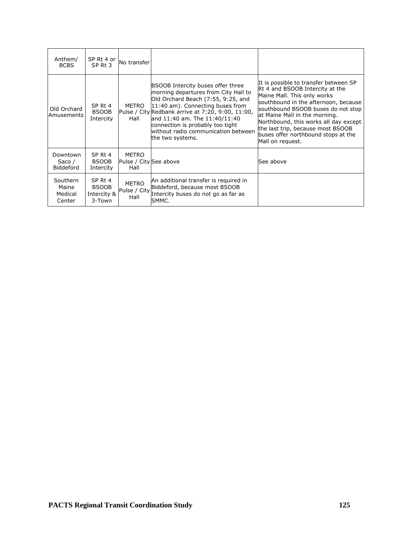| Anthem/<br><b>BCBS</b>                   | SP Rt 4 or<br>SP <sub>Rt</sub> 3                 | No transfer                                    |                                                                                                                                                                                                                                                                                                                                          |                                                                                                                                                                                                                                                                                                                                                                 |
|------------------------------------------|--------------------------------------------------|------------------------------------------------|------------------------------------------------------------------------------------------------------------------------------------------------------------------------------------------------------------------------------------------------------------------------------------------------------------------------------------------|-----------------------------------------------------------------------------------------------------------------------------------------------------------------------------------------------------------------------------------------------------------------------------------------------------------------------------------------------------------------|
| Old Orchard<br>Amusements                | SP Rt 4<br><b>BSOOB</b><br>Intercity             | METRO<br>Hall                                  | BSOOB Intercity buses offer three<br>morning departures from City Hall to<br>Old Orchard Beach (7:55, 9:25, and<br>11:40 am). Connecting buses from<br>Pulse / City Redbank arrive at 7:20, 9:00, 11:00,<br>and 11:40 am. The 11:40/11:40<br>connection is probably too tight<br>without radio communication between<br>the two systems. | It is possible to transfer between SP<br>Rt 4 and BSOOB Intercity at the<br>Maine Mall. This only works<br>southbound in the afternoon, because<br>southbound BSOOB buses do not stop<br>at Maine Mall in the morning.<br>Northbound, this works all day except<br>the last trip, because most BSOOB<br>buses offer northbound stops at the<br>Mall on request. |
| Downtown<br>Saco $/$<br><b>Biddeford</b> | SP Rt 4<br><b>BSOOB</b><br>Intercity             | <b>METRO</b><br>Pulse / City See above<br>Hall |                                                                                                                                                                                                                                                                                                                                          | See above                                                                                                                                                                                                                                                                                                                                                       |
| Southern<br>Maine<br>Medical<br>Center   | SP Rt 4<br><b>BSOOB</b><br>Intercity &<br>3-Town | METRO<br>Pulse / City<br>Hall                  | An additional transfer is required in<br>Biddeford, because most BSOOB<br>Intercity buses do not go as far as<br>SMMC.                                                                                                                                                                                                                   |                                                                                                                                                                                                                                                                                                                                                                 |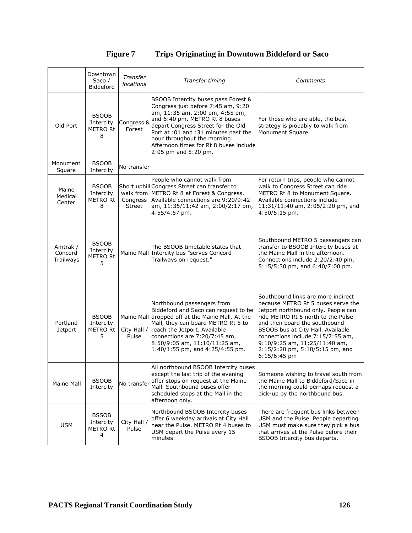| <b>Figure 7</b> | <b>Trips Originating in Downtown Biddeford or Saco</b> |  |
|-----------------|--------------------------------------------------------|--|
|                 |                                                        |  |

|                                  | Downtown<br>Saco $/$<br><b>Biddeford</b>          | Transfer<br>locations           | Transfer timing                                                                                                                                                                                                                                                                                                               | Comments                                                                                                                                                                                                                                                                                                                                             |
|----------------------------------|---------------------------------------------------|---------------------------------|-------------------------------------------------------------------------------------------------------------------------------------------------------------------------------------------------------------------------------------------------------------------------------------------------------------------------------|------------------------------------------------------------------------------------------------------------------------------------------------------------------------------------------------------------------------------------------------------------------------------------------------------------------------------------------------------|
| Old Port                         | <b>BSOOB</b><br>Intercity<br><b>METRO Rt</b><br>8 | Congress &<br>Forest            | BSOOB Intercity buses pass Forest &<br>Congress just before 7:45 am, 9:20<br>am, 11:35 am, 2:00 pm, 4:55 pm,<br>and 6:40 pm. METRO Rt 8 buses<br>depart Congress Street for the Old<br>Port at :01 and :31 minutes past the<br>hour throughout the morning.<br>Afternoon times for Rt 8 buses include<br>2:05 pm and 5:20 pm. | For those who are able, the best<br>strategy is probably to walk from<br>Monument Square.                                                                                                                                                                                                                                                            |
| Monument<br>Square               | <b>BSOOB</b><br>Intercity                         | No transfer                     |                                                                                                                                                                                                                                                                                                                               |                                                                                                                                                                                                                                                                                                                                                      |
| Maine<br>Medical<br>Center       | <b>BSOOB</b><br>Intercity<br><b>METRO Rt</b><br>8 | walk from<br>Congress<br>Street | People who cannot walk from<br>Short uphill Congress Street can transfer to<br>METRO Rt 8 at Forest & Congress.<br>Available connections are 9:20/9:42<br>am, 11:35/11:42 am, 2:00/2:17 pm,<br>4:55/4:57 pm.                                                                                                                  | For return trips, people who cannot<br>walk to Congress Street can ride<br>METRO Rt 8 to Monument Square.<br>Available connections include<br>11:31/11:40 am, 2:05/2:20 pm, and<br>4:50/5:15 pm.                                                                                                                                                     |
| Amtrak /<br>Concord<br>Trailways | <b>BSOOB</b><br>Intercity<br><b>METRO Rt</b><br>5 |                                 | The BSOOB timetable states that<br>Maine Mall Intercity bus "serves Concord<br>Trailways on request."                                                                                                                                                                                                                         | Southbound METRO 5 passengers can<br>transfer to BSOOB Intercity buses at<br>the Maine Mall in the afternoon.<br>Connections include 2:20/2:40 pm,<br>5:15/5:30 pm, and 6:40/7:00 pm.                                                                                                                                                                |
| Portland<br><b>Jetport</b>       | <b>BSOOB</b><br>Intercity<br><b>METRO Rt</b><br>5 | City Hall /<br>Pulse            | Northbound passengers from<br>Biddeford and Saco can request to be<br>Maine Mall dropped off at the Maine Mall. At the<br>Mall, they can board METRO Rt 5 to<br>reach the Jetport. Available<br>connections are 7:20/7:45 am,<br>$8:50/9:05$ am, $11:10/11:25$ am,<br>1:40/1:55 pm, and 4:25/4:55 pm.                         | Southbound links are more indirect<br>because METRO Rt 5 buses serve the<br>Jetport northbound only. People can<br>ride METRO Rt 5 north to the Pulse<br>and then board the southbound<br>BSOOB bus at City Hall. Available<br>connections include 7:15/7:55 am,<br>9:10/9:25 am, 11:25/11:40 am,<br>2:15/2:20 pm, 5:10/5:15 pm, and<br>6:15/6:45 pm |
| Maine Mall                       | <b>BSOOB</b><br>Intercity                         | No transfer                     | All northbound BSOOB Intercity buses<br>except the last trip of the evening<br>offer stops on request at the Maine<br>Mall. Southbound buses offer<br>scheduled stops at the Mall in the<br>afternoon only.                                                                                                                   | Someone wishing to travel south from<br>the Maine Mall to Biddeford/Saco in<br>the morning could perhaps request a<br>pick-up by the northbound bus.                                                                                                                                                                                                 |
| <b>USM</b>                       | <b>BSSOB</b><br>Intercity<br>METRO Rt<br>4        | City Hall /<br>Pulse            | Northbound BSOOB Intercity buses<br>offer 6 weekday arrivals at City Hall<br>near the Pulse. METRO Rt 4 buses to<br>USM depart the Pulse every 15<br>minutes.                                                                                                                                                                 | There are frequent bus links between<br>USM and the Pulse. People departing<br>USM must make sure they pick a bus<br>that arrives at the Pulse before their<br>BSOOB Intercity bus departs.                                                                                                                                                          |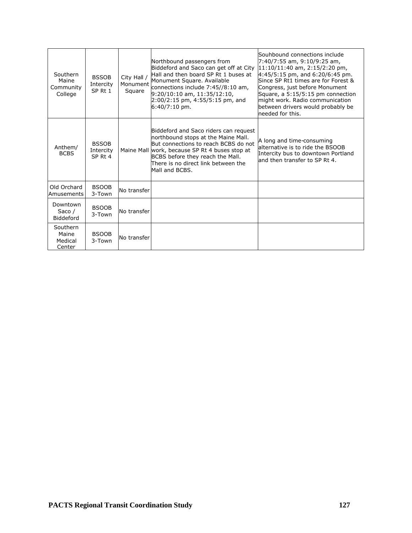| Southern<br>Maine<br>Community<br>College | <b>BSSOB</b><br>Intercity<br>SP <sub>Rt1</sub> | City Hall /<br>Monument<br>Square | Northbound passengers from<br>Biddeford and Saco can get off at City<br>Hall and then board SP Rt 1 buses at<br>Monument Square. Available<br>connections include 7:45//8:10 am,<br>$9:20/10:10$ am, $11:35/12:10$ ,<br>2:00/2:15 pm, 4:55/5:15 pm, and<br>$6:40/7:10$ pm. | Souhbound connections include<br>7:40/7:55 am, 9:10/9:25 am,<br>11:10/11:40 am, 2:15/2:20 pm,<br>$4:45/5:15$ pm, and 6:20/6:45 pm.<br>Since SP Rt1 times are for Forest &<br>Congress, just before Monument<br>Square, a 5:15/5:15 pm connection<br>might work. Radio communication<br>between drivers would probably be<br>needed for this. |
|-------------------------------------------|------------------------------------------------|-----------------------------------|----------------------------------------------------------------------------------------------------------------------------------------------------------------------------------------------------------------------------------------------------------------------------|----------------------------------------------------------------------------------------------------------------------------------------------------------------------------------------------------------------------------------------------------------------------------------------------------------------------------------------------|
| Anthem/<br><b>BCBS</b>                    | <b>BSSOB</b><br>Intercity<br>SP Rt 4           |                                   | Biddeford and Saco riders can request<br>northbound stops at the Maine Mall.<br>But connections to reach BCBS do not<br>Maine Mall work, because SP Rt 4 buses stop at<br>BCBS before they reach the Mall.<br>There is no direct link between the<br>Mall and BCBS.        | A long and time-consuming<br>alternative is to ride the BSOOB<br>Intercity bus to downtown Portland<br>and then transfer to SP Rt 4.                                                                                                                                                                                                         |
| Old Orchard<br>Amusements                 | <b>BSOOB</b><br>3-Town                         | No transfer                       |                                                                                                                                                                                                                                                                            |                                                                                                                                                                                                                                                                                                                                              |
| Downtown<br>Saco $/$<br>Biddeford         | <b>BSOOB</b><br>$3-Town$                       | No transfer                       |                                                                                                                                                                                                                                                                            |                                                                                                                                                                                                                                                                                                                                              |
| Southern<br>Maine<br>Medical<br>Center    | <b>BSOOB</b><br>3-Town                         | No transfer                       |                                                                                                                                                                                                                                                                            |                                                                                                                                                                                                                                                                                                                                              |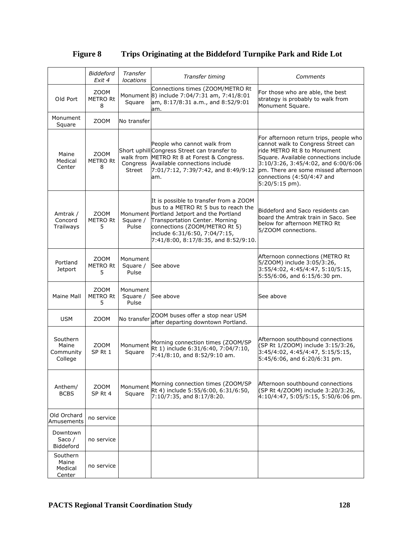|                                           | <b>Biddeford</b><br>Exit 4          | Transfer<br>locations         | Transfer timing                                                                                                                                                                                                                                                          | Comments                                                                                                                                                                                                                                                                             |
|-------------------------------------------|-------------------------------------|-------------------------------|--------------------------------------------------------------------------------------------------------------------------------------------------------------------------------------------------------------------------------------------------------------------------|--------------------------------------------------------------------------------------------------------------------------------------------------------------------------------------------------------------------------------------------------------------------------------------|
| Old Port                                  | ZOOM<br><b>METRO Rt</b><br>8        | Square                        | Connections times (ZOOM/METRO Rt<br>Monument 8) include 7:04/7:31 am, 7:41/8:01<br>am, 8:17/8:31 a.m., and 8:52/9:01<br>am.                                                                                                                                              | For those who are able, the best<br>strategy is probably to walk from<br>Monument Square.                                                                                                                                                                                            |
| Monument<br>Square                        | ZOOM                                | No transfer                   |                                                                                                                                                                                                                                                                          |                                                                                                                                                                                                                                                                                      |
| Maine<br>Medical<br>Center                | ZOOM<br><b>METRO Rt</b><br>8        | Congress<br><b>Street</b>     | People who cannot walk from<br>Short uphill Congress Street can transfer to<br>walk from METRO Rt 8 at Forest & Congress.<br>Available connections include<br>7:01/7:12, 7:39/7:42, and 8:49/9:12<br>am.                                                                 | For afternoon return trips, people who<br>cannot walk to Congress Street can<br>ride METRO Rt 8 to Monument<br>Square, Available connections include<br>3:10/3:26, 3:45/4:02, and 6:00/6:06<br>pm. There are some missed afternoon<br>connections (4:50/4:47 and<br>$5:20/5:15$ pm). |
| Amtrak /<br>Concord<br>Trailways          | <b>ZOOM</b><br><b>METRO Rt</b><br>5 | Square /<br>Pulse             | It is possible to transfer from a ZOOM<br>bus to a METRO Rt 5 bus to reach the<br>Monument Portland Jetport and the Portland<br>Transportation Center. Morning<br>connections (ZOOM/METRO Rt 5)<br>include 6:31/6:50, 7:04/7:15,<br>7:41/8:00, 8:17/8:35, and 8:52/9:10. | Biddeford and Saco residents can<br>board the Amtrak train in Saco. See<br>below for afternoon METRO Rt<br>5/ZOOM connections.                                                                                                                                                       |
| Portland<br><b>Jetport</b>                | ZOOM<br><b>METRO Rt</b><br>5.       | Monument<br>Square /<br>Pulse | See above                                                                                                                                                                                                                                                                | Afternoon connections (METRO Rt<br>5/ZOOM) include 3:05/3:26,<br>3:55/4:02, 4:45/4:47, 5:10/5:15,<br>5:55/6:06, and 6:15/6:30 pm.                                                                                                                                                    |
| Maine Mall                                | ZOOM<br><b>METRO Rt</b><br>5        | Monument<br>Square /<br>Pulse | See above                                                                                                                                                                                                                                                                | See above                                                                                                                                                                                                                                                                            |
| <b>USM</b>                                | ZOOM                                | No transfer                   | ZOOM buses offer a stop near USM<br>after departing downtown Portland.                                                                                                                                                                                                   |                                                                                                                                                                                                                                                                                      |
| Southern<br>Maine<br>Community<br>College | <b>ZOOM</b><br>SP <sub>Rt1</sub>    | Monument<br>Square            | Morning connection times (ZOOM/SP<br>Rt 1) include 6:31/6:40, 7:04/7:10,<br>7:41/8:10, and 8:52/9:10 am.                                                                                                                                                                 | Afternoon southbound connections<br>(SP Rt 1/ZOOM) include 3:15/3:26,<br>3:45/4:02, 4:45/4:47, 5:15/5:15,<br>5:45/6:06, and 6:20/6:31 pm.                                                                                                                                            |
| Anthem/<br><b>BCBS</b>                    | ZOOM<br>SP Rt 4                     | Monument<br>Square            | Morning connection times (ZOOM/SP<br>Rt 4) include 5:55/6:00, 6:31/6:50,<br>7:10/7:35, and 8:17/8:20.                                                                                                                                                                    | Afternoon southbound connections<br>(SP Rt 4/ZOOM) include 3:20/3:26,<br>4:10/4:47, 5:05/5:15, 5:50/6:06 pm.                                                                                                                                                                         |
| Old Orchard<br>Amusements                 | no service                          |                               |                                                                                                                                                                                                                                                                          |                                                                                                                                                                                                                                                                                      |
| Downtown<br>Saco $/$<br>Biddeford         | no service                          |                               |                                                                                                                                                                                                                                                                          |                                                                                                                                                                                                                                                                                      |
| Southern<br>Maine<br>Medical<br>Center    | no service                          |                               |                                                                                                                                                                                                                                                                          |                                                                                                                                                                                                                                                                                      |

# **Figure 8 Trips Originating at the Biddeford Turnpike Park and Ride Lot**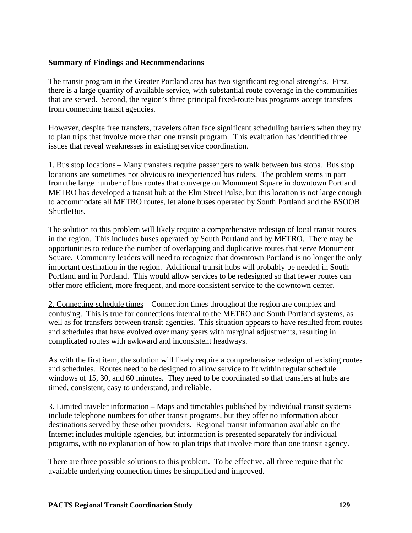### **Summary of Findings and Recommendations**

The transit program in the Greater Portland area has two significant regional strengths. First, there is a large quantity of available service, with substantial route coverage in the communities that are served. Second, the region's three principal fixed-route bus programs accept transfers from connecting transit agencies.

However, despite free transfers, travelers often face significant scheduling barriers when they try to plan trips that involve more than one transit program. This evaluation has identified three issues that reveal weaknesses in existing service coordination.

1. Bus stop locations – Many transfers require passengers to walk between bus stops. Bus stop locations are sometimes not obvious to inexperienced bus riders. The problem stems in part from the large number of bus routes that converge on Monument Square in downtown Portland. METRO has developed a transit hub at the Elm Street Pulse, but this location is not large enough to accommodate all METRO routes, let alone buses operated by South Portland and the BSOOB ShuttleBus.

The solution to this problem will likely require a comprehensive redesign of local transit routes in the region. This includes buses operated by South Portland and by METRO. There may be opportunities to reduce the number of overlapping and duplicative routes that serve Monument Square. Community leaders will need to recognize that downtown Portland is no longer the only important destination in the region. Additional transit hubs will probably be needed in South Portland and in Portland. This would allow services to be redesigned so that fewer routes can offer more efficient, more frequent, and more consistent service to the downtown center.

2. Connecting schedule times – Connection times throughout the region are complex and confusing. This is true for connections internal to the METRO and South Portland systems, as well as for transfers between transit agencies. This situation appears to have resulted from routes and schedules that have evolved over many years with marginal adjustments, resulting in complicated routes with awkward and inconsistent headways.

As with the first item, the solution will likely require a comprehensive redesign of existing routes and schedules. Routes need to be designed to allow service to fit within regular schedule windows of 15, 30, and 60 minutes. They need to be coordinated so that transfers at hubs are timed, consistent, easy to understand, and reliable.

3. Limited traveler information – Maps and timetables published by individual transit systems include telephone numbers for other transit programs, but they offer no information about destinations served by these other providers. Regional transit information available on the Internet includes multiple agencies, but information is presented separately for individual programs, with no explanation of how to plan trips that involve more than one transit agency.

There are three possible solutions to this problem. To be effective, all three require that the available underlying connection times be simplified and improved.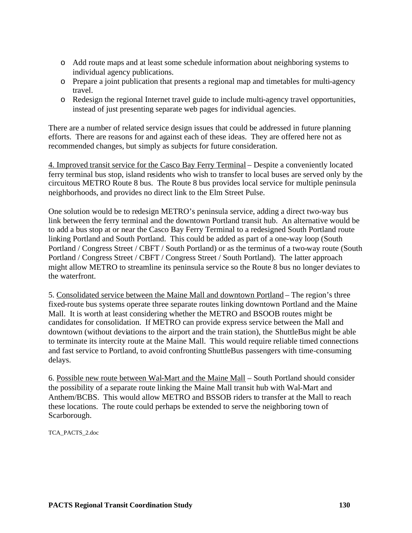- o Add route maps and at least some schedule information about neighboring systems to individual agency publications.
- o Prepare a joint publication that presents a regional map and timetables for multi-agency travel.
- o Redesign the regional Internet travel guide to include multi-agency travel opportunities, instead of just presenting separate web pages for individual agencies.

There are a number of related service design issues that could be addressed in future planning efforts. There are reasons for and against each of these ideas. They are offered here not as recommended changes, but simply as subjects for future consideration.

4. Improved transit service for the Casco Bay Ferry Terminal – Despite a conveniently located ferry terminal bus stop, island residents who wish to transfer to local buses are served only by the circuitous METRO Route 8 bus. The Route 8 bus provides local service for multiple peninsula neighborhoods, and provides no direct link to the Elm Street Pulse.

One solution would be to redesign METRO's peninsula service, adding a direct two-way bus link between the ferry terminal and the downtown Portland transit hub. An alternative would be to add a bus stop at or near the Casco Bay Ferry Terminal to a redesigned South Portland route linking Portland and South Portland. This could be added as part of a one-way loop (South Portland / Congress Street / CBFT / South Portland) or as the terminus of a two-way route (South Portland / Congress Street / CBFT / Congress Street / South Portland). The latter approach might allow METRO to streamline its peninsula service so the Route 8 bus no longer deviates to the waterfront.

5. Consolidated service between the Maine Mall and downtown Portland – The region's three fixed-route bus systems operate three separate routes linking downtown Portland and the Maine Mall. It is worth at least considering whether the METRO and BSOOB routes might be candidates for consolidation. If METRO can provide express service between the Mall and downtown (without deviations to the airport and the train station), the ShuttleBus might be able to terminate its intercity route at the Maine Mall. This would require reliable timed connections and fast service to Portland, to avoid confronting ShuttleBus passengers with time-consuming delays.

6. Possible new route between Wal-Mart and the Maine Mall – South Portland should consider the possibility of a separate route linking the Maine Mall transit hub with Wal-Mart and Anthem/BCBS. This would allow METRO and BSSOB riders to transfer at the Mall to reach these locations. The route could perhaps be extended to serve the neighboring town of Scarborough.

TCA\_PACTS\_2.doc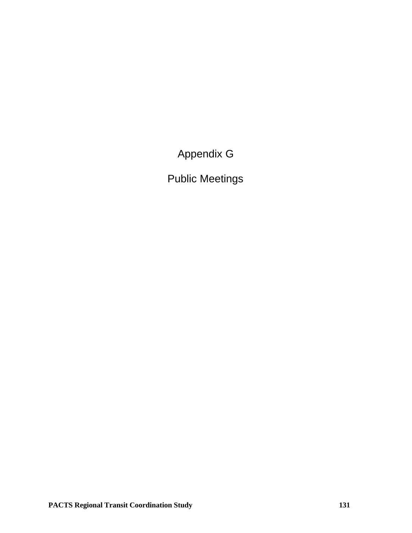Appendix G

Public Meetings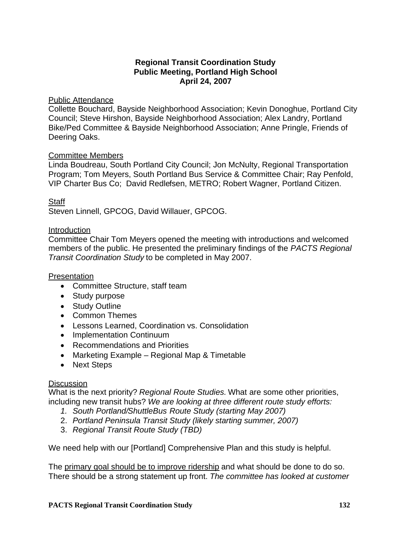# **Regional Transit Coordination Study Public Meeting, Portland High School April 24, 2007**

## Public Attendance

Collette Bouchard, Bayside Neighborhood Association; Kevin Donoghue, Portland City Council; Steve Hirshon, Bayside Neighborhood Association; Alex Landry, Portland Bike/Ped Committee & Bayside Neighborhood Association; Anne Pringle, Friends of Deering Oaks.

## Committee Members

Linda Boudreau, South Portland City Council; Jon McNulty, Regional Transportation Program; Tom Meyers, South Portland Bus Service & Committee Chair; Ray Penfold, VIP Charter Bus Co; David Redlefsen, METRO; Robert Wagner, Portland Citizen.

# Staff

Steven Linnell, GPCOG, David Willauer, GPCOG.

# Introduction

Committee Chair Tom Meyers opened the meeting with introductions and welcomed members of the public. He presented the preliminary findings of the *PACTS Regional Transit Coordination Study* to be completed in May 2007.

## **Presentation**

- Committee Structure, staff team
- Study purpose
- Study Outline
- Common Themes
- Lessons Learned, Coordination vs. Consolidation
- Implementation Continuum
- Recommendations and Priorities
- Marketing Example Regional Map & Timetable
- Next Steps

## **Discussion**

What is the next priority? *Regional Route Studies.* What are some other priorities, including new transit hubs? *We are looking at three different route study efforts:*

- *1. South Portland/ShuttleBus Route Study (starting May 2007)*
- 2. *Portland Peninsula Transit Study (likely starting summer, 2007)*
- 3. *Regional Transit Route Study (TBD)*

We need help with our [Portland] Comprehensive Plan and this study is helpful.

The primary goal should be to improve ridership and what should be done to do so. There should be a strong statement up front. *The committee has looked at customer*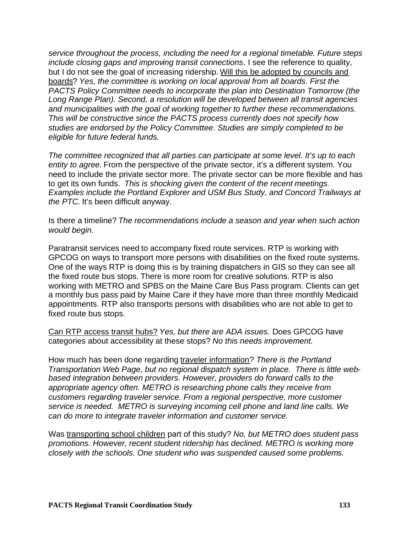*service throughout the process, including the need for a regional timetable*. *Future steps include closing gaps and improving transit connections*. I see the reference to quality, but I do not see the goal of increasing ridership. Will this be adopted by councils and boards? *Yes, the committee is working on local approval from all boards. First the PACTS Policy Committee needs to incorporate the plan into Destination Tomorrow (the Long Range Plan). Second, a resolution will be developed between all transit agencies and municipalities with the goal of working together to further these recommendations. This will be constructive since the PACTS process currently does not specify how studies are endorsed by the Policy Committee. Studies are simply completed to be eligible for future federal funds.*

*The committee recognized that all parties can participate at some level. It's up to each entity to agree.* From the perspective of the private sector, it's a different system. You need to include the private sector more. The private sector can be more flexible and has to get its own funds. *This is shocking given the content of the recent meetings. Examples include the Portland Explorer and USM Bus Study, and Concord Trailways at the PTC.* It's been difficult anyway.

Is there a timeline? *The recommendations include a season and year when such action would begin.*

Paratransit services need to accompany fixed route services. RTP is working with GPCOG on ways to transport more persons with disabilities on the fixed route systems. One of the ways RTP is doing this is by training dispatchers in GIS so they can see all the fixed route bus stops. There is more room for creative solutions. RTP is also working with METRO and SPBS on the Maine Care Bus Pass program. Clients can get a monthly bus pass paid by Maine Care if they have more than three monthly Medicaid appointments. RTP also transports persons with disabilities who are not able to get to fixed route bus stops.

Can RTP access transit hubs? *Yes, but there are ADA issues.* Does GPCOG have categories about accessibility at these stops? *No this needs improvement.*

How much has been done regarding traveler information? *There is the Portland Transportation Web Page, but no regional dispatch system in place. There is little webbased integration between providers. However, providers do forward calls to the appropriate agency often. METRO is researching phone calls they receive from customers regarding traveler service. From a regional perspective, more customer service is needed. METRO is surveying incoming cell phone and land line calls. We can do more to integrate traveler information and customer service.*

Was transporting school children part of this study? *No, but METRO does student pass promotions. However, recent student ridership has declined. METRO is working more closely with the schools. One student who was suspended caused some problems.*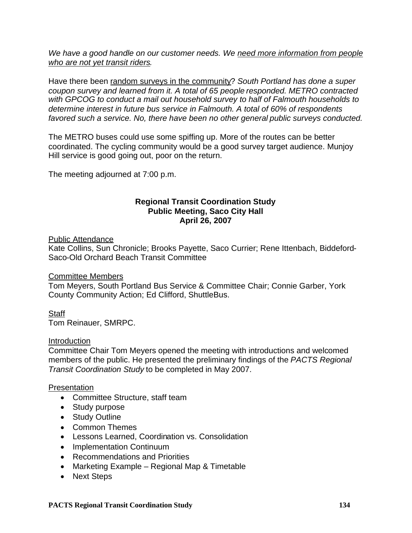*We have a good handle on our customer needs. We need more information from people who are not yet transit riders.*

Have there been random surveys in the community? *South Portland has done a super coupon survey and learned from it. A total of 65 people responded. METRO contracted with GPCOG to conduct a mail out household survey to half of Falmouth households to determine interest in future bus service in Falmouth. A total of 60% of respondents favored such a service. No, there have been no other general public surveys conducted.*

The METRO buses could use some spiffing up. More of the routes can be better coordinated. The cycling community would be a good survey target audience. Munjoy Hill service is good going out, poor on the return.

The meeting adjourned at 7:00 p.m.

## **Regional Transit Coordination Study Public Meeting, Saco City Hall April 26, 2007**

#### Public Attendance

Kate Collins, Sun Chronicle; Brooks Payette, Saco Currier; Rene Ittenbach, Biddeford-Saco-Old Orchard Beach Transit Committee

### Committee Members

Tom Meyers, South Portland Bus Service & Committee Chair; Connie Garber, York County Community Action; Ed Clifford, ShuttleBus.

### **Staff**

Tom Reinauer, SMRPC.

#### Introduction

Committee Chair Tom Meyers opened the meeting with introductions and welcomed members of the public. He presented the preliminary findings of the *PACTS Regional Transit Coordination Study* to be completed in May 2007.

### Presentation

- Committee Structure, staff team
- Study purpose
- Study Outline
- Common Themes
- Lessons Learned, Coordination vs. Consolidation
- Implementation Continuum
- Recommendations and Priorities
- Marketing Example Regional Map & Timetable
- Next Steps